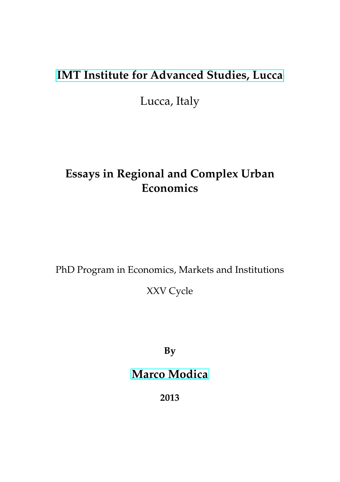## **[IMT Institute for Advanced Studies, Lucca](http://www.imtlucca.it)**

Lucca, Italy

#### **Essays in Regional and Complex Urban Economics**

PhD Program in Economics, Markets and Institutions

XXV Cycle

**By**

#### **[Marco Modica](mailto:marco.modica@imtlucca.it)**

**2013**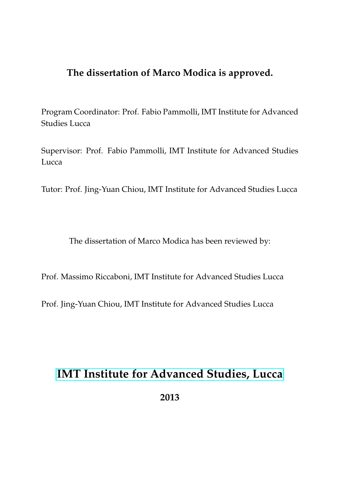#### **The dissertation of Marco Modica is approved.**

Program Coordinator: Prof. Fabio Pammolli, IMT Institute for Advanced Studies Lucca

Supervisor: Prof. Fabio Pammolli, IMT Institute for Advanced Studies Lucca

Tutor: Prof. Jing-Yuan Chiou, IMT Institute for Advanced Studies Lucca

The dissertation of Marco Modica has been reviewed by:

Prof. Massimo Riccaboni, IMT Institute for Advanced Studies Lucca

Prof. Jing-Yuan Chiou, IMT Institute for Advanced Studies Lucca

#### **[IMT Institute for Advanced Studies, Lucca](http://www.imtlucca.it)**

**2013**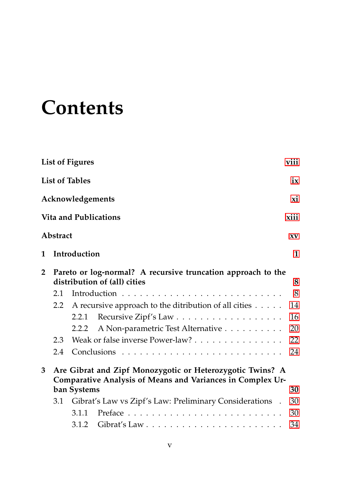## **Contents**

|                |                                                                                              | <b>List of Figures</b>                                                                                                  | viii   |  |
|----------------|----------------------------------------------------------------------------------------------|-------------------------------------------------------------------------------------------------------------------------|--------|--|
|                |                                                                                              | <b>List of Tables</b>                                                                                                   | ix     |  |
|                |                                                                                              | Acknowledgements                                                                                                        | xi     |  |
|                |                                                                                              | <b>Vita and Publications</b>                                                                                            | xiii   |  |
|                | Abstract                                                                                     |                                                                                                                         | XV     |  |
| 1              |                                                                                              | Introduction                                                                                                            | 1      |  |
| $\overline{2}$ | Pareto or log-normal? A recursive truncation approach to the<br>distribution of (all) cities |                                                                                                                         |        |  |
|                | 2.1                                                                                          | Introduction $\cdots$ , $\cdots$ , $\cdots$ , $\cdots$ , $\cdots$ , $\cdots$ , $\cdots$ , $\cdots$ , $\cdots$           | 8<br>8 |  |
|                | $2.2^{\circ}$                                                                                | A recursive approach to the ditribution of all cities                                                                   | 14     |  |
|                |                                                                                              | 2.2.1                                                                                                                   | 16     |  |
|                |                                                                                              | A Non-parametric Test Alternative<br>2.2.2                                                                              | 20     |  |
|                | 2.3                                                                                          | Weak or false inverse Power-law?                                                                                        | 22     |  |
|                | 2.4                                                                                          |                                                                                                                         | 24     |  |
| 3              |                                                                                              | Are Gibrat and Zipf Monozygotic or Heterozygotic Twins? A<br>Comparative Analysis of Means and Variances in Complex Ur- |        |  |
|                |                                                                                              | ban Systems                                                                                                             | 30     |  |
|                | 3.1                                                                                          | Gibrat's Law vs Zipf's Law: Preliminary Considerations .                                                                | 30     |  |
|                |                                                                                              | 3.1.1                                                                                                                   | 30     |  |
|                |                                                                                              |                                                                                                                         | 34     |  |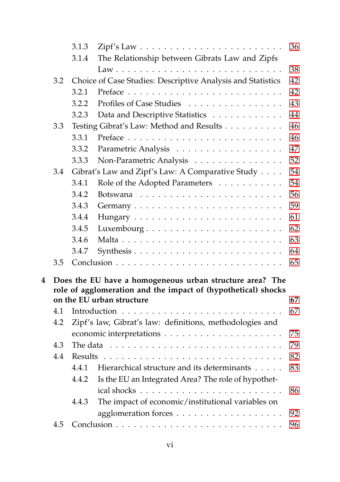|   |                                                               | 3.1.3                                                       |                                                                           | 36       |  |  |  |  |
|---|---------------------------------------------------------------|-------------------------------------------------------------|---------------------------------------------------------------------------|----------|--|--|--|--|
|   |                                                               | 3.1.4                                                       | The Relationship between Gibrats Law and Zipfs                            |          |  |  |  |  |
|   |                                                               |                                                             |                                                                           | 38       |  |  |  |  |
|   | 3.2                                                           | Choice of Case Studies: Descriptive Analysis and Statistics |                                                                           |          |  |  |  |  |
|   |                                                               | 3.2.1                                                       |                                                                           | 42       |  |  |  |  |
|   |                                                               | 3.2.2                                                       | Profiles of Case Studies                                                  | 43       |  |  |  |  |
|   |                                                               | 3.2.3                                                       | Data and Descriptive Statistics                                           | 44       |  |  |  |  |
|   | 3.3                                                           |                                                             | Testing Gibrat's Law: Method and Results                                  | 46       |  |  |  |  |
|   |                                                               | 3.3.1                                                       |                                                                           | 46       |  |  |  |  |
|   |                                                               | 3.3.2                                                       | Parametric Analysis                                                       | 47       |  |  |  |  |
|   |                                                               | 3.3.3                                                       | Non-Parametric Analysis                                                   | 52       |  |  |  |  |
|   | 3.4                                                           |                                                             | Gibrat's Law and Zipf's Law: A Comparative Study                          | 54       |  |  |  |  |
|   |                                                               | 3.4.1                                                       | Role of the Adopted Parameters                                            | 54       |  |  |  |  |
|   |                                                               | 3.4.2                                                       |                                                                           | 56       |  |  |  |  |
|   |                                                               | 3.4.3                                                       |                                                                           | 59       |  |  |  |  |
|   |                                                               | 3.4.4                                                       |                                                                           | 61       |  |  |  |  |
|   |                                                               | 3.4.5                                                       | Luxembourg                                                                | 62       |  |  |  |  |
|   |                                                               | 3.4.6                                                       |                                                                           | 63       |  |  |  |  |
|   |                                                               | 3.4.7                                                       |                                                                           | 64       |  |  |  |  |
|   | 3.5                                                           |                                                             |                                                                           | 65       |  |  |  |  |
| 4 |                                                               |                                                             | Does the EU have a homogeneous urban structure area? The                  |          |  |  |  |  |
|   | role of agglomeration and the impact of (hypothetical) shocks |                                                             |                                                                           |          |  |  |  |  |
|   |                                                               |                                                             | on the EU urban structure                                                 | 67       |  |  |  |  |
|   | 4.1                                                           |                                                             |                                                                           | 67       |  |  |  |  |
|   | 4.2                                                           |                                                             | Zipf's law, Gibrat's law: definitions, methodologies and                  |          |  |  |  |  |
|   |                                                               |                                                             |                                                                           | 75       |  |  |  |  |
|   | 4.3                                                           |                                                             | The data $\ldots \ldots \ldots \ldots \ldots \ldots \ldots \ldots \ldots$ | 79<br>82 |  |  |  |  |
|   |                                                               | 4.4<br><b>Results</b>                                       |                                                                           |          |  |  |  |  |
|   |                                                               | 4.4.1                                                       | Hierarchical structure and its determinants                               | 83       |  |  |  |  |
|   |                                                               | 4.4.2                                                       | Is the EU an Integrated Area? The role of hypothet-                       |          |  |  |  |  |
|   |                                                               |                                                             |                                                                           | 86       |  |  |  |  |
|   |                                                               | 4.4.3                                                       | The impact of economic/institutional variables on                         |          |  |  |  |  |
|   |                                                               |                                                             |                                                                           | 92       |  |  |  |  |
|   | 4.5                                                           |                                                             |                                                                           | 96       |  |  |  |  |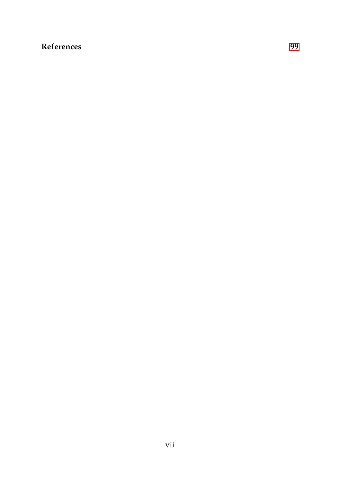#### **References [99](#page-116-0)**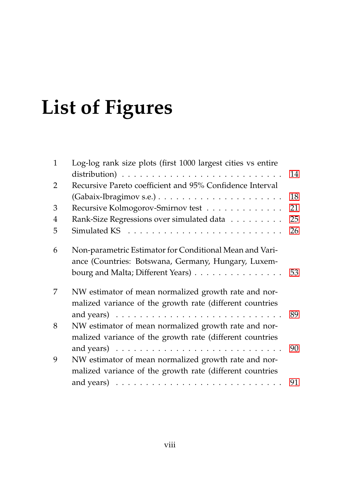# **List of Figures**

<span id="page-7-0"></span>

| $\mathbf{1}$ | Log-log rank size plots (first 1000 largest cities vs entire                                                     |    |
|--------------|------------------------------------------------------------------------------------------------------------------|----|
|              |                                                                                                                  | 14 |
| 2            | Recursive Pareto coefficient and 95% Confidence Interval                                                         |    |
|              |                                                                                                                  | 18 |
| 3            | Recursive Kolmogorov-Smirnov test                                                                                | 21 |
| 4            | Rank-Size Regressions over simulated data                                                                        | 25 |
| 5            |                                                                                                                  | 26 |
| 6            | Non-parametric Estimator for Conditional Mean and Vari-<br>ance (Countries: Botswana, Germany, Hungary, Luxem-   |    |
|              | bourg and Malta; Different Years)                                                                                | 53 |
| 7            | NW estimator of mean normalized growth rate and nor-<br>malized variance of the growth rate (different countries |    |
|              |                                                                                                                  | 89 |
| 8            | NW estimator of mean normalized growth rate and nor-                                                             |    |
|              | malized variance of the growth rate (different countries                                                         | 90 |
| 9            | NW estimator of mean normalized growth rate and nor-                                                             |    |
|              | malized variance of the growth rate (different countries                                                         |    |
|              |                                                                                                                  | 91 |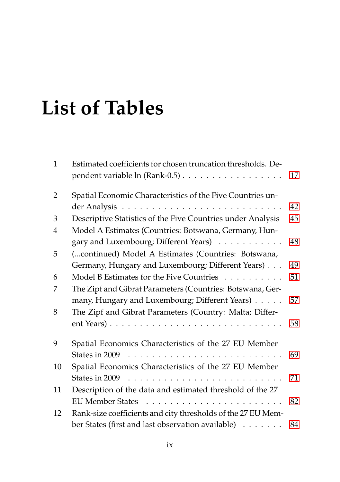## **List of Tables**

<span id="page-8-0"></span>

| $\mathbf{1}$   | Estimated coefficients for chosen truncation thresholds. De-<br>pendent variable ln (Rank-0.5) | 17 |
|----------------|------------------------------------------------------------------------------------------------|----|
| 2              | Spatial Economic Characteristics of the Five Countries un-                                     |    |
|                |                                                                                                | 42 |
| 3              | Descriptive Statistics of the Five Countries under Analysis                                    | 45 |
| $\overline{4}$ | Model A Estimates (Countries: Botswana, Germany, Hun-                                          |    |
|                | gary and Luxembourg; Different Years)                                                          | 48 |
| 5              | (continued) Model A Estimates (Countries: Botswana,                                            |    |
|                | Germany, Hungary and Luxembourg; Different Years)                                              | 49 |
| 6              | Model B Estimates for the Five Countries                                                       | 51 |
| 7              | The Zipf and Gibrat Parameters (Countries: Botswana, Ger-                                      |    |
|                | many, Hungary and Luxembourg; Different Years)                                                 | 57 |
| 8              | The Zipf and Gibrat Parameters (Country: Malta; Differ-                                        |    |
|                |                                                                                                | 58 |
| 9              | Spatial Economics Characteristics of the 27 EU Member                                          |    |
|                | States in 2009 $\ldots \ldots \ldots \ldots \ldots \ldots \ldots \ldots \ldots$                | 69 |
| 10             | Spatial Economics Characteristics of the 27 EU Member                                          |    |
|                | States in 2009 $\ldots \ldots \ldots \ldots \ldots \ldots \ldots \ldots \ldots$                | 71 |
| 11             | Description of the data and estimated threshold of the 27                                      |    |
|                |                                                                                                | 82 |
| 12             | Rank-size coefficients and city thresholds of the 27 EU Mem-                                   |    |
|                | ber States (first and last observation available)                                              | 84 |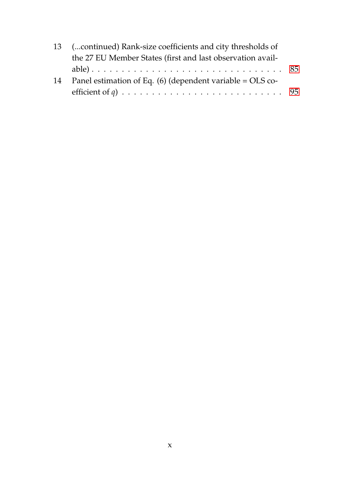|    | 13 (continued) Rank-size coefficients and city thresholds of                                             |  |  |  |  |
|----|----------------------------------------------------------------------------------------------------------|--|--|--|--|
|    | the 27 EU Member States (first and last observation avail-                                               |  |  |  |  |
|    |                                                                                                          |  |  |  |  |
| 14 | Panel estimation of Eq. $(6)$ (dependent variable = OLS co-                                              |  |  |  |  |
|    | efficient of q) $\ldots \ldots \ldots \ldots \ldots \ldots \ldots \ldots \ldots \ldots \ldots \ldots$ 95 |  |  |  |  |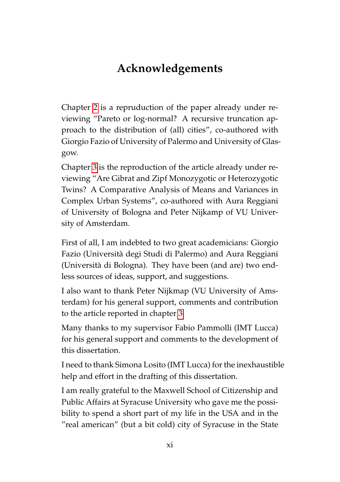#### **Acknowledgements**

Chapter [2](#page-25-0) is a repruduction of the paper already under reviewing "Pareto or log-normal? A recursive truncation approach to the distribution of (all) cities", co-authored with Giorgio Fazio of University of Palermo and University of Glasgow.

Chapter [3](#page-47-0) is the reproduction of the article already under reviewing "Are Gibrat and Zipf Monozygotic or Heterozygotic Twins? A Comparative Analysis of Means and Variances in Complex Urban Systems", co-authored with Aura Reggiani of University of Bologna and Peter Nijkamp of VU University of Amsterdam.

First of all, I am indebted to two great academicians: Giorgio Fazio (Universita degi Studi di Palermo) and Aura Reggiani ` (Universita di Bologna). They have been (and are) two end- ` less sources of ideas, support, and suggestions.

I also want to thank Peter Nijkmap (VU University of Amsterdam) for his general support, comments and contribution to the article reported in chapter [3.](#page-47-0)

Many thanks to my supervisor Fabio Pammolli (IMT Lucca) for his general support and comments to the development of this dissertation.

I need to thank Simona Losito (IMT Lucca) for the inexhaustible help and effort in the drafting of this dissertation.

I am really grateful to the Maxwell School of Citizenship and Public Affairs at Syracuse University who gave me the possibility to spend a short part of my life in the USA and in the "real american" (but a bit cold) city of Syracuse in the State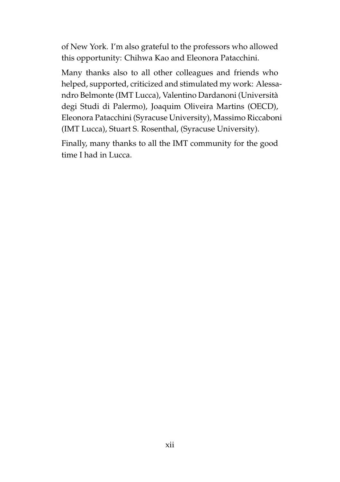of New York. I'm also grateful to the professors who allowed this opportunity: Chihwa Kao and Eleonora Patacchini.

Many thanks also to all other colleagues and friends who helped, supported, criticized and stimulated my work: Alessandro Belmonte (IMT Lucca), Valentino Dardanoni (Universita` degi Studi di Palermo), Joaquim Oliveira Martins (OECD), Eleonora Patacchini (Syracuse University), Massimo Riccaboni (IMT Lucca), Stuart S. Rosenthal, (Syracuse University).

Finally, many thanks to all the IMT community for the good time I had in Lucca.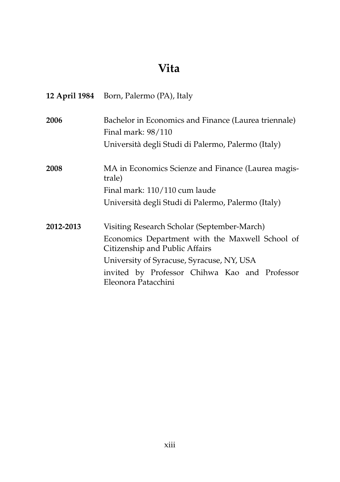#### **Vita**

|           | 12 April 1984 Born, Palermo (PA), Italy                                           |  |  |  |  |
|-----------|-----------------------------------------------------------------------------------|--|--|--|--|
| 2006      | Bachelor in Economics and Finance (Laurea triennale)<br>Final mark: 98/110        |  |  |  |  |
|           | Università degli Studi di Palermo, Palermo (Italy)                                |  |  |  |  |
| 2008      | MA in Economics Scienze and Finance (Laurea magis-<br>trale)                      |  |  |  |  |
|           | Final mark: 110/110 cum laude                                                     |  |  |  |  |
|           | Università degli Studi di Palermo, Palermo (Italy)                                |  |  |  |  |
| 2012-2013 | Visiting Research Scholar (September-March)                                       |  |  |  |  |
|           | Economics Department with the Maxwell School of<br>Citizenship and Public Affairs |  |  |  |  |
|           | University of Syracuse, Syracuse, NY, USA                                         |  |  |  |  |
|           | invited by Professor Chihwa Kao and Professor<br>Eleonora Patacchini              |  |  |  |  |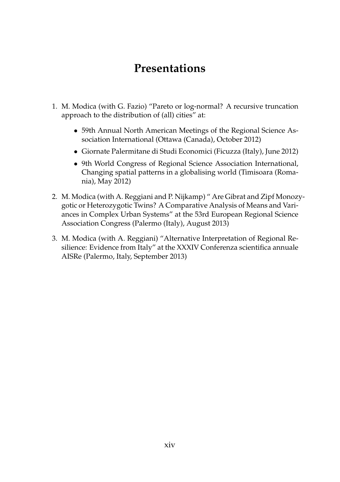#### **Presentations**

- 1. M. Modica (with G. Fazio) "Pareto or log-normal? A recursive truncation approach to the distribution of (all) cities" at:
	- 59th Annual North American Meetings of the Regional Science Association International (Ottawa (Canada), October 2012)
	- Giornate Palermitane di Studi Economici (Ficuzza (Italy), June 2012)
	- 9th World Congress of Regional Science Association International, Changing spatial patterns in a globalising world (Timisoara (Romania), May 2012)
- 2. M. Modica (with A. Reggiani and P. Nijkamp) " Are Gibrat and Zipf Monozygotic or Heterozygotic Twins? A Comparative Analysis of Means and Variances in Complex Urban Systems" at the 53rd European Regional Science Association Congress (Palermo (Italy), August 2013)
- <span id="page-13-0"></span>3. M. Modica (with A. Reggiani) "Alternative Interpretation of Regional Resilience: Evidence from Italy" at the XXXIV Conferenza scientifica annuale AISRe (Palermo, Italy, September 2013)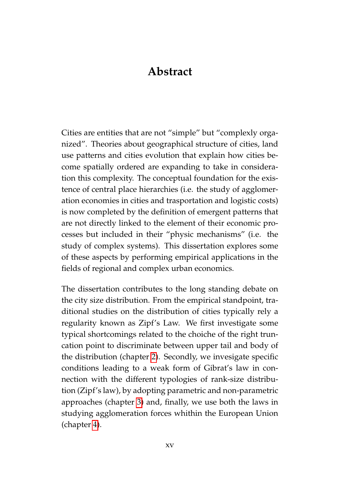#### **Abstract**

Cities are entities that are not "simple" but "complexly organized". Theories about geographical structure of cities, land use patterns and cities evolution that explain how cities become spatially ordered are expanding to take in consideration this complexity. The conceptual foundation for the existence of central place hierarchies (i.e. the study of agglomeration economies in cities and trasportation and logistic costs) is now completed by the definition of emergent patterns that are not directly linked to the element of their economic processes but included in their "physic mechanisms" (i.e. the study of complex systems). This dissertation explores some of these aspects by performing empirical applications in the fields of regional and complex urban economics.

The dissertation contributes to the long standing debate on the city size distribution. From the empirical standpoint, traditional studies on the distribution of cities typically rely a regularity known as Zipf's Law. We first investigate some typical shortcomings related to the choiche of the right truncation point to discriminate between upper tail and body of the distribution (chapter [2\)](#page-25-0). Secondly, we invesigate specific conditions leading to a weak form of Gibrat's law in connection with the different typologies of rank-size distribution (Zipf's law), by adopting parametric and non-parametric approaches (chapter [3\)](#page-47-0) and, finally, we use both the laws in studying agglomeration forces whithin the European Union (chapter [4\)](#page-84-0).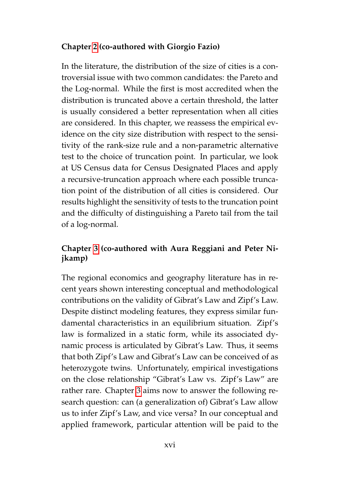#### **Chapter [2](#page-25-0) (co-authored with Giorgio Fazio)**

In the literature, the distribution of the size of cities is a controversial issue with two common candidates: the Pareto and the Log-normal. While the first is most accredited when the distribution is truncated above a certain threshold, the latter is usually considered a better representation when all cities are considered. In this chapter, we reassess the empirical evidence on the city size distribution with respect to the sensitivity of the rank-size rule and a non-parametric alternative test to the choice of truncation point. In particular, we look at US Census data for Census Designated Places and apply a recursive-truncation approach where each possible truncation point of the distribution of all cities is considered. Our results highlight the sensitivity of tests to the truncation point and the difficulty of distinguishing a Pareto tail from the tail of a log-normal.

#### **Chapter [3](#page-47-0) (co-authored with Aura Reggiani and Peter Nijkamp)**

The regional economics and geography literature has in recent years shown interesting conceptual and methodological contributions on the validity of Gibrat's Law and Zipf's Law. Despite distinct modeling features, they express similar fundamental characteristics in an equilibrium situation. Zipf's law is formalized in a static form, while its associated dynamic process is articulated by Gibrat's Law. Thus, it seems that both Zipf's Law and Gibrat's Law can be conceived of as heterozygote twins. Unfortunately, empirical investigations on the close relationship "Gibrat's Law vs. Zipf's Law" are rather rare. Chapter [3](#page-47-0) aims now to answer the following research question: can (a generalization of) Gibrat's Law allow us to infer Zipf's Law, and vice versa? In our conceptual and applied framework, particular attention will be paid to the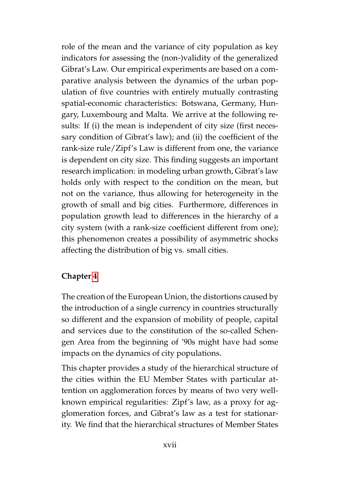role of the mean and the variance of city population as key indicators for assessing the (non-)validity of the generalized Gibrat's Law. Our empirical experiments are based on a comparative analysis between the dynamics of the urban population of five countries with entirely mutually contrasting spatial-economic characteristics: Botswana, Germany, Hungary, Luxembourg and Malta. We arrive at the following results: If (i) the mean is independent of city size (first necessary condition of Gibrat's law); and (ii) the coefficient of the rank-size rule/Zipf's Law is different from one, the variance is dependent on city size. This finding suggests an important research implication: in modeling urban growth, Gibrat's law holds only with respect to the condition on the mean, but not on the variance, thus allowing for heterogeneity in the growth of small and big cities. Furthermore, differences in population growth lead to differences in the hierarchy of a city system (with a rank-size coefficient different from one); this phenomenon creates a possibility of asymmetric shocks affecting the distribution of big vs. small cities.

#### **Chapter [4](#page-84-0)**

The creation of the European Union, the distortions caused by the introduction of a single currency in countries structurally so different and the expansion of mobility of people, capital and services due to the constitution of the so-called Schengen Area from the beginning of '90s might have had some impacts on the dynamics of city populations.

This chapter provides a study of the hierarchical structure of the cities within the EU Member States with particular attention on agglomeration forces by means of two very wellknown empirical regularities: Zipf's law, as a proxy for agglomeration forces, and Gibrat's law as a test for stationarity. We find that the hierarchical structures of Member States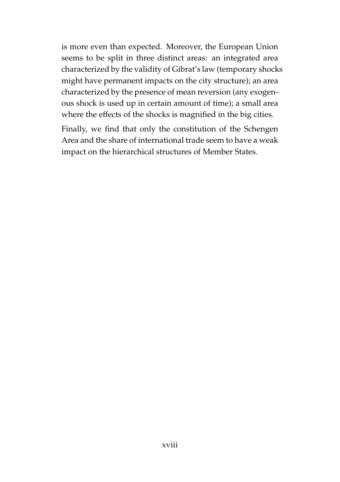is more even than expected. Moreover, the European Union seems to be split in three distinct areas: an integrated area characterized by the validity of Gibrat's law (temporary shocks might have permanent impacts on the city structure); an area characterized by the presence of mean reversion (any exogenous shock is used up in certain amount of time); a small area where the effects of the shocks is magnified in the big cities.

Finally, we find that only the constitution of the Schengen Area and the share of international trade seem to have a weak impact on the hierarchical structures of Member States.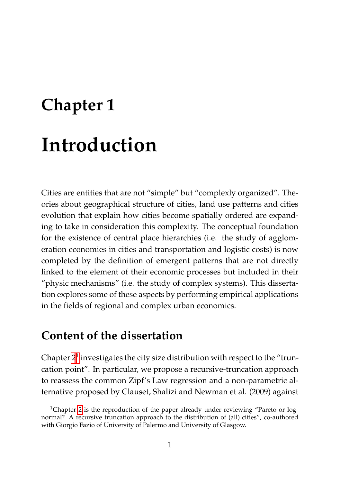# <span id="page-18-0"></span>**Chapter 1 Introduction**

Cities are entities that are not "simple" but "complexly organized". Theories about geographical structure of cities, land use patterns and cities evolution that explain how cities become spatially ordered are expanding to take in consideration this complexity. The conceptual foundation for the existence of central place hierarchies (i.e. the study of agglomeration economies in cities and transportation and logistic costs) is now completed by the definition of emergent patterns that are not directly linked to the element of their economic processes but included in their "physic mechanisms" (i.e. the study of complex systems). This dissertation explores some of these aspects by performing empirical applications in the fields of regional and complex urban economics.

#### **Content of the dissertation**

Chapter  $2^1$  $2^1$  investigates the city size distribution with respect to the "truncation point". In particular, we propose a recursive-truncation approach to reassess the common Zipf's Law regression and a non-parametric alternative proposed by Clauset, Shalizi and Newman et al. (2009) against

<span id="page-18-1"></span><sup>&</sup>lt;sup>1</sup>Chapter [2](#page-25-0) is the reproduction of the paper already under reviewing "Pareto or lognormal? A recursive truncation approach to the distribution of (all) cities", co-authored with Giorgio Fazio of University of Palermo and University of Glasgow.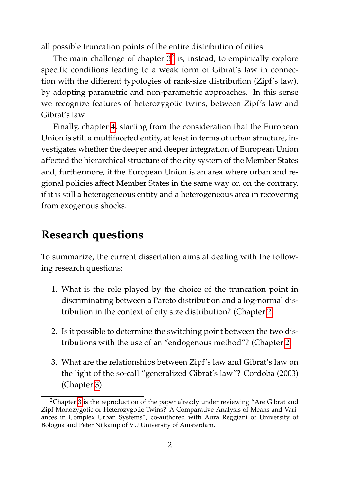all possible truncation points of the entire distribution of cities.

The main challenge of chapter  $3^2$  $3^2$  is, instead, to empirically explore specific conditions leading to a weak form of Gibrat's law in connection with the different typologies of rank-size distribution (Zipf's law), by adopting parametric and non-parametric approaches. In this sense we recognize features of heterozygotic twins, between Zipf's law and Gibrat's law.

Finally, chapter [4,](#page-84-0) starting from the consideration that the European Union is still a multifaceted entity, at least in terms of urban structure, investigates whether the deeper and deeper integration of European Union affected the hierarchical structure of the city system of the Member States and, furthermore, if the European Union is an area where urban and regional policies affect Member States in the same way or, on the contrary, if it is still a heterogeneous entity and a heterogeneous area in recovering from exogenous shocks.

#### **Research questions**

To summarize, the current dissertation aims at dealing with the following research questions:

- 1. What is the role played by the choice of the truncation point in discriminating between a Pareto distribution and a log-normal distribution in the context of city size distribution? (Chapter [2\)](#page-25-0)
- 2. Is it possible to determine the switching point between the two distributions with the use of an "endogenous method"? (Chapter [2\)](#page-25-0)
- 3. What are the relationships between Zipf's law and Gibrat's law on the light of the so-call "generalized Gibrat's law"? Cordoba (2003) (Chapter [3\)](#page-47-0)

<span id="page-19-0"></span><sup>&</sup>lt;sup>2</sup>Chapter [3](#page-47-0) is the reproduction of the paper already under reviewing "Are Gibrat and Zipf Monozygotic or Heterozygotic Twins? A Comparative Analysis of Means and Variances in Complex Urban Systems", co-authored with Aura Reggiani of University of Bologna and Peter Nijkamp of VU University of Amsterdam.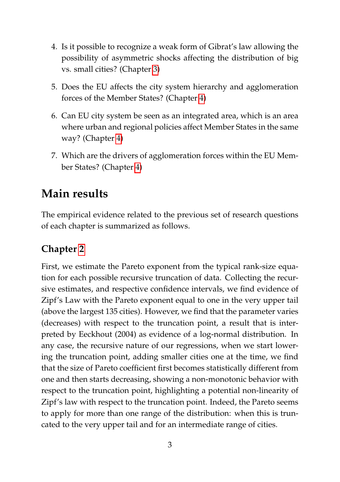- 4. Is it possible to recognize a weak form of Gibrat's law allowing the possibility of asymmetric shocks affecting the distribution of big vs. small cities? (Chapter [3\)](#page-47-0)
- 5. Does the EU affects the city system hierarchy and agglomeration forces of the Member States? (Chapter [4\)](#page-84-0)
- 6. Can EU city system be seen as an integrated area, which is an area where urban and regional policies affect Member States in the same way? (Chapter [4\)](#page-84-0)
- 7. Which are the drivers of agglomeration forces within the EU Member States? (Chapter [4\)](#page-84-0)

#### **Main results**

The empirical evidence related to the previous set of research questions of each chapter is summarized as follows.

#### **Chapter [2](#page-25-0)**

First, we estimate the Pareto exponent from the typical rank-size equation for each possible recursive truncation of data. Collecting the recursive estimates, and respective confidence intervals, we find evidence of Zipf's Law with the Pareto exponent equal to one in the very upper tail (above the largest 135 cities). However, we find that the parameter varies (decreases) with respect to the truncation point, a result that is interpreted by Eeckhout (2004) as evidence of a log-normal distribution. In any case, the recursive nature of our regressions, when we start lowering the truncation point, adding smaller cities one at the time, we find that the size of Pareto coefficient first becomes statistically different from one and then starts decreasing, showing a non-monotonic behavior with respect to the truncation point, highlighting a potential non-linearity of Zipf's law with respect to the truncation point. Indeed, the Pareto seems to apply for more than one range of the distribution: when this is truncated to the very upper tail and for an intermediate range of cities.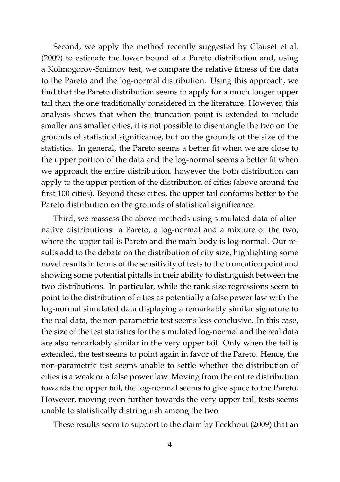Second, we apply the method recently suggested by Clauset et al. (2009) to estimate the lower bound of a Pareto distribution and, using a Kolmogorov-Smirnov test, we compare the relative fitness of the data to the Pareto and the log-normal distribution. Using this approach, we find that the Pareto distribution seems to apply for a much longer upper tail than the one traditionally considered in the literature. However, this analysis shows that when the truncation point is extended to include smaller ans smaller cities, it is not possible to disentangle the two on the grounds of statistical significance, but on the grounds of the size of the statistics. In general, the Pareto seems a better fit when we are close to the upper portion of the data and the log-normal seems a better fit when we approach the entire distribution, however the both distribution can apply to the upper portion of the distribution of cities (above around the first 100 cities). Beyond these cities, the upper tail conforms better to the Pareto distribution on the grounds of statistical significance.

Third, we reassess the above methods using simulated data of alternative distributions: a Pareto, a log-normal and a mixture of the two, where the upper tail is Pareto and the main body is log-normal. Our results add to the debate on the distribution of city size, highlighting some novel results in terms of the sensitivity of tests to the truncation point and showing some potential pitfalls in their ability to distinguish between the two distributions. In particular, while the rank size regressions seem to point to the distribution of cities as potentially a false power law with the log-normal simulated data displaying a remarkably similar signature to the real data, the non parametric test seems less conclusive. In this case, the size of the test statistics for the simulated log-normal and the real data are also remarkably similar in the very upper tail. Only when the tail is extended, the test seems to point again in favor of the Pareto. Hence, the non-parametric test seems unable to settle whether the distribution of cities is a weak or a false power law. Moving from the entire distribution towards the upper tail, the log-normal seems to give space to the Pareto. However, moving even further towards the very upper tail, tests seems unable to statistically distringuish among the two.

These results seem to support to the claim by Eeckhout (2009) that an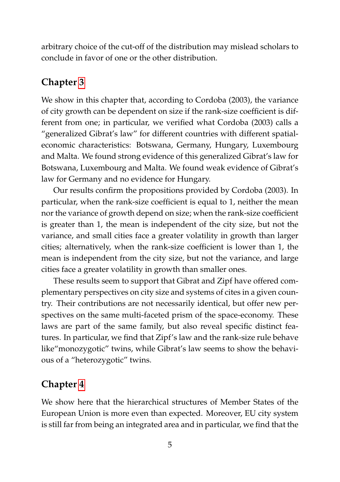arbitrary choice of the cut-off of the distribution may mislead scholars to conclude in favor of one or the other distribution.

#### **Chapter [3](#page-47-0)**

We show in this chapter that, according to Cordoba (2003), the variance of city growth can be dependent on size if the rank-size coefficient is different from one; in particular, we verified what Cordoba (2003) calls a "generalized Gibrat's law" for different countries with different spatialeconomic characteristics: Botswana, Germany, Hungary, Luxembourg and Malta. We found strong evidence of this generalized Gibrat's law for Botswana, Luxembourg and Malta. We found weak evidence of Gibrat's law for Germany and no evidence for Hungary.

Our results confirm the propositions provided by Cordoba (2003). In particular, when the rank-size coefficient is equal to 1, neither the mean nor the variance of growth depend on size; when the rank-size coefficient is greater than 1, the mean is independent of the city size, but not the variance, and small cities face a greater volatility in growth than larger cities; alternatively, when the rank-size coefficient is lower than 1, the mean is independent from the city size, but not the variance, and large cities face a greater volatility in growth than smaller ones.

These results seem to support that Gibrat and Zipf have offered complementary perspectives on city size and systems of cites in a given country. Their contributions are not necessarily identical, but offer new perspectives on the same multi-faceted prism of the space-economy. These laws are part of the same family, but also reveal specific distinct features. In particular, we find that Zipf's law and the rank-size rule behave like"monozygotic" twins, while Gibrat's law seems to show the behavious of a "heterozygotic" twins.

#### **Chapter [4](#page-84-0)**

We show here that the hierarchical structures of Member States of the European Union is more even than expected. Moreover, EU city system is still far from being an integrated area and in particular, we find that the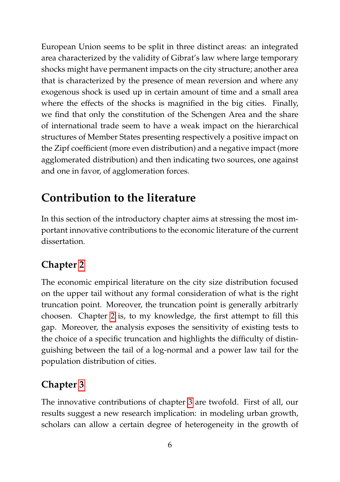European Union seems to be split in three distinct areas: an integrated area characterized by the validity of Gibrat's law where large temporary shocks might have permanent impacts on the city structure; another area that is characterized by the presence of mean reversion and where any exogenous shock is used up in certain amount of time and a small area where the effects of the shocks is magnified in the big cities. Finally, we find that only the constitution of the Schengen Area and the share of international trade seem to have a weak impact on the hierarchical structures of Member States presenting respectively a positive impact on the Zipf coefficient (more even distribution) and a negative impact (more agglomerated distribution) and then indicating two sources, one against and one in favor, of agglomeration forces.

### **Contribution to the literature**

In this section of the introductory chapter aims at stressing the most important innovative contributions to the economic literature of the current dissertation.

#### **Chapter [2](#page-25-0)**

The economic empirical literature on the city size distribution focused on the upper tail without any formal consideration of what is the right truncation point. Moreover, the truncation point is generally arbitrarly choosen. Chapter [2](#page-25-0) is, to my knowledge, the first attempt to fill this gap. Moreover, the analysis exposes the sensitivity of existing tests to the choice of a specific truncation and highlights the difficulty of distinguishing between the tail of a log-normal and a power law tail for the population distribution of cities.

#### **Chapter [3](#page-47-0)**

The innovative contributions of chapter [3](#page-47-0) are twofold. First of all, our results suggest a new research implication: in modeling urban growth, scholars can allow a certain degree of heterogeneity in the growth of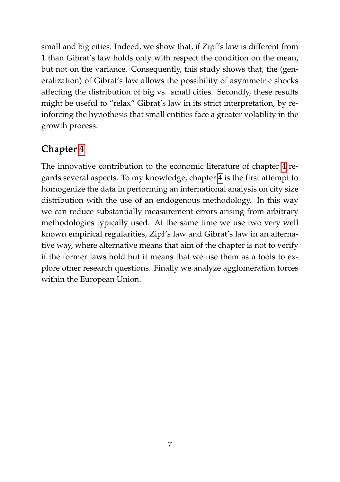small and big cities. Indeed, we show that, if Zipf's law is different from 1 than Gibrat's law holds only with respect the condition on the mean, but not on the variance. Consequently, this study shows that, the (generalization) of Gibrat's law allows the possibility of asymmetric shocks affecting the distribution of big vs. small cities. Secondly, these results might be useful to "relax" Gibrat's law in its strict interpretation, by reinforcing the hypothesis that small entities face a greater volatility in the growth process.

#### **Chapter [4](#page-84-0)**

The innovative contribution to the economic literature of chapter [4](#page-84-0) regards several aspects. To my knowledge, chapter [4](#page-84-0) is the first attempt to homogenize the data in performing an international analysis on city size distribution with the use of an endogenous methodology. In this way we can reduce substantially measurement errors arising from arbitrary methodologies typically used. At the same time we use two very well known empirical regularities, Zipf's law and Gibrat's law in an alternative way, where alternative means that aim of the chapter is not to verify if the former laws hold but it means that we use them as a tools to explore other research questions. Finally we analyze agglomeration forces within the European Union.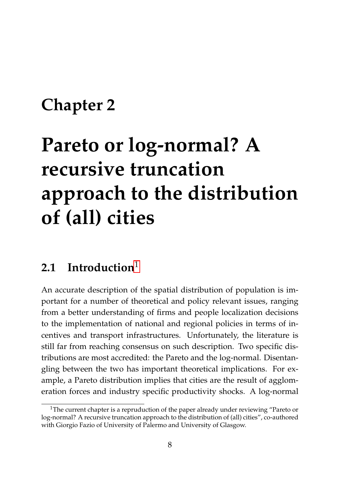## <span id="page-25-0"></span>**Chapter 2**

# **Pareto or log-normal? A recursive truncation approach to the distribution of (all) cities**

#### <span id="page-25-1"></span>**2.1 Introduction**[1](#page-25-2)

An accurate description of the spatial distribution of population is important for a number of theoretical and policy relevant issues, ranging from a better understanding of firms and people localization decisions to the implementation of national and regional policies in terms of incentives and transport infrastructures. Unfortunately, the literature is still far from reaching consensus on such description. Two specific distributions are most accredited: the Pareto and the log-normal. Disentangling between the two has important theoretical implications. For example, a Pareto distribution implies that cities are the result of agglomeration forces and industry specific productivity shocks. A log-normal

<span id="page-25-2"></span><sup>&</sup>lt;sup>1</sup>The current chapter is a repruduction of the paper already under reviewing "Pareto or log-normal? A recursive truncation approach to the distribution of (all) cities", co-authored with Giorgio Fazio of University of Palermo and University of Glasgow.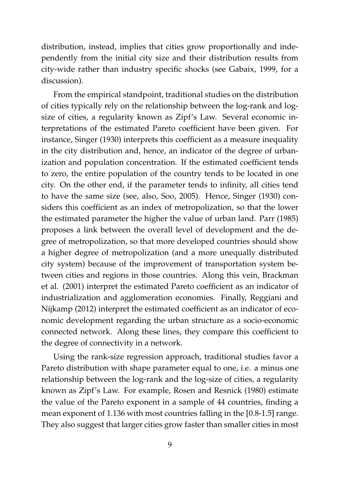distribution, instead, implies that cities grow proportionally and independently from the initial city size and their distribution results from city-wide rather than industry specific shocks (see Gabaix, 1999, for a discussion).

From the empirical standpoint, traditional studies on the distribution of cities typically rely on the relationship between the log-rank and logsize of cities, a regularity known as Zipf's Law. Several economic interpretations of the estimated Pareto coefficient have been given. For instance, Singer (1930) interprets this coefficient as a measure inequality in the city distribution and, hence, an indicator of the degree of urbanization and population concentration. If the estimated coefficient tends to zero, the entire population of the country tends to be located in one city. On the other end, if the parameter tends to infinity, all cities tend to have the same size (see, also, Soo, 2005). Hence, Singer (1930) considers this coefficient as an index of metropolization, so that the lower the estimated parameter the higher the value of urban land. Parr (1985) proposes a link between the overall level of development and the degree of metropolization, so that more developed countries should show a higher degree of metropolization (and a more unequally distributed city system) because of the improvement of transportation system between cities and regions in those countries. Along this vein, Brackman et al. (2001) interpret the estimated Pareto coefficient as an indicator of industrialization and agglomeration economies. Finally, Reggiani and Nijkamp (2012) interpret the estimated coefficient as an indicator of economic development regarding the urban structure as a socio-economic connected network. Along these lines, they compare this coefficient to the degree of connectivity in a network.

Using the rank-size regression approach, traditional studies favor a Pareto distribution with shape parameter equal to one, i.e. a minus one relationship between the log-rank and the log-size of cities, a regularity known as Zipf's Law. For example, Rosen and Resnick (1980) estimate the value of the Pareto exponent in a sample of 44 countries, finding a mean exponent of 1.136 with most countries falling in the [0.8-1.5] range. They also suggest that larger cities grow faster than smaller cities in most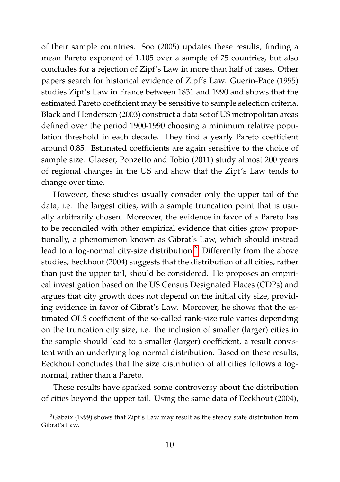of their sample countries. Soo (2005) updates these results, finding a mean Pareto exponent of 1.105 over a sample of 75 countries, but also concludes for a rejection of Zipf's Law in more than half of cases. Other papers search for historical evidence of Zipf's Law. Guerin-Pace (1995) studies Zipf's Law in France between 1831 and 1990 and shows that the estimated Pareto coefficient may be sensitive to sample selection criteria. Black and Henderson (2003) construct a data set of US metropolitan areas defined over the period 1900-1990 choosing a minimum relative population threshold in each decade. They find a yearly Pareto coefficient around 0.85. Estimated coefficients are again sensitive to the choice of sample size. Glaeser, Ponzetto and Tobio (2011) study almost 200 years of regional changes in the US and show that the Zipf's Law tends to change over time.

However, these studies usually consider only the upper tail of the data, i.e. the largest cities, with a sample truncation point that is usually arbitrarily chosen. Moreover, the evidence in favor of a Pareto has to be reconciled with other empirical evidence that cities grow proportionally, a phenomenon known as Gibrat's Law, which should instead lead to a log-normal city-size distribution.<sup>[2](#page-27-0)</sup> Differently from the above studies, Eeckhout (2004) suggests that the distribution of all cities, rather than just the upper tail, should be considered. He proposes an empirical investigation based on the US Census Designated Places (CDPs) and argues that city growth does not depend on the initial city size, providing evidence in favor of Gibrat's Law. Moreover, he shows that the estimated OLS coefficient of the so-called rank-size rule varies depending on the truncation city size, i.e. the inclusion of smaller (larger) cities in the sample should lead to a smaller (larger) coefficient, a result consistent with an underlying log-normal distribution. Based on these results, Eeckhout concludes that the size distribution of all cities follows a lognormal, rather than a Pareto.

These results have sparked some controversy about the distribution of cities beyond the upper tail. Using the same data of Eeckhout (2004),

<span id="page-27-0"></span><sup>2</sup>Gabaix (1999) shows that Zipf's Law may result as the steady state distribution from Gibrat's Law.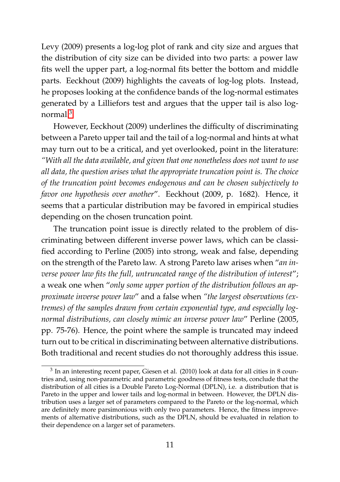Levy (2009) presents a log-log plot of rank and city size and argues that the distribution of city size can be divided into two parts: a power law fits well the upper part, a log-normal fits better the bottom and middle parts. Eeckhout (2009) highlights the caveats of log-log plots. Instead, he proposes looking at the confidence bands of the log-normal estimates generated by a Lilliefors test and argues that the upper tail is also lognormal $3$ 

However, Eeckhout (2009) underlines the difficulty of discriminating between a Pareto upper tail and the tail of a log-normal and hints at what may turn out to be a critical, and yet overlooked, point in the literature: *"With all the data available, and given that one nonetheless does not want to use all data, the question arises what the appropriate truncation point is. The choice of the truncation point becomes endogenous and can be chosen subjectively to favor one hypothesis over another*". Eeckhout (2009, p. 1682). Hence, it seems that a particular distribution may be favored in empirical studies depending on the chosen truncation point*.*

The truncation point issue is directly related to the problem of discriminating between different inverse power laws, which can be classified according to Perline (2005) into strong, weak and false, depending on the strength of the Pareto law. A strong Pareto law arises when "*an inverse power law fits the full, untruncated range of the distribution of interest*"; a weak one when "*only some upper portion of the distribution follows an approximate inverse power law*" and a false when *"the largest observations (extremes) of the samples drawn from certain exponential type, and especially lognormal distributions, can closely mimic an inverse power law*" Perline (2005, pp. 75-76). Hence, the point where the sample is truncated may indeed turn out to be critical in discriminating between alternative distributions. Both traditional and recent studies do not thoroughly address this issue.

<span id="page-28-0"></span> $3$  In an interesting recent paper, Giesen et al. (2010) look at data for all cities in 8 countries and, using non-parametric and parametric goodness of fitness tests, conclude that the distribution of all cities is a Double Pareto Log-Normal (DPLN), i.e. a distribution that is Pareto in the upper and lower tails and log-normal in between. However, the DPLN distribution uses a larger set of parameters compared to the Pareto or the log-normal, which are definitely more parsimonious with only two parameters. Hence, the fitness improvements of alternative distributions, such as the DPLN, should be evaluated in relation to their dependence on a larger set of parameters.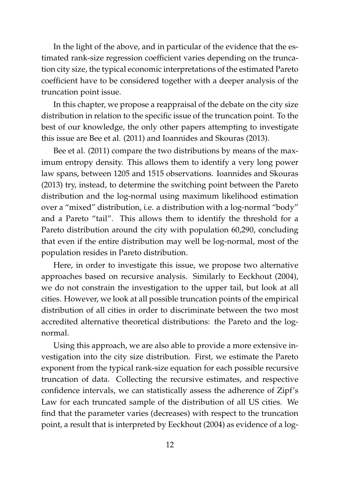In the light of the above, and in particular of the evidence that the estimated rank-size regression coefficient varies depending on the truncation city size, the typical economic interpretations of the estimated Pareto coefficient have to be considered together with a deeper analysis of the truncation point issue.

In this chapter, we propose a reappraisal of the debate on the city size distribution in relation to the specific issue of the truncation point. To the best of our knowledge, the only other papers attempting to investigate this issue are Bee et al. (2011) and Ioannides and Skouras (2013).

Bee et al. (2011) compare the two distributions by means of the maximum entropy density. This allows them to identify a very long power law spans, between 1205 and 1515 observations. Ioannides and Skouras (2013) try, instead, to determine the switching point between the Pareto distribution and the log-normal using maximum likelihood estimation over a "mixed" distribution, i.e. a distribution with a log-normal "body" and a Pareto "tail". This allows them to identify the threshold for a Pareto distribution around the city with population 60,290, concluding that even if the entire distribution may well be log-normal, most of the population resides in Pareto distribution.

Here, in order to investigate this issue, we propose two alternative approaches based on recursive analysis. Similarly to Eeckhout (2004), we do not constrain the investigation to the upper tail, but look at all cities. However, we look at all possible truncation points of the empirical distribution of all cities in order to discriminate between the two most accredited alternative theoretical distributions: the Pareto and the lognormal.

Using this approach, we are also able to provide a more extensive investigation into the city size distribution. First, we estimate the Pareto exponent from the typical rank-size equation for each possible recursive truncation of data. Collecting the recursive estimates, and respective confidence intervals, we can statistically assess the adherence of Zipf's Law for each truncated sample of the distribution of all US cities. We find that the parameter varies (decreases) with respect to the truncation point, a result that is interpreted by Eeckhout (2004) as evidence of a log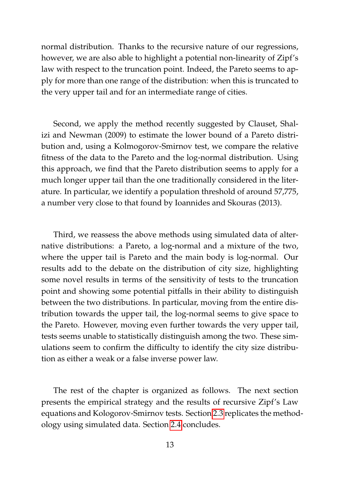normal distribution. Thanks to the recursive nature of our regressions, however, we are also able to highlight a potential non-linearity of Zipf's law with respect to the truncation point. Indeed, the Pareto seems to apply for more than one range of the distribution: when this is truncated to the very upper tail and for an intermediate range of cities.

Second, we apply the method recently suggested by Clauset, Shalizi and Newman (2009) to estimate the lower bound of a Pareto distribution and, using a Kolmogorov-Smirnov test, we compare the relative fitness of the data to the Pareto and the log-normal distribution. Using this approach, we find that the Pareto distribution seems to apply for a much longer upper tail than the one traditionally considered in the literature. In particular, we identify a population threshold of around 57,775, a number very close to that found by Ioannides and Skouras (2013).

Third, we reassess the above methods using simulated data of alternative distributions: a Pareto, a log-normal and a mixture of the two, where the upper tail is Pareto and the main body is log-normal. Our results add to the debate on the distribution of city size, highlighting some novel results in terms of the sensitivity of tests to the truncation point and showing some potential pitfalls in their ability to distinguish between the two distributions. In particular, moving from the entire distribution towards the upper tail, the log-normal seems to give space to the Pareto. However, moving even further towards the very upper tail, tests seems unable to statistically distinguish among the two. These simulations seem to confirm the difficulty to identify the city size distribution as either a weak or a false inverse power law.

The rest of the chapter is organized as follows. The next section presents the empirical strategy and the results of recursive Zipf's Law equations and Kologorov-Smirnov tests. Section [2.3](#page-39-0) replicates the methodology using simulated data. Section [2.4](#page-41-0) concludes.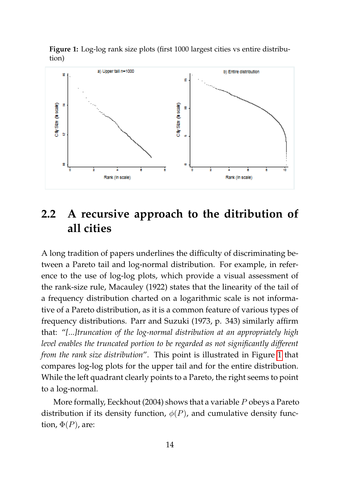<span id="page-31-1"></span>**Figure 1:** Log-log rank size plots (first 1000 largest cities vs entire distribution)



#### <span id="page-31-0"></span>**2.2 A recursive approach to the ditribution of all cities**

A long tradition of papers underlines the difficulty of discriminating between a Pareto tail and log-normal distribution. For example, in reference to the use of log-log plots, which provide a visual assessment of the rank-size rule, Macauley (1922) states that the linearity of the tail of a frequency distribution charted on a logarithmic scale is not informative of a Pareto distribution, as it is a common feature of various types of frequency distributions. Parr and Suzuki (1973, p. 343) similarly affirm that: "*[...]truncation of the log-normal distribution at an appropriately high level enables the truncated portion to be regarded as not significantly different from the rank size distribution*". This point is illustrated in Figure [1](#page-31-1) that compares log-log plots for the upper tail and for the entire distribution. While the left quadrant clearly points to a Pareto, the right seems to point to a log-normal.

More formally, Eeckhout (2004) shows that a variable P obeys a Pareto distribution if its density function,  $\phi(P)$ , and cumulative density function,  $\Phi(P)$ , are: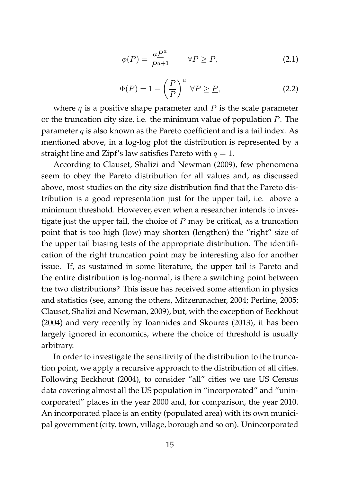$$
\phi(P) = \frac{a\underline{P}^a}{P^{a+1}} \qquad \forall P \ge \underline{P}, \tag{2.1}
$$

$$
\Phi(P) = 1 - \left(\frac{P}{P}\right)^a \ \forall P \ge P,
$$
\n(2.2)

where  $q$  is a positive shape parameter and  $\underline{P}$  is the scale parameter or the truncation city size, i.e. the minimum value of population P. The parameter  $q$  is also known as the Pareto coefficient and is a tail index. As mentioned above, in a log-log plot the distribution is represented by a straight line and Zipf's law satisfies Pareto with  $q = 1$ .

According to Clauset, Shalizi and Newman (2009), few phenomena seem to obey the Pareto distribution for all values and, as discussed above, most studies on the city size distribution find that the Pareto distribution is a good representation just for the upper tail, i.e. above a minimum threshold. However, even when a researcher intends to investigate just the upper tail, the choice of  $P$  may be critical, as a truncation point that is too high (low) may shorten (lengthen) the "right" size of the upper tail biasing tests of the appropriate distribution. The identification of the right truncation point may be interesting also for another issue. If, as sustained in some literature, the upper tail is Pareto and the entire distribution is log-normal, is there a switching point between the two distributions? This issue has received some attention in physics and statistics (see, among the others, Mitzenmacher, 2004; Perline, 2005; Clauset, Shalizi and Newman, 2009), but, with the exception of Eeckhout (2004) and very recently by Ioannides and Skouras (2013), it has been largely ignored in economics, where the choice of threshold is usually arbitrary.

In order to investigate the sensitivity of the distribution to the truncation point, we apply a recursive approach to the distribution of all cities. Following Eeckhout (2004), to consider "all" cities we use US Census data covering almost all the US population in "incorporated" and "unincorporated" places in the year 2000 and, for comparison, the year 2010. An incorporated place is an entity (populated area) with its own municipal government (city, town, village, borough and so on). Unincorporated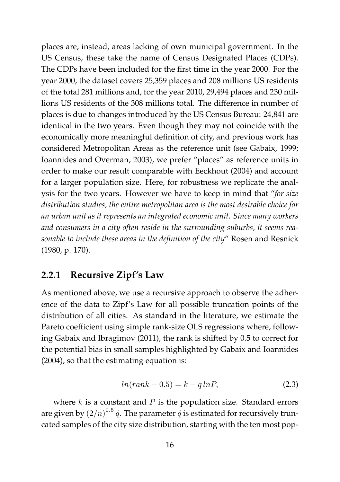places are, instead, areas lacking of own municipal government. In the US Census, these take the name of Census Designated Places (CDPs). The CDPs have been included for the first time in the year 2000. For the year 2000, the dataset covers 25,359 places and 208 millions US residents of the total 281 millions and, for the year 2010, 29,494 places and 230 millions US residents of the 308 millions total. The difference in number of places is due to changes introduced by the US Census Bureau: 24,841 are identical in the two years. Even though they may not coincide with the economically more meaningful definition of city, and previous work has considered Metropolitan Areas as the reference unit (see Gabaix, 1999; Ioannides and Overman, 2003), we prefer "places" as reference units in order to make our result comparable with Eeckhout (2004) and account for a larger population size. Here, for robustness we replicate the analysis for the two years. However we have to keep in mind that "*for size distribution studies, the entire metropolitan area is the most desirable choice for an urban unit as it represents an integrated economic unit. Since many workers and consumers in a city often reside in the surrounding suburbs, it seems reasonable to include these areas in the definition of the city*" Rosen and Resnick (1980, p. 170).

#### <span id="page-33-0"></span>**2.2.1 Recursive Zipf's Law**

As mentioned above, we use a recursive approach to observe the adherence of the data to Zipf's Law for all possible truncation points of the distribution of all cities. As standard in the literature, we estimate the Pareto coefficient using simple rank-size OLS regressions where, following Gabaix and Ibragimov (2011), the rank is shifted by 0.5 to correct for the potential bias in small samples highlighted by Gabaix and Ioannides (2004), so that the estimating equation is:

<span id="page-33-1"></span>
$$
ln(rank - 0.5) = k - q \ln P,\tag{2.3}
$$

where  $k$  is a constant and  $P$  is the population size. Standard errors are given by  $\left(2/n\right)^{0.5} \hat{q}$ . The parameter  $\hat{q}$  is estimated for recursively truncated samples of the city size distribution, starting with the ten most pop-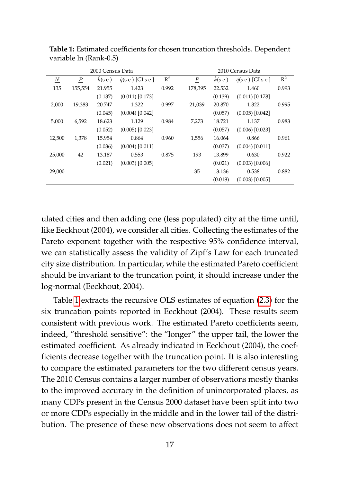| 2000 Census Data         |                  |         |                            |                |                |         | 2010 Census Data           |                |
|--------------------------|------------------|---------|----------------------------|----------------|----------------|---------|----------------------------|----------------|
| $\mathbf{\underline{N}}$ | $\boldsymbol{P}$ | k(s.e.) | $\hat{q}$ (s.e.) [GI s.e.] | $\mathbb{R}^2$ | $\overline{P}$ | k(s.e.) | $\hat{q}$ (s.e.) [GI s.e.] | $\mathbb{R}^2$ |
| 135                      | 155,554          | 21.955  | 1.423                      | 0.992          | 178,395        | 22.532  | 1.460                      | 0.993          |
|                          |                  | (0.137) | $(0.011)$ $[0.173]$        |                |                | (0.139) | $(0.011)$ [0.178]          |                |
| 2,000                    | 19,383           | 20.747  | 1.322                      | 0.997          | 21,039         | 20.870  | 1.322                      | 0.995          |
|                          |                  | (0.045) | $(0.004)$ [0.042]          |                |                | (0.057) | $(0.005)$ [0.042]          |                |
| 5,000                    | 6,592            | 18.623  | 1.129                      | 0.984          | 7,273          | 18.721  | 1.137                      | 0.983          |
|                          |                  | (0.052) | $(0.005)$ [0.023]          |                |                | (0.057) | $(0.006)$ [0.023]          |                |
| 12,500                   | 1,378            | 15.954  | 0.864                      | 0.960          | 1,556          | 16.064  | 0.866                      | 0.961          |
|                          |                  | (0.036) | $(0.004)$ [0.011]          |                |                | (0.037) | $(0.004)$ [0.011]          |                |
| 25,000                   | 42               | 13.187  | 0.553                      | 0.875          | 193            | 13.899  | 0.630                      | 0.922          |
|                          |                  | (0.021) | $(0.003)$ $[0.005]$        |                |                | (0.021) | $(0.003)$ [0.006]          |                |
| 29,000                   |                  |         |                            |                | 35             | 13.136  | 0.538                      | 0.882          |
|                          |                  |         |                            |                |                | (0.018) | $(0.003)$ [0.005]          |                |

<span id="page-34-0"></span>**Table 1:** Estimated coefficients for chosen truncation thresholds. Dependent variable ln (Rank-0.5)

ulated cities and then adding one (less populated) city at the time until, like Eeckhout (2004), we consider all cities. Collecting the estimates of the Pareto exponent together with the respective 95% confidence interval, we can statistically assess the validity of Zipf's Law for each truncated city size distribution. In particular, while the estimated Pareto coefficient should be invariant to the truncation point, it should increase under the log-normal (Eeckhout, 2004).

Table [1](#page-34-0) extracts the recursive OLS estimates of equation [\(2.3\)](#page-33-1) for the six truncation points reported in Eeckhout (2004). These results seem consistent with previous work. The estimated Pareto coefficients seem, indeed, "threshold sensitive": the "longer" the upper tail, the lower the estimated coefficient. As already indicated in Eeckhout (2004), the coefficients decrease together with the truncation point. It is also interesting to compare the estimated parameters for the two different census years. The 2010 Census contains a larger number of observations mostly thanks to the improved accuracy in the definition of unincorporated places, as many CDPs present in the Census 2000 dataset have been split into two or more CDPs especially in the middle and in the lower tail of the distribution. The presence of these new observations does not seem to affect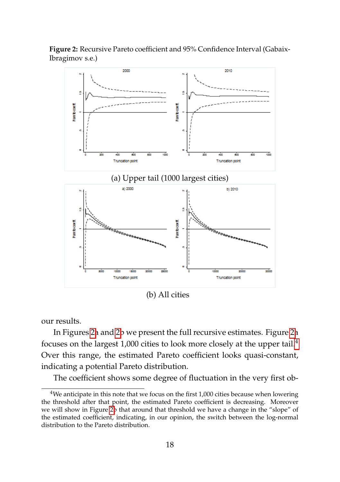**Figure 2:** Recursive Pareto coefficient and 95% Confidence Interval (Gabaix-Ibragimov s.e.)

<span id="page-35-0"></span>

(b) All cities

our results.

In Figures [2a](#page-35-0) and [2b](#page-35-0) we present the full recursive estimates. Figure [2a](#page-35-0) focuses on the largest 1,000 cities to look more closely at the upper tail.[4](#page-35-1) Over this range, the estimated Pareto coefficient looks quasi-constant, indicating a potential Pareto distribution.

The coefficient shows some degree of fluctuation in the very first ob-

<span id="page-35-1"></span><sup>&</sup>lt;sup>4</sup>We anticipate in this note that we focus on the first 1,000 cities because when lowering the threshold after that point, the estimated Pareto coefficient is decreasing. Moreover we will show in Figure [2b](#page-35-0) that around that threshold we have a change in the "slope" of the estimated coefficient, indicating, in our opinion, the switch between the log-normal distribution to the Pareto distribution.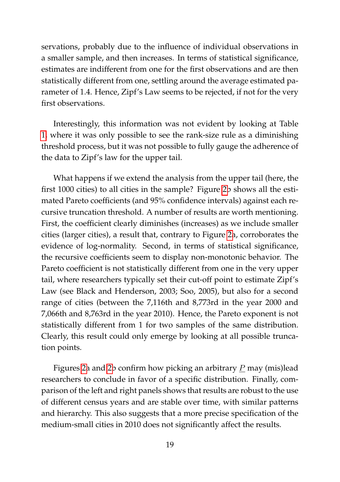servations, probably due to the influence of individual observations in a smaller sample, and then increases. In terms of statistical significance, estimates are indifferent from one for the first observations and are then statistically different from one, settling around the average estimated parameter of 1.4. Hence, Zipf's Law seems to be rejected, if not for the very first observations.

Interestingly, this information was not evident by looking at Table [1,](#page-34-0) where it was only possible to see the rank-size rule as a diminishing threshold process, but it was not possible to fully gauge the adherence of the data to Zipf's law for the upper tail.

What happens if we extend the analysis from the upper tail (here, the first 1000 cities) to all cities in the sample? Figure [2b](#page-35-0) shows all the estimated Pareto coefficients (and 95% confidence intervals) against each recursive truncation threshold. A number of results are worth mentioning. First, the coefficient clearly diminishes (increases) as we include smaller cities (larger cities), a result that, contrary to Figure [2a](#page-35-0), corroborates the evidence of log-normality. Second, in terms of statistical significance, the recursive coefficients seem to display non-monotonic behavior. The Pareto coefficient is not statistically different from one in the very upper tail, where researchers typically set their cut-off point to estimate Zipf's Law (see Black and Henderson, 2003; Soo, 2005), but also for a second range of cities (between the 7,116th and 8,773rd in the year 2000 and 7,066th and 8,763rd in the year 2010). Hence, the Pareto exponent is not statistically different from 1 for two samples of the same distribution. Clearly, this result could only emerge by looking at all possible truncation points.

Figures [2a](#page-35-0) and [2b](#page-35-0) confirm how picking an arbitrary  $\underline{P}$  may (mis)lead researchers to conclude in favor of a specific distribution. Finally, comparison of the left and right panels shows that results are robust to the use of different census years and are stable over time, with similar patterns and hierarchy. This also suggests that a more precise specification of the medium-small cities in 2010 does not significantly affect the results.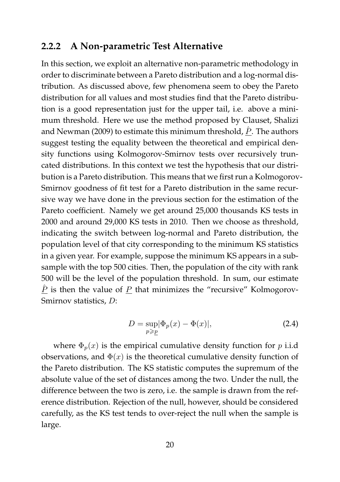#### **2.2.2 A Non-parametric Test Alternative**

In this section, we exploit an alternative non-parametric methodology in order to discriminate between a Pareto distribution and a log-normal distribution. As discussed above, few phenomena seem to obey the Pareto distribution for all values and most studies find that the Pareto distribution is a good representation just for the upper tail, i.e. above a minimum threshold. Here we use the method proposed by Clauset, Shalizi and Newman (2009) to estimate this minimum threshold,  $\hat{P}$ . The authors suggest testing the equality between the theoretical and empirical density functions using Kolmogorov-Smirnov tests over recursively truncated distributions. In this context we test the hypothesis that our distribution is a Pareto distribution. This means that we first run a Kolmogorov-Smirnov goodness of fit test for a Pareto distribution in the same recursive way we have done in the previous section for the estimation of the Pareto coefficient. Namely we get around 25,000 thousands KS tests in 2000 and around 29,000 KS tests in 2010. Then we choose as threshold, indicating the switch between log-normal and Pareto distribution, the population level of that city corresponding to the minimum KS statistics in a given year. For example, suppose the minimum KS appears in a subsample with the top 500 cities. Then, the population of the city with rank 500 will be the level of the population threshold. In sum, our estimate  $\hat{P}$  is then the value of P that minimizes the "recursive" Kolmogorov-Smirnov statistics, D:

$$
D = \sup_{p \ge p} |\Phi_p(x) - \Phi(x)|,\tag{2.4}
$$

where  $\Phi_n(x)$  is the empirical cumulative density function for p i.i.d observations, and  $\Phi(x)$  is the theoretical cumulative density function of the Pareto distribution. The KS statistic computes the supremum of the absolute value of the set of distances among the two. Under the null, the difference between the two is zero, i.e. the sample is drawn from the reference distribution. Rejection of the null, however, should be considered carefully, as the KS test tends to over-reject the null when the sample is large.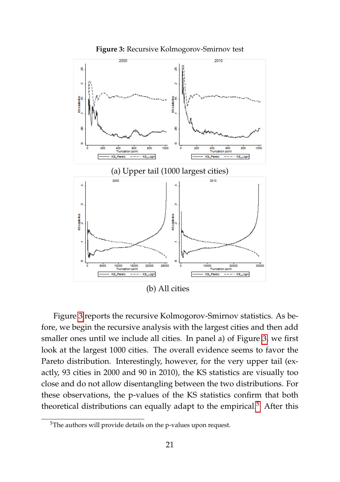<span id="page-38-0"></span>



Figure [3](#page-38-0) reports the recursive Kolmogorov-Smirnov statistics. As before, we begin the recursive analysis with the largest cities and then add smaller ones until we include all cities. In panel a) of Figure [3,](#page-38-0) we first look at the largest 1000 cities. The overall evidence seems to favor the Pareto distribution. Interestingly, however, for the very upper tail (exactly, 93 cities in 2000 and 90 in 2010), the KS statistics are visually too close and do not allow disentangling between the two distributions. For these observations, the p-values of the KS statistics confirm that both theoretical distributions can equally adapt to the empirical.<sup>[5](#page-38-1)</sup> After this

<span id="page-38-1"></span><sup>5</sup>The authors will provide details on the p-values upon request.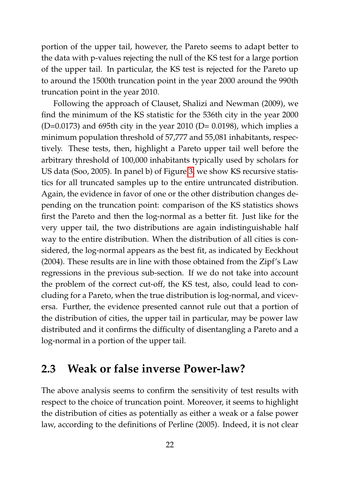portion of the upper tail, however, the Pareto seems to adapt better to the data with p-values rejecting the null of the KS test for a large portion of the upper tail. In particular, the KS test is rejected for the Pareto up to around the 1500th truncation point in the year 2000 around the 990th truncation point in the year 2010.

Following the approach of Clauset, Shalizi and Newman (2009), we find the minimum of the KS statistic for the 536th city in the year 2000  $(D=0.0173)$  and 695th city in the year 2010 (D= 0.0198), which implies a minimum population threshold of 57,777 and 55,081 inhabitants, respectively. These tests, then, highlight a Pareto upper tail well before the arbitrary threshold of 100,000 inhabitants typically used by scholars for US data (Soo, 2005). In panel b) of Figure [3,](#page-38-0) we show KS recursive statistics for all truncated samples up to the entire untruncated distribution. Again, the evidence in favor of one or the other distribution changes depending on the truncation point: comparison of the KS statistics shows first the Pareto and then the log-normal as a better fit. Just like for the very upper tail, the two distributions are again indistinguishable half way to the entire distribution. When the distribution of all cities is considered, the log-normal appears as the best fit, as indicated by Eeckhout (2004). These results are in line with those obtained from the Zipf's Law regressions in the previous sub-section. If we do not take into account the problem of the correct cut-off, the KS test, also, could lead to concluding for a Pareto, when the true distribution is log-normal, and viceversa. Further, the evidence presented cannot rule out that a portion of the distribution of cities, the upper tail in particular, may be power law distributed and it confirms the difficulty of disentangling a Pareto and a log-normal in a portion of the upper tail.

## **2.3 Weak or false inverse Power-law?**

The above analysis seems to confirm the sensitivity of test results with respect to the choice of truncation point. Moreover, it seems to highlight the distribution of cities as potentially as either a weak or a false power law, according to the definitions of Perline (2005). Indeed, it is not clear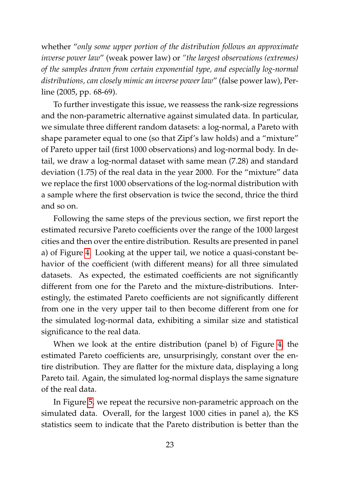whether "*only some upper portion of the distribution follows an approximate inverse power law*" (weak power law) or *"the largest observations (extremes) of the samples drawn from certain exponential type, and especially log-normal distributions, can closely mimic an inverse power law*" (false power law), Perline (2005, pp. 68-69).

To further investigate this issue, we reassess the rank-size regressions and the non-parametric alternative against simulated data. In particular, we simulate three different random datasets: a log-normal, a Pareto with shape parameter equal to one (so that Zipf's law holds) and a "mixture" of Pareto upper tail (first 1000 observations) and log-normal body. In detail, we draw a log-normal dataset with same mean (7.28) and standard deviation (1.75) of the real data in the year 2000. For the "mixture" data we replace the first 1000 observations of the log-normal distribution with a sample where the first observation is twice the second, thrice the third and so on.

Following the same steps of the previous section, we first report the estimated recursive Pareto coefficients over the range of the 1000 largest cities and then over the entire distribution. Results are presented in panel a) of Figure [4.](#page-42-0) Looking at the upper tail, we notice a quasi-constant behavior of the coefficient (with different means) for all three simulated datasets. As expected, the estimated coefficients are not significantly different from one for the Pareto and the mixture-distributions. Interestingly, the estimated Pareto coefficients are not significantly different from one in the very upper tail to then become different from one for the simulated log-normal data, exhibiting a similar size and statistical significance to the real data.

When we look at the entire distribution (panel b) of Figure [4,](#page-42-0) the estimated Pareto coefficients are, unsurprisingly, constant over the entire distribution. They are flatter for the mixture data, displaying a long Pareto tail. Again, the simulated log-normal displays the same signature of the real data.

In Figure [5,](#page-43-0) we repeat the recursive non-parametric approach on the simulated data. Overall, for the largest 1000 cities in panel a), the KS statistics seem to indicate that the Pareto distribution is better than the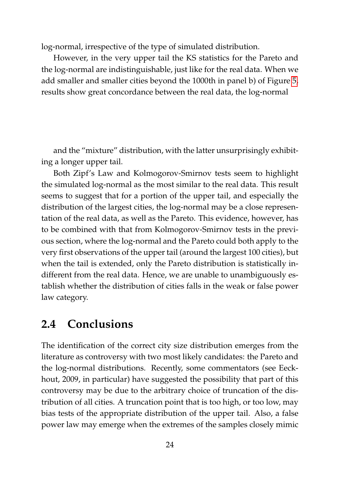log-normal, irrespective of the type of simulated distribution.

However, in the very upper tail the KS statistics for the Pareto and the log-normal are indistinguishable, just like for the real data. When we add smaller and smaller cities beyond the 1000th in panel b) of Figure [5,](#page-43-0) results show great concordance between the real data, the log-normal

and the "mixture" distribution, with the latter unsurprisingly exhibiting a longer upper tail.

Both Zipf's Law and Kolmogorov-Smirnov tests seem to highlight the simulated log-normal as the most similar to the real data. This result seems to suggest that for a portion of the upper tail, and especially the distribution of the largest cities, the log-normal may be a close representation of the real data, as well as the Pareto. This evidence, however, has to be combined with that from Kolmogorov-Smirnov tests in the previous section, where the log-normal and the Pareto could both apply to the very first observations of the upper tail (around the largest 100 cities), but when the tail is extended, only the Pareto distribution is statistically indifferent from the real data. Hence, we are unable to unambiguously establish whether the distribution of cities falls in the weak or false power law category.

## **2.4 Conclusions**

The identification of the correct city size distribution emerges from the literature as controversy with two most likely candidates: the Pareto and the log-normal distributions. Recently, some commentators (see Eeckhout, 2009, in particular) have suggested the possibility that part of this controversy may be due to the arbitrary choice of truncation of the distribution of all cities. A truncation point that is too high, or too low, may bias tests of the appropriate distribution of the upper tail. Also, a false power law may emerge when the extremes of the samples closely mimic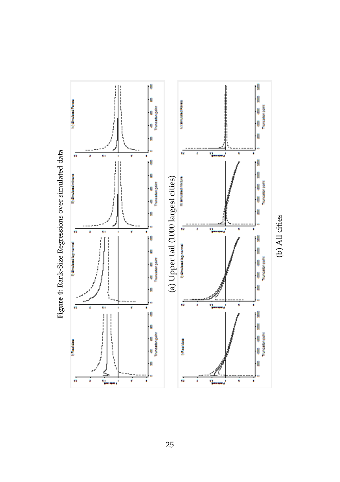<span id="page-42-0"></span>

Figure 4: Rank-Size Regressions over simulated data **Figure 4:** Rank-Size Regressions over simulated data

25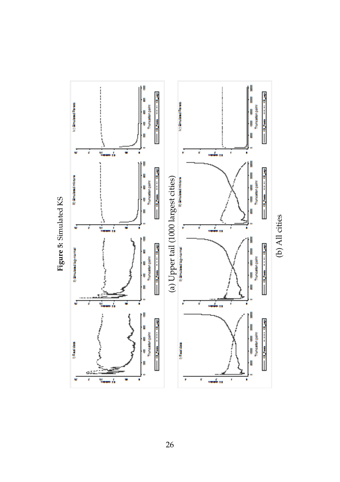<span id="page-43-0"></span>

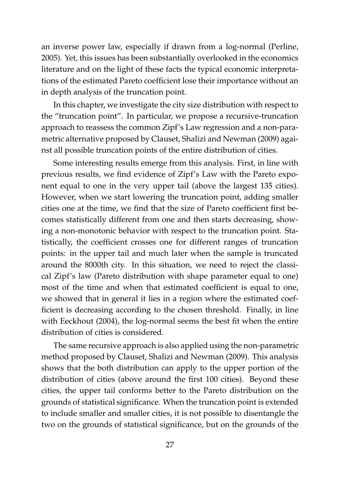an inverse power law, especially if drawn from a log-normal (Perline, 2005). Yet, this issues has been substantially overlooked in the economics literature and on the light of these facts the typical economic interpretations of the estimated Pareto coefficient lose their importance without an in depth analysis of the truncation point.

In this chapter, we investigate the city size distribution with respect to the "truncation point". In particular, we propose a recursive-truncation approach to reassess the common Zipf's Law regression and a non-parametric alternative proposed by Clauset, Shalizi and Newman (2009) against all possible truncation points of the entire distribution of cities.

Some interesting results emerge from this analysis. First, in line with previous results, we find evidence of Zipf's Law with the Pareto exponent equal to one in the very upper tail (above the largest 135 cities). However, when we start lowering the truncation point, adding smaller cities one at the time, we find that the size of Pareto coefficient first becomes statistically different from one and then starts decreasing, showing a non-monotonic behavior with respect to the truncation point. Statistically, the coefficient crosses one for different ranges of truncation points: in the upper tail and much later when the sample is truncated around the 8000th city. In this situation, we need to reject the classical Zipf's law (Pareto distribution with shape parameter equal to one) most of the time and when that estimated coefficient is equal to one, we showed that in general it lies in a region where the estimated coefficient is decreasing according to the chosen threshold. Finally, in line with Eeckhout (2004), the log-normal seems the best fit when the entire distribution of cities is considered.

The same recursive approach is also applied using the non-parametric method proposed by Clauset, Shalizi and Newman (2009). This analysis shows that the both distribution can apply to the upper portion of the distribution of cities (above around the first 100 cities). Beyond these cities, the upper tail conforms better to the Pareto distribution on the grounds of statistical significance. When the truncation point is extended to include smaller and smaller cities, it is not possible to disentangle the two on the grounds of statistical significance, but on the grounds of the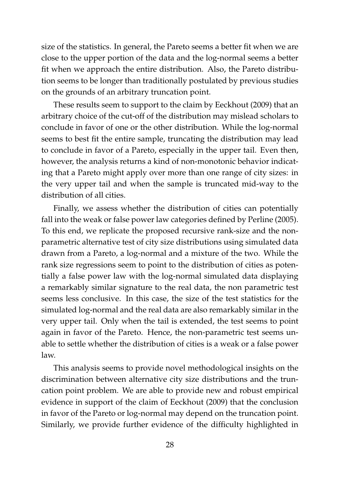size of the statistics. In general, the Pareto seems a better fit when we are close to the upper portion of the data and the log-normal seems a better fit when we approach the entire distribution. Also, the Pareto distribution seems to be longer than traditionally postulated by previous studies on the grounds of an arbitrary truncation point.

These results seem to support to the claim by Eeckhout (2009) that an arbitrary choice of the cut-off of the distribution may mislead scholars to conclude in favor of one or the other distribution. While the log-normal seems to best fit the entire sample, truncating the distribution may lead to conclude in favor of a Pareto, especially in the upper tail. Even then, however, the analysis returns a kind of non-monotonic behavior indicating that a Pareto might apply over more than one range of city sizes: in the very upper tail and when the sample is truncated mid-way to the distribution of all cities.

Finally, we assess whether the distribution of cities can potentially fall into the weak or false power law categories defined by Perline (2005). To this end, we replicate the proposed recursive rank-size and the nonparametric alternative test of city size distributions using simulated data drawn from a Pareto, a log-normal and a mixture of the two. While the rank size regressions seem to point to the distribution of cities as potentially a false power law with the log-normal simulated data displaying a remarkably similar signature to the real data, the non parametric test seems less conclusive. In this case, the size of the test statistics for the simulated log-normal and the real data are also remarkably similar in the very upper tail. Only when the tail is extended, the test seems to point again in favor of the Pareto. Hence, the non-parametric test seems unable to settle whether the distribution of cities is a weak or a false power law.

This analysis seems to provide novel methodological insights on the discrimination between alternative city size distributions and the truncation point problem. We are able to provide new and robust empirical evidence in support of the claim of Eeckhout (2009) that the conclusion in favor of the Pareto or log-normal may depend on the truncation point. Similarly, we provide further evidence of the difficulty highlighted in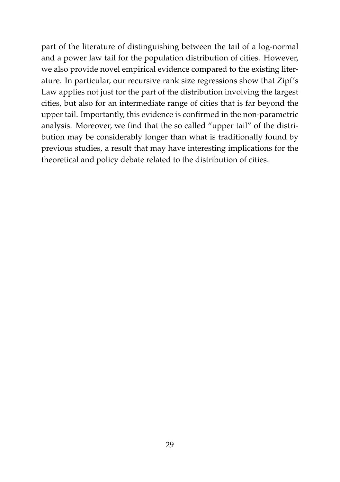part of the literature of distinguishing between the tail of a log-normal and a power law tail for the population distribution of cities. However, we also provide novel empirical evidence compared to the existing literature. In particular, our recursive rank size regressions show that Zipf's Law applies not just for the part of the distribution involving the largest cities, but also for an intermediate range of cities that is far beyond the upper tail. Importantly, this evidence is confirmed in the non-parametric analysis. Moreover, we find that the so called "upper tail" of the distribution may be considerably longer than what is traditionally found by previous studies, a result that may have interesting implications for the theoretical and policy debate related to the distribution of cities.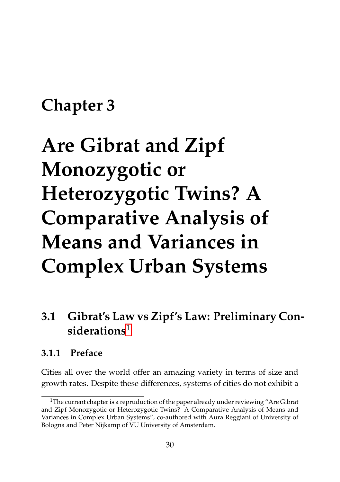## **Chapter 3**

# **Are Gibrat and Zipf Monozygotic or Heterozygotic Twins? A Comparative Analysis of Means and Variances in Complex Urban Systems**

## <span id="page-47-1"></span>**3.1 Gibrat's Law vs Zipf's Law: Preliminary Considerations**[1](#page-47-0)

#### <span id="page-47-2"></span>**3.1.1 Preface**

Cities all over the world offer an amazing variety in terms of size and growth rates. Despite these differences, systems of cities do not exhibit a

<span id="page-47-0"></span> $1$ The current chapter is a repruduction of the paper already under reviewing "Are Gibrat and Zipf Monozygotic or Heterozygotic Twins? A Comparative Analysis of Means and Variances in Complex Urban Systems", co-authored with Aura Reggiani of University of Bologna and Peter Nijkamp of VU University of Amsterdam.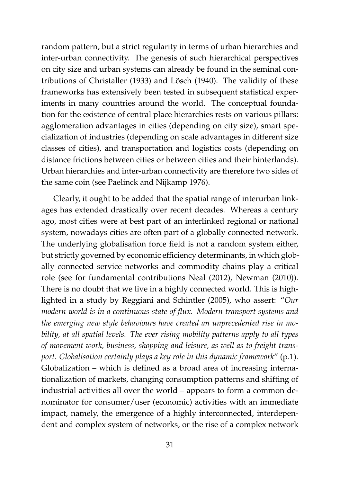random pattern, but a strict regularity in terms of urban hierarchies and inter-urban connectivity. The genesis of such hierarchical perspectives on city size and urban systems can already be found in the seminal contributions of Christaller (1933) and Lösch (1940). The validity of these frameworks has extensively been tested in subsequent statistical experiments in many countries around the world. The conceptual foundation for the existence of central place hierarchies rests on various pillars: agglomeration advantages in cities (depending on city size), smart specialization of industries (depending on scale advantages in different size classes of cities), and transportation and logistics costs (depending on distance frictions between cities or between cities and their hinterlands). Urban hierarchies and inter-urban connectivity are therefore two sides of the same coin (see Paelinck and Nijkamp 1976).

Clearly, it ought to be added that the spatial range of interurban linkages has extended drastically over recent decades. Whereas a century ago, most cities were at best part of an interlinked regional or national system, nowadays cities are often part of a globally connected network. The underlying globalisation force field is not a random system either, but strictly governed by economic efficiency determinants, in which globally connected service networks and commodity chains play a critical role (see for fundamental contributions Neal (2012), Newman (2010)). There is no doubt that we live in a highly connected world. This is highlighted in a study by Reggiani and Schintler (2005), who assert: "*Our modern world is in a continuous state of flux. Modern transport systems and the emerging new style behaviours have created an unprecedented rise in mobility, at all spatial levels. The ever rising mobility patterns apply to all types of movement work, business, shopping and leisure, as well as to freight transport. Globalisation certainly plays a key role in this dynamic framework*" (p.1). Globalization – which is defined as a broad area of increasing internationalization of markets, changing consumption patterns and shifting of industrial activities all over the world – appears to form a common denominator for consumer/user (economic) activities with an immediate impact, namely, the emergence of a highly interconnected, interdependent and complex system of networks, or the rise of a complex network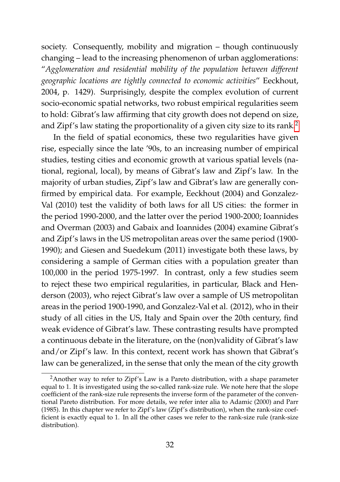society. Consequently, mobility and migration – though continuously changing – lead to the increasing phenomenon of urban agglomerations: "*Agglomeration and residential mobility of the population between different geographic locations are tightly connected to economic activities*" Eeckhout, 2004, p. 1429). Surprisingly, despite the complex evolution of current socio-economic spatial networks, two robust empirical regularities seem to hold: Gibrat's law affirming that city growth does not depend on size, and Zipf's law stating the proportionality of a given city size to its rank.[2](#page-49-0)

In the field of spatial economics, these two regularities have given rise, especially since the late '90s, to an increasing number of empirical studies, testing cities and economic growth at various spatial levels (national, regional, local), by means of Gibrat's law and Zipf's law. In the majority of urban studies, Zipf's law and Gibrat's law are generally confirmed by empirical data. For example, Eeckhout (2004) and Gonzalez-Val (2010) test the validity of both laws for all US cities: the former in the period 1990-2000, and the latter over the period 1900-2000; Ioannides and Overman (2003) and Gabaix and Ioannides (2004) examine Gibrat's and Zipf's laws in the US metropolitan areas over the same period (1900- 1990); and Giesen and Suedekum (2011) investigate both these laws, by considering a sample of German cities with a population greater than 100,000 in the period 1975-1997. In contrast, only a few studies seem to reject these two empirical regularities, in particular, Black and Henderson (2003), who reject Gibrat's law over a sample of US metropolitan areas in the period 1900-1990, and Gonzalez-Val et al. (2012), who in their study of all cities in the US, Italy and Spain over the 20th century, find weak evidence of Gibrat's law. These contrasting results have prompted a continuous debate in the literature, on the (non)validity of Gibrat's law and/or Zipf's law. In this context, recent work has shown that Gibrat's law can be generalized, in the sense that only the mean of the city growth

<span id="page-49-0"></span><sup>&</sup>lt;sup>2</sup> Another way to refer to Zipf's Law is a Pareto distribution, with a shape parameter equal to 1. It is investigated using the so-called rank-size rule. We note here that the slope coefficient of the rank-size rule represents the inverse form of the parameter of the conventional Pareto distribution. For more details, we refer inter alia to Adamic (2000) and Parr (1985). In this chapter we refer to Zipf's law (Zipf's distribution), when the rank-size coefficient is exactly equal to 1. In all the other cases we refer to the rank-size rule (rank-size distribution).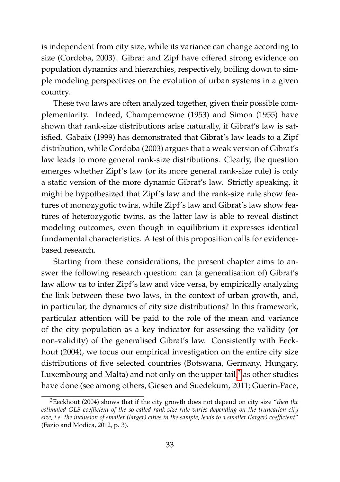is independent from city size, while its variance can change according to size (Cordoba, 2003). Gibrat and Zipf have offered strong evidence on population dynamics and hierarchies, respectively, boiling down to simple modeling perspectives on the evolution of urban systems in a given country.

These two laws are often analyzed together, given their possible complementarity. Indeed, Champernowne (1953) and Simon (1955) have shown that rank-size distributions arise naturally, if Gibrat's law is satisfied. Gabaix (1999) has demonstrated that Gibrat's law leads to a Zipf distribution, while Cordoba (2003) argues that a weak version of Gibrat's law leads to more general rank-size distributions. Clearly, the question emerges whether Zipf's law (or its more general rank-size rule) is only a static version of the more dynamic Gibrat's law. Strictly speaking, it might be hypothesized that Zipf's law and the rank-size rule show features of monozygotic twins, while Zipf's law and Gibrat's law show features of heterozygotic twins, as the latter law is able to reveal distinct modeling outcomes, even though in equilibrium it expresses identical fundamental characteristics. A test of this proposition calls for evidencebased research.

Starting from these considerations, the present chapter aims to answer the following research question: can (a generalisation of) Gibrat's law allow us to infer Zipf's law and vice versa, by empirically analyzing the link between these two laws, in the context of urban growth, and, in particular, the dynamics of city size distributions? In this framework, particular attention will be paid to the role of the mean and variance of the city population as a key indicator for assessing the validity (or non-validity) of the generalised Gibrat's law. Consistently with Eeckhout (2004), we focus our empirical investigation on the entire city size distributions of five selected countries (Botswana, Germany, Hungary, Luxembourg and Malta) and not only on the upper tail, $3$  as other studies have done (see among others, Giesen and Suedekum, 2011; Guerin-Pace,

<span id="page-50-0"></span><sup>3</sup>Eeckhout (2004) shows that if the city growth does not depend on city size "*then the estimated OLS coefficient of the so-called rank-size rule varies depending on the truncation city size, i.e. the inclusion of smaller (larger) cities in the sample, leads to a smaller (larger) coefficient*" (Fazio and Modica, 2012, p. 3).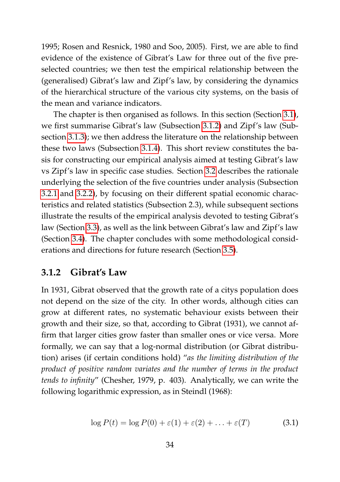1995; Rosen and Resnick, 1980 and Soo, 2005). First, we are able to find evidence of the existence of Gibrat's Law for three out of the five preselected countries; we then test the empirical relationship between the (generalised) Gibrat's law and Zipf's law, by considering the dynamics of the hierarchical structure of the various city systems, on the basis of the mean and variance indicators.

The chapter is then organised as follows. In this section (Section [3.1\)](#page-47-1), we first summarise Gibrat's law (Subsection [3.1.2\)](#page-51-0) and Zipf's law (Subsection [3.1.3\)](#page-53-0); we then address the literature on the relationship between these two laws (Subsection [3.1.4\)](#page-55-0). This short review constitutes the basis for constructing our empirical analysis aimed at testing Gibrat's law vs Zipf's law in specific case studies. Section [3.2](#page-59-0) describes the rationale underlying the selection of the five countries under analysis (Subsection [3.2.1](#page-59-1) and [3.2.2\)](#page-60-0), by focusing on their different spatial economic characteristics and related statistics (Subsection 2.3), while subsequent sections illustrate the results of the empirical analysis devoted to testing Gibrat's law (Section [3.3\)](#page-63-0), as well as the link between Gibrat's law and Zipf's law (Section [3.4\)](#page-71-0). The chapter concludes with some methodological considerations and directions for future research (Section [3.5\)](#page-82-0).

#### <span id="page-51-0"></span>**3.1.2 Gibrat's Law**

In 1931, Gibrat observed that the growth rate of a citys population does not depend on the size of the city. In other words, although cities can grow at different rates, no systematic behaviour exists between their growth and their size, so that, according to Gibrat (1931), we cannot affirm that larger cities grow faster than smaller ones or vice versa. More formally, we can say that a log-normal distribution (or Gibrat distribution) arises (if certain conditions hold) "*as the limiting distribution of the product of positive random variates and the number of terms in the product tends to infinity*" (Chesher, 1979, p. 403). Analytically, we can write the following logarithmic expression, as in Steindl (1968):

<span id="page-51-1"></span>
$$
\log P(t) = \log P(0) + \varepsilon(1) + \varepsilon(2) + \ldots + \varepsilon(T) \tag{3.1}
$$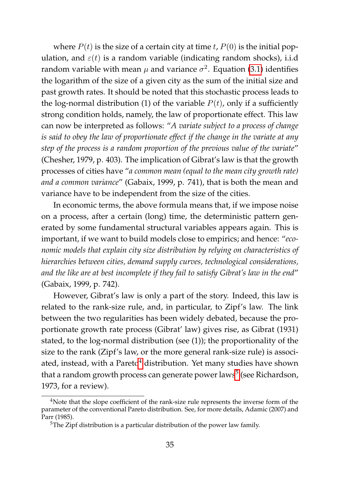where  $P(t)$  is the size of a certain city at time t,  $P(0)$  is the initial population, and  $\varepsilon(t)$  is a random variable (indicating random shocks), i.i.d random variable with mean  $\mu$  and variance  $\sigma^2$ . Equation [\(3.1\)](#page-51-1) identifies the logarithm of the size of a given city as the sum of the initial size and past growth rates. It should be noted that this stochastic process leads to the log-normal distribution (1) of the variable  $P(t)$ , only if a sufficiently strong condition holds, namely, the law of proportionate effect. This law can now be interpreted as follows: "*A variate subject to a process of change is said to obey the law of proportionate effect if the change in the variate at any step of the process is a random proportion of the previous value of the variate*" (Chesher, 1979, p. 403). The implication of Gibrat's law is that the growth processes of cities have "*a common mean (equal to the mean city growth rate) and a common variance*" (Gabaix, 1999, p. 741), that is both the mean and variance have to be independent from the size of the cities.

In economic terms, the above formula means that, if we impose noise on a process, after a certain (long) time, the deterministic pattern generated by some fundamental structural variables appears again. This is important, if we want to build models close to empirics; and hence: "*economic models that explain city size distribution by relying on characteristics of hierarchies between cities, demand supply curves, technological considerations, and the like are at best incomplete if they fail to satisfy Gibrat's law in the end*" (Gabaix, 1999, p. 742).

However, Gibrat's law is only a part of the story. Indeed, this law is related to the rank-size rule, and, in particular, to Zipf's law. The link between the two regularities has been widely debated, because the proportionate growth rate process (Gibrat' law) gives rise, as Gibrat (1931) stated, to the log-normal distribution (see (1)); the proportionality of the size to the rank (Zipf's law, or the more general rank-size rule) is associ-ated, instead, with a Pareto<sup>[4](#page-52-0)</sup> distribution. Yet many studies have shown that a random growth process can generate power laws<sup>[5](#page-52-1)</sup> (see Richardson, 1973, for a review).

<span id="page-52-0"></span><sup>&</sup>lt;sup>4</sup>Note that the slope coefficient of the rank-size rule represents the inverse form of the parameter of the conventional Pareto distribution. See, for more details, Adamic (2007) and Parr (1985).

<span id="page-52-1"></span><sup>5</sup>The Zipf distribution is a particular distribution of the power law family.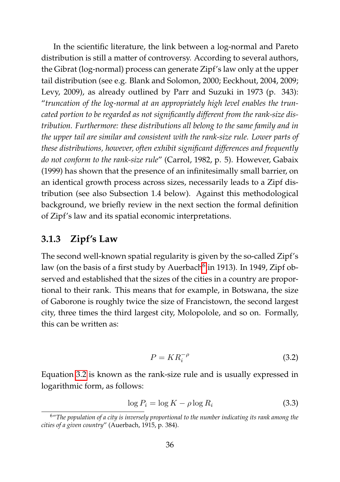In the scientific literature, the link between a log-normal and Pareto distribution is still a matter of controversy. According to several authors, the Gibrat (log-normal) process can generate Zipf's law only at the upper tail distribution (see e.g. Blank and Solomon, 2000; Eeckhout, 2004, 2009; Levy, 2009), as already outlined by Parr and Suzuki in 1973 (p. 343): "*truncation of the log-normal at an appropriately high level enables the truncated portion to be regarded as not significantly different from the rank-size distribution. Furthermore: these distributions all belong to the same family and in the upper tail are similar and consistent with the rank-size rule. Lower parts of these distributions, however, often exhibit significant differences and frequently do not conform to the rank-size rule*" (Carrol, 1982, p. 5). However, Gabaix (1999) has shown that the presence of an infinitesimally small barrier, on an identical growth process across sizes, necessarily leads to a Zipf distribution (see also Subsection 1.4 below). Against this methodological background, we briefly review in the next section the formal definition of Zipf's law and its spatial economic interpretations.

#### <span id="page-53-0"></span>**3.1.3 Zipf's Law**

The second well-known spatial regularity is given by the so-called Zipf's law (on the basis of a first study by Auerbach<sup>[6](#page-53-1)</sup> in 1913). In 1949*,* Zipf observed and established that the sizes of the cities in a country are proportional to their rank. This means that for example, in Botswana, the size of Gaborone is roughly twice the size of Francistown, the second largest city, three times the third largest city, Molopolole, and so on. Formally, this can be written as:

<span id="page-53-2"></span>
$$
P = KR_i^{-\rho} \tag{3.2}
$$

Equation [3.2](#page-53-2) is known as the rank-size rule and is usually expressed in logarithmic form, as follows:

<span id="page-53-3"></span>
$$
\log P_i = \log K - \rho \log R_i \tag{3.3}
$$

<span id="page-53-1"></span><sup>6</sup>"*The population of a city is inversely proportional to the number indicating its rank among the cities of a given country*" (Auerbach, 1915, p. 384).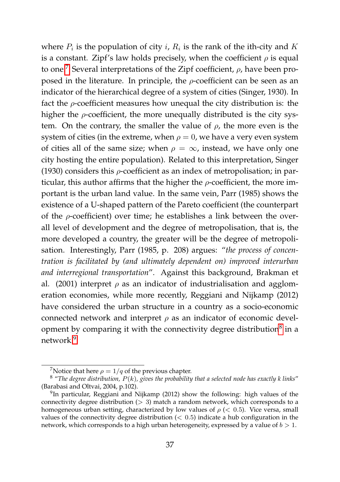where  $P_i$  is the population of city i,  $R_i$  is the rank of the ith-city and K is a constant. Zipf's law holds precisely, when the coefficient  $\rho$  is equal to one.<sup>[7](#page-54-0)</sup> Several interpretations of the Zipf coefficient,  $\rho$ , have been proposed in the literature. In principle, the  $\rho$ -coefficient can be seen as an indicator of the hierarchical degree of a system of cities (Singer, 1930). In fact the  $\rho$ -coefficient measures how unequal the city distribution is: the higher the  $\rho$ -coefficient, the more unequally distributed is the city system. On the contrary, the smaller the value of  $\rho$ , the more even is the system of cities (in the extreme, when  $\rho = 0$ , we have a very even system of cities all of the same size; when  $\rho = \infty$ , instead, we have only one city hosting the entire population). Related to this interpretation, Singer (1930) considers this  $\rho$ -coefficient as an index of metropolisation; in particular, this author affirms that the higher the  $\rho$ -coefficient, the more important is the urban land value. In the same vein, Parr (1985) shows the existence of a U-shaped pattern of the Pareto coefficient (the counterpart of the  $\rho$ -coefficient) over time; he establishes a link between the overall level of development and the degree of metropolisation, that is, the more developed a country, the greater will be the degree of metropolisation. Interestingly, Parr (1985, p. 208) argues: "*the process of concentration is facilitated by (and ultimately dependent on) improved interurban and interregional transportation*". Against this background, Brakman et al. (2001) interpret  $\rho$  as an indicator of industrialisation and agglomeration economies, while more recently, Reggiani and Nijkamp (2012) have considered the urban structure in a country as a socio-economic connected network and interpret  $\rho$  as an indicator of economic devel-opment by comparing it with the connectivity degree distribution<sup>[8](#page-54-1)</sup> in a network<sup>[9](#page-54-2)</sup>

<span id="page-54-1"></span><span id="page-54-0"></span><sup>&</sup>lt;sup>7</sup>Notice that here  $\rho = 1/q$  of the previous chapter.

<sup>8</sup> "*The degree distribution,* P(k)*, gives the probability that a selected node has exactly k links*" (Barabasi and Oltvai, 2004, p.102).

<span id="page-54-2"></span><sup>&</sup>lt;sup>9</sup>In particular, Reggiani and Nijkamp (2012) show the following: high values of the connectivity degree distribution  $(> 3)$  match a random network, which corresponds to a homogeneous urban setting, characterized by low values of  $\rho \, \langle \, \langle 0.5 \rangle$ . Vice versa, small values of the connectivity degree distribution  $(< 0.5)$  indicate a hub configuration in the network, which corresponds to a high urban heterogeneity, expressed by a value of  $b > 1$ .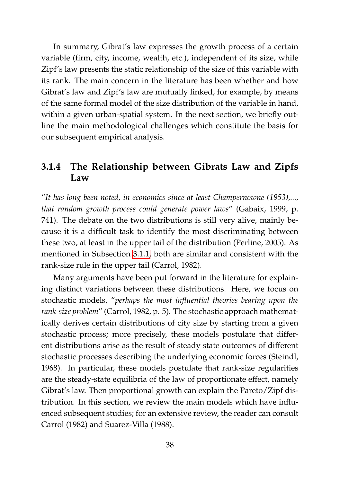In summary, Gibrat's law expresses the growth process of a certain variable (firm, city, income, wealth, etc.), independent of its size, while Zipf's law presents the static relationship of the size of this variable with its rank. The main concern in the literature has been whether and how Gibrat's law and Zipf's law are mutually linked, for example, by means of the same formal model of the size distribution of the variable in hand, within a given urban-spatial system. In the next section, we briefly outline the main methodological challenges which constitute the basis for our subsequent empirical analysis.

#### <span id="page-55-0"></span>**3.1.4 The Relationship between Gibrats Law and Zipfs Law**

"*It has long been noted, in economics since at least Champernowne (1953),..., that random growth process could generate power laws*" (Gabaix, 1999, p. 741). The debate on the two distributions is still very alive, mainly because it is a difficult task to identify the most discriminating between these two, at least in the upper tail of the distribution (Perline, 2005). As mentioned in Subsection [3.1.1,](#page-47-2) both are similar and consistent with the rank-size rule in the upper tail (Carrol, 1982).

Many arguments have been put forward in the literature for explaining distinct variations between these distributions. Here, we focus on stochastic models, "*perhaps the most influential theories bearing upon the rank-size problem*" (Carrol, 1982, p. 5). The stochastic approach mathematically derives certain distributions of city size by starting from a given stochastic process; more precisely, these models postulate that different distributions arise as the result of steady state outcomes of different stochastic processes describing the underlying economic forces (Steindl, 1968). In particular, these models postulate that rank-size regularities are the steady-state equilibria of the law of proportionate effect, namely Gibrat's law. Then proportional growth can explain the Pareto/Zipf distribution. In this section, we review the main models which have influenced subsequent studies; for an extensive review, the reader can consult Carrol (1982) and Suarez-Villa (1988).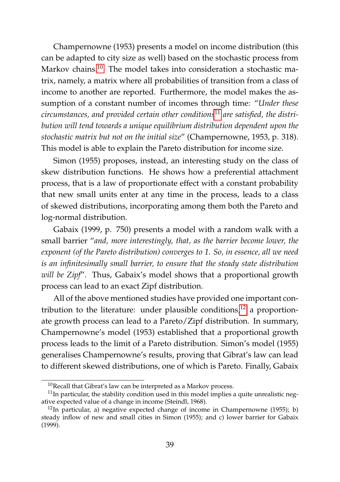Champernowne (1953) presents a model on income distribution (this can be adapted to city size as well) based on the stochastic process from Markov chains.<sup>[10](#page-56-0)</sup> The model takes into consideration a stochastic matrix, namely, a matrix where all probabilities of transition from a class of income to another are reported. Furthermore, the model makes the assumption of a constant number of incomes through time: "*Under these circumstances, and provided certain other conditions*[11](#page-56-1) *are satisfied, the distribution will tend towards a unique equilibrium distribution dependent upon the stochastic matrix but not on the initial size*" (Champernowne, 1953, p. 318). This model is able to explain the Pareto distribution for income size.

Simon (1955) proposes, instead, an interesting study on the class of skew distribution functions. He shows how a preferential attachment process, that is a law of proportionate effect with a constant probability that new small units enter at any time in the process, leads to a class of skewed distributions, incorporating among them both the Pareto and log-normal distribution.

Gabaix (1999, p. 750) presents a model with a random walk with a small barrier "*and, more interestingly, that, as the barrier become lower, the exponent (of the Pareto distribution) converges to 1. So, in essence, all we need is an infinitesimally small barrier, to ensure that the steady state distribution will be Zipf*". Thus, Gabaix's model shows that a proportional growth process can lead to an exact Zipf distribution.

All of the above mentioned studies have provided one important contribution to the literature: under plausible conditions, $12$  a proportionate growth process can lead to a Pareto/Zipf distribution. In summary, Champernowne's model (1953) established that a proportional growth process leads to the limit of a Pareto distribution. Simon's model (1955) generalises Champernowne's results, proving that Gibrat's law can lead to different skewed distributions, one of which is Pareto. Finally, Gabaix

<span id="page-56-1"></span><span id="page-56-0"></span><sup>10</sup>Recall that Gibrat's law can be interpreted as a Markov process.

 $11$ In particular, the stability condition used in this model implies a quite unrealistic negative expected value of a change in income (Steindl, 1968).

<span id="page-56-2"></span> $12$ In particular, a) negative expected change of income in Champernowne (1955); b) steady inflow of new and small cities in Simon (1955); and c) lower barrier for Gabaix (1999).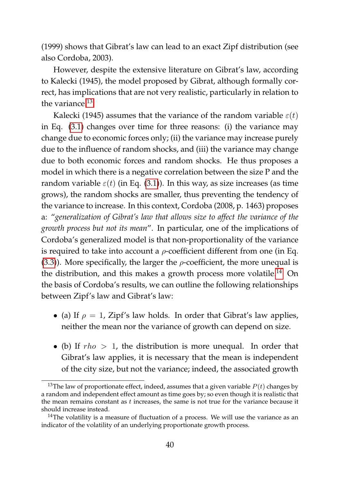(1999) shows that Gibrat's law can lead to an exact Zipf distribution (see also Cordoba, 2003).

However, despite the extensive literature on Gibrat's law, according to Kalecki (1945), the model proposed by Gibrat, although formally correct, has implications that are not very realistic, particularly in relation to the variance.<sup>[13](#page-57-0)</sup>

Kalecki (1945) assumes that the variance of the random variable  $\varepsilon(t)$ in Eq. [\(3.1\)](#page-51-1) changes over time for three reasons: (i) the variance may change due to economic forces only; (ii) the variance may increase purely due to the influence of random shocks, and (iii) the variance may change due to both economic forces and random shocks. He thus proposes a model in which there is a negative correlation between the size P and the random variable  $\varepsilon(t)$  (in Eq. [\(3.1\)](#page-51-1)). In this way, as size increases (as time grows), the random shocks are smaller, thus preventing the tendency of the variance to increase. In this context, Cordoba (2008, p. 1463) proposes a: "*generalization of Gibrat's law that allows size to affect the variance of the growth process but not its mean*". In particular, one of the implications of Cordoba's generalized model is that non-proportionality of the variance is required to take into account a  $\rho$ -coefficient different from one (in Eq. [\(3.3\)](#page-53-3)). More specifically, the larger the  $\rho$ -coefficient, the more unequal is the distribution, and this makes a growth process more volatile.<sup>[14](#page-57-1)</sup> On the basis of Cordoba's results, we can outline the following relationships between Zipf's law and Gibrat's law:

- (a) If  $\rho = 1$ , Zipf's law holds. In order that Gibrat's law applies, neither the mean nor the variance of growth can depend on size.
- (b) If  $rho > 1$ , the distribution is more unequal. In order that Gibrat's law applies, it is necessary that the mean is independent of the city size, but not the variance; indeed, the associated growth

<span id="page-57-0"></span><sup>&</sup>lt;sup>13</sup>The law of proportionate effect, indeed, assumes that a given variable  $P(t)$  changes by a random and independent effect amount as time goes by; so even though it is realistic that the mean remains constant as  $t$  increases, the same is not true for the variance because it should increase instead.

<span id="page-57-1"></span> $14$ The volatility is a measure of fluctuation of a process. We will use the variance as an indicator of the volatility of an underlying proportionate growth process.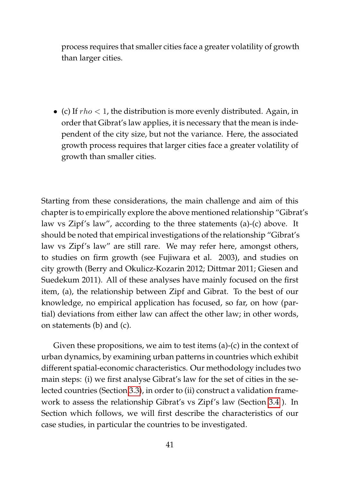process requires that smaller cities face a greater volatility of growth than larger cities.

• (c) If  $rho < 1$ , the distribution is more evenly distributed. Again, in order that Gibrat's law applies, it is necessary that the mean is independent of the city size, but not the variance. Here, the associated growth process requires that larger cities face a greater volatility of growth than smaller cities.

Starting from these considerations, the main challenge and aim of this chapter is to empirically explore the above mentioned relationship "Gibrat's law vs Zipf's law", according to the three statements (a)-(c) above. It should be noted that empirical investigations of the relationship "Gibrat's law vs Zipf's law" are still rare. We may refer here, amongst others, to studies on firm growth (see Fujiwara et al. 2003), and studies on city growth (Berry and Okulicz-Kozarin 2012; Dittmar 2011; Giesen and Suedekum 2011). All of these analyses have mainly focused on the first item, (a), the relationship between Zipf and Gibrat. To the best of our knowledge, no empirical application has focused, so far, on how (partial) deviations from either law can affect the other law; in other words, on statements (b) and (c).

Given these propositions, we aim to test items (a)-(c) in the context of urban dynamics, by examining urban patterns in countries which exhibit different spatial-economic characteristics. Our methodology includes two main steps: (i) we first analyse Gibrat's law for the set of cities in the selected countries (Section [3.3\)](#page-63-0), in order to (ii) construct a validation framework to assess the relationship Gibrat's vs Zipf's law (Section [3.4](#page-71-0) ). In Section which follows, we will first describe the characteristics of our case studies, in particular the countries to be investigated.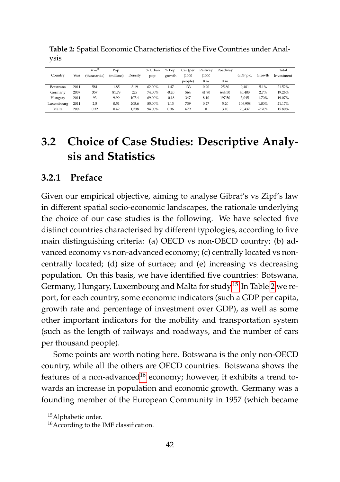|            |      | $Km^2$      | Pop.      |         | % Urban | % Pop.  | Car (per | Railway | Roadway |          |          | Total      |
|------------|------|-------------|-----------|---------|---------|---------|----------|---------|---------|----------|----------|------------|
| Country    | Year | (thousands) | (milions) | Density | pop.    | growth  | (1000)   | (1000)  |         | GDP p.c. | Growth   | Investment |
|            |      |             |           |         |         |         | people)  | Km      | Km      |          |          |            |
| Botswana   | 2011 | 581         | 1.85      | 3.19    | 62.00%  | 1.47    | 133      | 0.90    | 25.80   | 9.481    | 5.1%     | 21.52%     |
| Germany    | 2007 | 357         | 81.78     | 229     | 74.00%  | $-0.20$ | 564      | 41.90   | 644.50  | 40.403   | 2.7%     | 19.26%     |
| Hungary    | 2011 | 93          | 9.99      | 107.4   | 69.00%  | $-0.18$ | 347      | 8.10    | 197.50  | 3.045    | 1.70%    | 19.07%     |
| Luxembourg | 2011 | 2,5         | 0.51      | 205.6   | 85.00%  | 1.13    | 739      | 0.27    | 5.20    | 106.958  | 1.00%    | 21.17%     |
| Malta      | 2009 | 0.32        | 0.42      | 1.338   | 94.00%  | 0.36    | 679      | 0       | 3.10    | 20.437   | $-2.70%$ | 15.80%     |

<span id="page-59-3"></span>**Table 2:** Spatial Economic Characteristics of the Five Countries under Analysis

## <span id="page-59-0"></span>**3.2 Choice of Case Studies: Descriptive Analysis and Statistics**

#### <span id="page-59-1"></span>**3.2.1 Preface**

Given our empirical objective, aiming to analyse Gibrat's vs Zipf's law in different spatial socio-economic landscapes, the rationale underlying the choice of our case studies is the following. We have selected five distinct countries characterised by different typologies, according to five main distinguishing criteria: (a) OECD vs non-OECD country; (b) advanced economy vs non-advanced economy; (c) centrally located vs noncentrally located; (d) size of surface; and (e) increasing vs decreasing population. On this basis, we have identified five countries: Botswana, Germany, Hungary, Luxembourg and Malta for study.[15](#page-59-2) In Table [2](#page-59-3) we report, for each country, some economic indicators (such a GDP per capita, growth rate and percentage of investment over GDP), as well as some other important indicators for the mobility and transportation system (such as the length of railways and roadways, and the number of cars per thousand people).

Some points are worth noting here. Botswana is the only non-OECD country, while all the others are OECD countries. Botswana shows the features of a non-advanced<sup>[16](#page-59-4)</sup> economy; however, it exhibits a trend towards an increase in population and economic growth. Germany was a founding member of the European Community in 1957 (which became

<span id="page-59-2"></span><sup>15</sup>Alphabetic order.

<span id="page-59-4"></span><sup>16</sup>According to the IMF classification.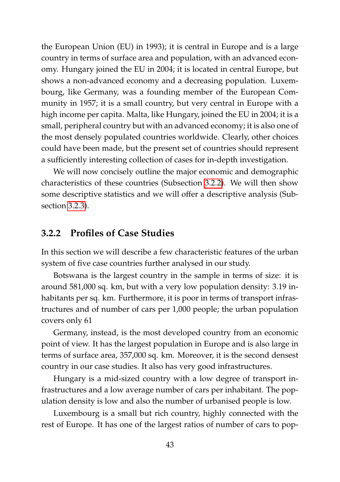the European Union (EU) in 1993); it is central in Europe and is a large country in terms of surface area and population, with an advanced economy. Hungary joined the EU in 2004; it is located in central Europe, but shows a non-advanced economy and a decreasing population. Luxembourg, like Germany, was a founding member of the European Community in 1957; it is a small country, but very central in Europe with a high income per capita. Malta, like Hungary, joined the EU in 2004; it is a small, peripheral country but with an advanced economy; it is also one of the most densely populated countries worldwide. Clearly, other choices could have been made, but the present set of countries should represent a sufficiently interesting collection of cases for in-depth investigation.

We will now concisely outline the major economic and demographic characteristics of these countries (Subsection [3.2.2\)](#page-60-0). We will then show some descriptive statistics and we will offer a descriptive analysis (Subsection [3.2.3\)](#page-61-0).

#### <span id="page-60-0"></span>**3.2.2 Profiles of Case Studies**

In this section we will describe a few characteristic features of the urban system of five case countries further analysed in our study.

Botswana is the largest country in the sample in terms of size: it is around 581,000 sq. km, but with a very low population density: 3.19 inhabitants per sq. km. Furthermore, it is poor in terms of transport infrastructures and of number of cars per 1,000 people; the urban population covers only 61

Germany, instead, is the most developed country from an economic point of view. It has the largest population in Europe and is also large in terms of surface area, 357,000 sq. km. Moreover, it is the second densest country in our case studies. It also has very good infrastructures.

Hungary is a mid-sized country with a low degree of transport infrastructures and a low average number of cars per inhabitant. The population density is low and also the number of urbanised people is low.

Luxembourg is a small but rich country, highly connected with the rest of Europe. It has one of the largest ratios of number of cars to pop-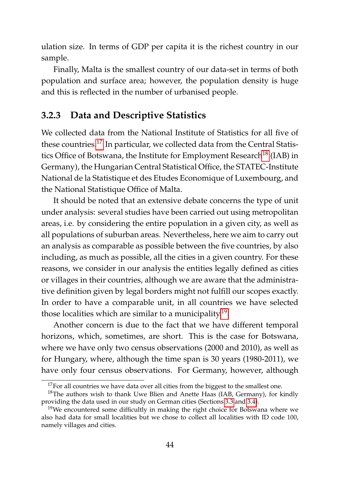ulation size. In terms of GDP per capita it is the richest country in our sample.

Finally, Malta is the smallest country of our data-set in terms of both population and surface area; however, the population density is huge and this is reflected in the number of urbanised people.

#### <span id="page-61-0"></span>**3.2.3 Data and Descriptive Statistics**

We collected data from the National Institute of Statistics for all five of these countries.<sup>[17](#page-61-1)</sup> In particular, we collected data from the Central Statis-tics Office of Botswana, the Institute for Employment Research<sup>[18](#page-61-2)</sup> (IAB) in Germany), the Hungarian Central Statistical Office, the STATEC-Institute National de la Statistique et des Etudes Economique of Luxembourg, and the National Statistique Office of Malta.

It should be noted that an extensive debate concerns the type of unit under analysis: several studies have been carried out using metropolitan areas, i.e. by considering the entire population in a given city, as well as all populations of suburban areas. Nevertheless, here we aim to carry out an analysis as comparable as possible between the five countries, by also including, as much as possible, all the cities in a given country. For these reasons, we consider in our analysis the entities legally defined as cities or villages in their countries, although we are aware that the administrative definition given by legal borders might not fulfill our scopes exactly. In order to have a comparable unit, in all countries we have selected those localities which are similar to a municipality.[19](#page-61-3)

Another concern is due to the fact that we have different temporal horizons, which, sometimes, are short. This is the case for Botswana, where we have only two census observations (2000 and 2010), as well as for Hungary, where, although the time span is 30 years (1980-2011), we have only four census observations. For Germany, however, although

<span id="page-61-2"></span><span id="page-61-1"></span> $17$  For all countries we have data over all cities from the biggest to the smallest one.

 $18$ The authors wish to thank Uwe Blien and Anette Haas (IAB, Germany), for kindly providing the data used in our study on German cities (Sections [3.3](#page-63-0) and [3.4\)](#page-71-0).

<span id="page-61-3"></span> $19$ We encountered some difficultly in making the right choice for Botswana where we also had data for small localities but we chose to collect all localities with ID code 100, namely villages and cities.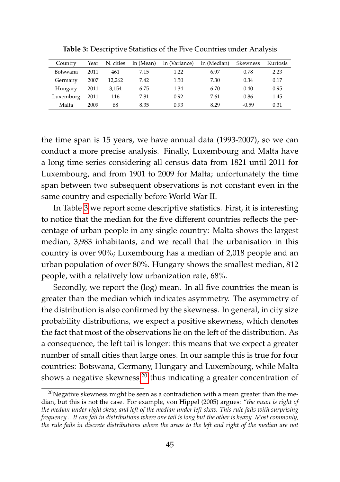| Country   | Year | N. cities | ln (Mean) | ln (Variance) | ln (Median) | Skewness | Kurtosis |
|-----------|------|-----------|-----------|---------------|-------------|----------|----------|
| Botswana  | 2011 | 461       | 7.15      | 1.22          | 6.97        | 0.78     | 2.23     |
| Germany   | 2007 | 12.262    | 7.42      | 1.50          | 7.30        | 0.34     | 0.17     |
| Hungary   | 2011 | 3.154     | 6.75      | 1.34          | 6.70        | 0.40     | 0.95     |
| Luxemburg | 2011 | 116       | 7.81      | 0.92          | 7.61        | 0.86     | 1.45     |
| Malta     | 2009 | 68        | 8.35      | 0.93          | 8.29        | $-0.59$  | 0.31     |

<span id="page-62-0"></span>**Table 3:** Descriptive Statistics of the Five Countries under Analysis

the time span is 15 years, we have annual data (1993-2007), so we can conduct a more precise analysis. Finally, Luxembourg and Malta have a long time series considering all census data from 1821 until 2011 for Luxembourg, and from 1901 to 2009 for Malta; unfortunately the time span between two subsequent observations is not constant even in the same country and especially before World War II.

In Table [3](#page-62-0) we report some descriptive statistics. First, it is interesting to notice that the median for the five different countries reflects the percentage of urban people in any single country: Malta shows the largest median, 3,983 inhabitants, and we recall that the urbanisation in this country is over 90%; Luxembourg has a median of 2,018 people and an urban population of over 80%. Hungary shows the smallest median, 812 people, with a relatively low urbanization rate, 68%.

Secondly, we report the (log) mean. In all five countries the mean is greater than the median which indicates asymmetry. The asymmetry of the distribution is also confirmed by the skewness. In general, in city size probability distributions, we expect a positive skewness, which denotes the fact that most of the observations lie on the left of the distribution. As a consequence, the left tail is longer: this means that we expect a greater number of small cities than large ones. In our sample this is true for four countries: Botswana, Germany, Hungary and Luxembourg, while Malta shows a negative skewness, $2^0$  thus indicating a greater concentration of

<span id="page-62-1"></span> $20$ Negative skewness might be seen as a contradiction with a mean greater than the median, but this is not the case. For example, von Hippel (2005) argues: "*the mean is right of the median under right skew, and left of the median under left skew. This rule fails with surprising frequency... It can fail in distributions where one tail is long but the other is heavy. Most commonly, the rule fails in discrete distributions where the areas to the left and right of the median are not*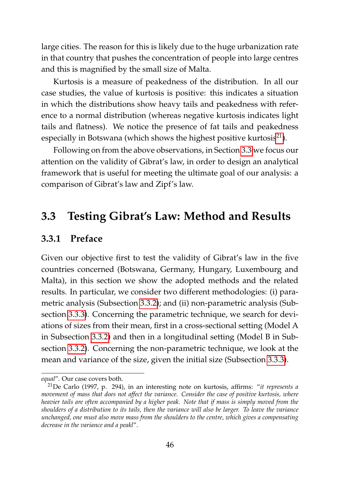large cities. The reason for this is likely due to the huge urbanization rate in that country that pushes the concentration of people into large centres and this is magnified by the small size of Malta.

Kurtosis is a measure of peakedness of the distribution. In all our case studies, the value of kurtosis is positive: this indicates a situation in which the distributions show heavy tails and peakedness with reference to a normal distribution (whereas negative kurtosis indicates light tails and flatness). We notice the presence of fat tails and peakedness especially in Botswana (which shows the highest positive kurtosis $^{21}$  $^{21}$  $^{21}$ ).

Following on from the above observations, in Section [3.3](#page-63-0) we focus our attention on the validity of Gibrat's law, in order to design an analytical framework that is useful for meeting the ultimate goal of our analysis: a comparison of Gibrat's law and Zipf's law.

## <span id="page-63-0"></span>**3.3 Testing Gibrat's Law: Method and Results**

#### **3.3.1 Preface**

Given our objective first to test the validity of Gibrat's law in the five countries concerned (Botswana, Germany, Hungary, Luxembourg and Malta), in this section we show the adopted methods and the related results. In particular, we consider two different methodologies: (i) parametric analysis (Subsection [3.3.2\)](#page-64-0); and (ii) non-parametric analysis (Subsection [3.3.3\)](#page-69-0). Concerning the parametric technique, we search for deviations of sizes from their mean, first in a cross-sectional setting (Model A in Subsection [3.3.2\)](#page-64-0) and then in a longitudinal setting (Model B in Subsection [3.3.2\)](#page-64-0). Concerning the non-parametric technique, we look at the mean and variance of the size, given the initial size (Subsection [3.3.3\)](#page-69-0).

*equal*". Our case covers both.

<span id="page-63-1"></span><sup>21</sup>De Carlo (1997, p. 294), in an interesting note on kurtosis, affirms: "*it represents a movement of mass that does not affect the variance. Consider the case of positive kurtosis, where heavier tails are often accompanied by a higher peak. Note that if mass is simply moved from the shoulders of a distribution to its tails, then the variance will also be larger. To leave the variance unchanged, one must also move mass from the shoulders to the centre, which gives a compensating decrease in the variance and a peakl*".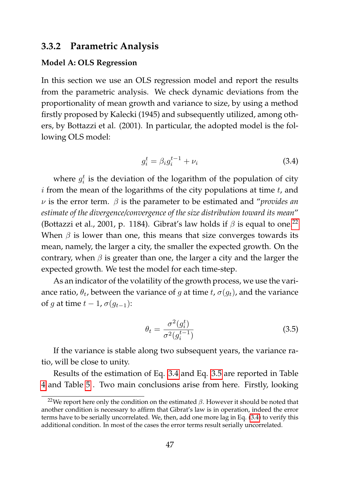#### <span id="page-64-0"></span>**3.3.2 Parametric Analysis**

#### **Model A: OLS Regression**

In this section we use an OLS regression model and report the results from the parametric analysis. We check dynamic deviations from the proportionality of mean growth and variance to size, by using a method firstly proposed by Kalecki (1945) and subsequently utilized, among others, by Bottazzi et al. (2001). In particular, the adopted model is the following OLS model:

<span id="page-64-2"></span>
$$
g_i^t = \beta_i g_i^{t-1} + \nu_i \tag{3.4}
$$

where  $g_i^t$  is the deviation of the logarithm of the population of city  $i$  from the mean of the logarithms of the city populations at time  $t$ , and ν is the error term. β is the parameter to be estimated and "*provides an estimate of the divergence/convergence of the size distribution toward its mean*" (Bottazzi et al., 2001, p. 1184). Gibrat's law holds if  $\beta$  is equal to one.<sup>[22](#page-64-1)</sup> When  $\beta$  is lower than one, this means that size converges towards its mean, namely, the larger a city, the smaller the expected growth. On the contrary, when  $\beta$  is greater than one, the larger a city and the larger the expected growth. We test the model for each time-step.

As an indicator of the volatility of the growth process, we use the variance ratio,  $\theta_t$ , between the variance of g at time t,  $\sigma(g_t)$ , and the variance of g at time  $t - 1$ ,  $\sigma(g_{t-1})$ :

<span id="page-64-3"></span>
$$
\theta_t = \frac{\sigma^2(g_t^t)}{\sigma^2(g_t^{t-1})}
$$
\n(3.5)

If the variance is stable along two subsequent years, the variance ratio, will be close to unity.

Results of the estimation of Eq. [3.4](#page-64-2) and Eq. [3.5](#page-64-3) are reported in Table [4](#page-65-0) and Table [5](#page-66-0) . Two main conclusions arise from here. Firstly, looking

<span id="page-64-1"></span><sup>&</sup>lt;sup>22</sup>We report here only the condition on the estimated  $\beta$ . However it should be noted that another condition is necessary to affirm that Gibrat's law is in operation, indeed the error terms have to be serially uncorrelated. We, then, add one more lag in Eq. [\(3.4\)](#page-64-2) to verify this additional condition. In most of the cases the error terms result serially uncorrelated.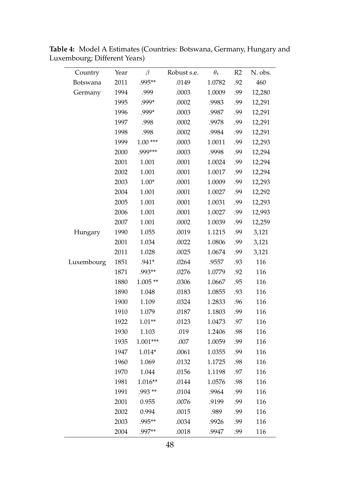<span id="page-65-0"></span>

| Country    | Year | $\beta$   | Robust s.e. | $\theta_t$ | R2  | N. obs. |
|------------|------|-----------|-------------|------------|-----|---------|
| Botswana   | 2011 | .995**    | .0149       | 1.0782     | .92 | 460     |
| Germany    | 1994 | .999      | .0003       | 1.0009     | .99 | 12,280  |
|            | 1995 | .999*     | .0002       | .9983      | .99 | 12,291  |
|            | 1996 | .999*     | .0003       | .9987      | .99 | 12,291  |
|            | 1997 | .998      | .0002       | .9978      | .99 | 12,291  |
|            | 1998 | .998      | .0002       | .9984      | .99 | 12,291  |
|            | 1999 | $1.00***$ | .0003       | 1.0011     | .99 | 12,293  |
|            | 2000 | .999***   | .0003       | .9998      | .99 | 12,294  |
|            | 2001 | 1.001     | .0001       | 1.0024     | .99 | 12,294  |
|            | 2002 | 1.001     | .0001       | 1.0017     | .99 | 12,294  |
|            | 2003 | $1.00*$   | .0001       | 1.0009     | .99 | 12,293  |
|            | 2004 | 1.001     | .0001       | 1.0027     | .99 | 12,292  |
|            | 2005 | 1.001     | .0001       | 1.0031     | .99 | 12,293  |
|            | 2006 | 1.001     | .0001       | 1.0027     | .99 | 12,993  |
|            | 2007 | 1.001     | .0002       | 1.0039     | .99 | 12,259  |
| Hungary    | 1990 | 1.055     | .0019       | 1.1215     | .99 | 3,121   |
|            | 2001 | 1.034     | .0022       | 1.0806     | .99 | 3,121   |
|            | 2011 | 1.028     | .0025       | 1.0674     | .99 | 3,121   |
| Luxembourg | 1851 | $.941*$   | .0264       | .9557      | .93 | 116     |
|            | 1871 | .993**    | .0276       | 1.0779     | .92 | 116     |
|            | 1880 | $1.005**$ | .0306       | 1.0667     | .95 | 116     |
|            | 1890 | 1.048     | .0183       | 1.0855     | .93 | 116     |
|            | 1900 | 1.109     | .0324       | 1.2833     | .96 | 116     |
|            | 1910 | 1.079     | .0187       | 1.1803     | .99 | 116     |
|            | 1922 | $1.01**$  | .0123       | 1.0473     | .97 | 116     |
|            | 1930 | 1.103     | .019        | 1.2406     | .98 | 116     |
|            | 1935 | 1.001***  | .007        | 1.0059     | .99 | 116     |
|            | 1947 | 1.014*    | .0061       | 1.0355     | .99 | 116     |
|            | 1960 | 1.069     | .0132       | 1.1725     | .98 | 116     |
|            | 1970 | 1.044     | .0156       | 1.1198     | .97 | 116     |
|            | 1981 | $1.016**$ | .0144       | 1.0576     | .98 | 116     |
|            | 1991 | .993 **   | .0104       | .9964      | .99 | 116     |
|            | 2001 | 0.955     | .0076       | .9199      | .99 | 116     |
|            | 2002 | 0.994     | .0015       | .989       | .99 | 116     |
|            | 2003 | .995**    | .0034       | .9926      | .99 | 116     |
|            | 2004 | .997**    | .0018       | .9947      | .99 | 116     |

**Table 4:** Model A Estimates (Countries: Botswana, Germany, Hungary and Luxembourg; Different Years)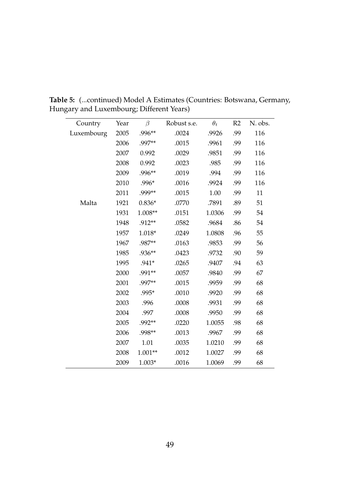<span id="page-66-0"></span>

| Country    | Year | $\beta$   | Robust s.e. | $\theta_t$ | R <sub>2</sub> | N. obs. |
|------------|------|-----------|-------------|------------|----------------|---------|
| Luxembourg | 2005 | $.996**$  | .0024       | .9926      | .99            | 116     |
|            | 2006 | .997**    | .0015       | .9961      | .99            | 116     |
|            | 2007 | 0.992     | .0029       | .9851      | .99            | 116     |
|            | 2008 | 0.992     | .0023       | .985       | .99            | 116     |
|            | 2009 | $.996**$  | .0019       | .994       | .99            | 116     |
|            | 2010 | $.996*$   | .0016       | .9924      | .99            | 116     |
|            | 2011 | .999**    | .0015       | 1.00       | .99            | 11      |
| Malta      | 1921 | $0.836*$  | .0770       | .7891      | .89            | 51      |
|            | 1931 | 1.008**   | .0151       | 1.0306     | .99            | 54      |
|            | 1948 | .912**    | .0582       | .9684      | .86            | 54      |
|            | 1957 | 1.018*    | .0249       | 1.0808     | .96            | 55      |
|            | 1967 | .987**    | .0163       | .9853      | .99            | 56      |
|            | 1985 | $.936**$  | .0423       | .9732      | .90            | 59      |
|            | 1995 | $.941*$   | .0265       | .9407      | .94            | 63      |
|            | 2000 | .991**    | .0057       | .9840      | .99            | 67      |
|            | 2001 | .997**    | .0015       | .9959      | .99            | 68      |
|            | 2002 | .995*     | .0010       | .9920      | .99            | 68      |
|            | 2003 | .996      | .0008       | .9931      | .99            | 68      |
|            | 2004 | .997      | .0008       | .9950      | .99            | 68      |
|            | 2005 | .992**    | .0220       | 1.0055     | .98            | 68      |
|            | 2006 | .998**    | .0013       | .9967      | .99            | 68      |
|            | 2007 | 1.01      | .0035       | 1.0210     | .99            | 68      |
|            | 2008 | $1.001**$ | .0012       | 1.0027     | .99            | 68      |
|            | 2009 | $1.003*$  | .0016       | 1.0069     | .99            | 68      |

**Table 5:** (...continued) Model A Estimates (Countries: Botswana, Germany, Hungary and Luxembourg; Different Years)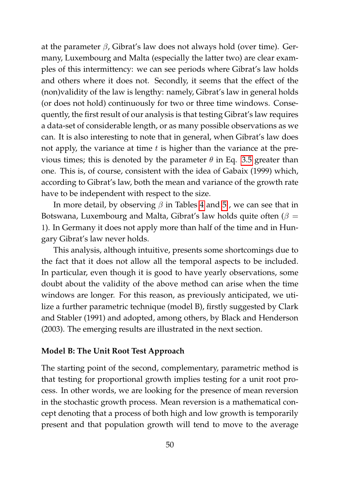at the parameter  $\beta$ , Gibrat's law does not always hold (over time). Germany, Luxembourg and Malta (especially the latter two) are clear examples of this intermittency: we can see periods where Gibrat's law holds and others where it does not. Secondly, it seems that the effect of the (non)validity of the law is lengthy: namely, Gibrat's law in general holds (or does not hold) continuously for two or three time windows. Consequently, the first result of our analysis is that testing Gibrat's law requires a data-set of considerable length, or as many possible observations as we can. It is also interesting to note that in general, when Gibrat's law does not apply, the variance at time  $t$  is higher than the variance at the previous times; this is denoted by the parameter  $\theta$  in Eq. [3.5](#page-64-3) greater than one. This is, of course, consistent with the idea of Gabaix (1999) which, according to Gibrat's law, both the mean and variance of the growth rate have to be independent with respect to the size.

In more detail, by observing  $\beta$  in Tables [4](#page-65-0) and [5](#page-66-0), we can see that in Botswana, Luxembourg and Malta, Gibrat's law holds quite often ( $\beta =$ 1). In Germany it does not apply more than half of the time and in Hungary Gibrat's law never holds.

This analysis, although intuitive, presents some shortcomings due to the fact that it does not allow all the temporal aspects to be included. In particular, even though it is good to have yearly observations, some doubt about the validity of the above method can arise when the time windows are longer. For this reason, as previously anticipated, we utilize a further parametric technique (model B), firstly suggested by Clark and Stabler (1991) and adopted, among others, by Black and Henderson (2003). The emerging results are illustrated in the next section.

#### **Model B: The Unit Root Test Approach**

The starting point of the second, complementary, parametric method is that testing for proportional growth implies testing for a unit root process. In other words, we are looking for the presence of mean reversion in the stochastic growth process. Mean reversion is a mathematical concept denoting that a process of both high and low growth is temporarily present and that population growth will tend to move to the average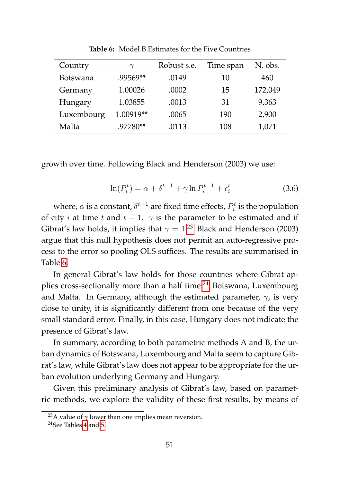| Country    | $\gamma$  | Robust s.e. | Time span | N. obs. |
|------------|-----------|-------------|-----------|---------|
| Botswana   | .99569**  | .0149       | 10        | 460     |
| Germany    | 1.00026   | .0002       | 15        | 172,049 |
| Hungary    | 1.03855   | .0013       | 31        | 9,363   |
| Luxembourg | 1.00919** | .0065       | 190       | 2,900   |
| Malta      | .97780**  | .0113       | 108       | 1,071   |

<span id="page-68-1"></span>**Table 6:** Model B Estimates for the Five Countries

growth over time. Following Black and Henderson (2003) we use:

$$
\ln(P_i^t) = \alpha + \delta^{t-1} + \gamma \ln P_i^{t-1} + \epsilon_i^t \tag{3.6}
$$

where,  $\alpha$  is a constant,  $\delta^{t-1}$  are fixed time effects,  $P_i^t$  is the population of city *i* at time t and  $t - 1$ .  $\gamma$  is the parameter to be estimated and if Gibrat's law holds, it implies that  $\gamma = 1.^{23}$  $\gamma = 1.^{23}$  $\gamma = 1.^{23}$  Black and Henderson (2003) argue that this null hypothesis does not permit an auto-regressive process to the error so pooling OLS suffices. The results are summarised in Table [6.](#page-68-1)

In general Gibrat's law holds for those countries where Gibrat ap-plies cross-sectionally more than a half time:<sup>[24](#page-68-2)</sup> Botswana, Luxembourg and Malta. In Germany, although the estimated parameter,  $\gamma$ , is very close to unity, it is significantly different from one because of the very small standard error. Finally, in this case, Hungary does not indicate the presence of Gibrat's law.

In summary, according to both parametric methods A and B, the urban dynamics of Botswana, Luxembourg and Malta seem to capture Gibrat's law, while Gibrat's law does not appear to be appropriate for the urban evolution underlying Germany and Hungary.

Given this preliminary analysis of Gibrat's law, based on parametric methods, we explore the validity of these first results, by means of

<span id="page-68-0"></span><sup>&</sup>lt;sup>23</sup>A value of  $\gamma$  lower than one implies mean reversion.

<span id="page-68-2"></span><sup>24</sup>See Tables [4](#page-65-0) and [5.](#page-66-0)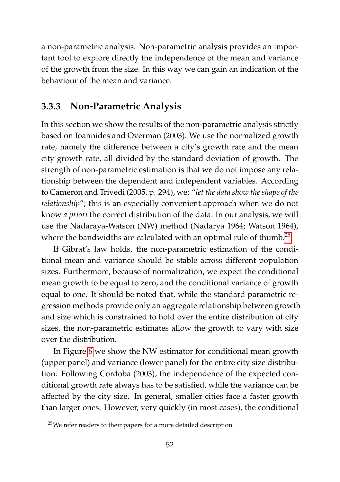a non-parametric analysis. Non-parametric analysis provides an important tool to explore directly the independence of the mean and variance of the growth from the size. In this way we can gain an indication of the behaviour of the mean and variance.

#### <span id="page-69-0"></span>**3.3.3 Non-Parametric Analysis**

In this section we show the results of the non-parametric analysis strictly based on Ioannides and Overman (2003). We use the normalized growth rate, namely the difference between a city's growth rate and the mean city growth rate, all divided by the standard deviation of growth. The strength of non-parametric estimation is that we do not impose any relationship between the dependent and independent variables. According to Cameron and Trivedi (2005, p. 294), we: "*let the data show the shape of the relationship*"; this is an especially convenient approach when we do not know *a priori* the correct distribution of the data. In our analysis, we will use the Nadaraya-Watson (NW) method (Nadarya 1964; Watson 1964), where the bandwidths are calculated with an optimal rule of thumb.<sup>[25](#page-69-1)</sup>

If Gibrat's law holds, the non-parametric estimation of the conditional mean and variance should be stable across different population sizes. Furthermore, because of normalization, we expect the conditional mean growth to be equal to zero, and the conditional variance of growth equal to one. It should be noted that, while the standard parametric regression methods provide only an aggregate relationship between growth and size which is constrained to hold over the entire distribution of city sizes, the non-parametric estimates allow the growth to vary with size over the distribution.

In Figure [6](#page-70-0) we show the NW estimator for conditional mean growth (upper panel) and variance (lower panel) for the entire city size distribution. Following Cordoba (2003), the independence of the expected conditional growth rate always has to be satisfied, while the variance can be affected by the city size. In general, smaller cities face a faster growth than larger ones. However, very quickly (in most cases), the conditional

<span id="page-69-1"></span><sup>25</sup>We refer readers to their papers for a more detailed description.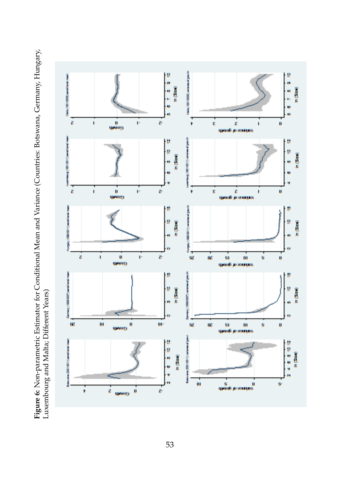<span id="page-70-0"></span>Figure 6: Non-parametric Estimator for Conditional Mean and Variance (Countries: Botswana, Germany, Hungary, **Figure 6:** Non-parametric Estimator for Conditional Mean and Variance (Countries: Botswana, Germany, Hungary, Luxembourg and Malta; Different Years) Luxembourg and Malta; Different Years)

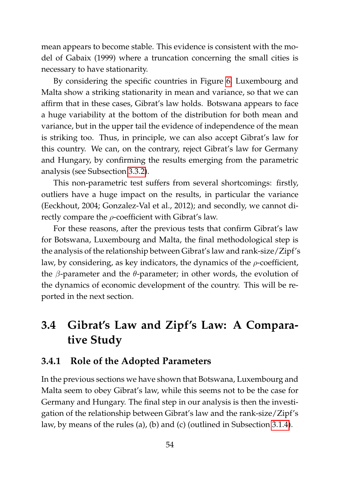mean appears to become stable. This evidence is consistent with the model of Gabaix (1999) where a truncation concerning the small cities is necessary to have stationarity.

By considering the specific countries in Figure [6,](#page-70-0) Luxembourg and Malta show a striking stationarity in mean and variance, so that we can affirm that in these cases, Gibrat's law holds. Botswana appears to face a huge variability at the bottom of the distribution for both mean and variance, but in the upper tail the evidence of independence of the mean is striking too. Thus, in principle, we can also accept Gibrat's law for this country. We can, on the contrary, reject Gibrat's law for Germany and Hungary, by confirming the results emerging from the parametric analysis (see Subsection [3.3.2\)](#page-64-0).

This non-parametric test suffers from several shortcomings: firstly, outliers have a huge impact on the results, in particular the variance (Eeckhout, 2004; Gonzalez-Val et al., 2012); and secondly, we cannot directly compare the  $\rho$ -coefficient with Gibrat's law.

For these reasons, after the previous tests that confirm Gibrat's law for Botswana, Luxembourg and Malta, the final methodological step is the analysis of the relationship between Gibrat's law and rank-size/Zipf's law, by considering, as key indicators, the dynamics of the  $\rho$ -coefficient, the *β*-parameter and the *θ*-parameter; in other words, the evolution of the dynamics of economic development of the country. This will be reported in the next section.

## <span id="page-71-0"></span>**3.4 Gibrat's Law and Zipf's Law: A Comparative Study**

#### **3.4.1 Role of the Adopted Parameters**

In the previous sections we have shown that Botswana, Luxembourg and Malta seem to obey Gibrat's law, while this seems not to be the case for Germany and Hungary. The final step in our analysis is then the investigation of the relationship between Gibrat's law and the rank-size/Zipf's law, by means of the rules (a), (b) and (c) (outlined in Subsection [3.1.4\)](#page-55-0).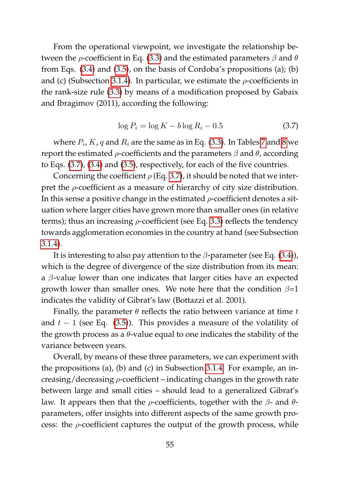From the operational viewpoint, we investigate the relationship between the  $\rho$ -coefficient in Eq. [\(3.3\)](#page-53-0) and the estimated parameters  $\beta$  and  $\theta$ from Eqs. [\(3.4\)](#page-64-0) and [\(3.5\)](#page-64-1), on the basis of Cordoba's propositions (a); (b) and (c) (Subsection [3.1.4\)](#page-55-0). In particular, we estimate the  $\rho$ -coefficients in the rank-size rule [\(3.3\)](#page-53-0) by means of a modification proposed by Gabaix and Ibragimov (2011), according the following:

<span id="page-72-0"></span>
$$
\log P_i = \log K - b \log R_i - 0.5 \tag{3.7}
$$

where  $P_i$ ,  $K$  ,  $q$  and  $R_i$  are the same as in Eq. [\(3.3\)](#page-53-0). In Tables [7](#page-74-0) and [8](#page-75-0) we report the estimated  $ρ$ -coefficients and the parameters  $β$  and  $θ$ , according to Eqs. [\(3.7\)](#page-72-0), [\(3.4\)](#page-64-0) and [\(3.5\)](#page-64-1), respectively, for each of the five countries.

Concerning the coefficient  $\rho$  (Eq. [3.7\)](#page-72-0), it should be noted that we interpret the  $\rho$ -coefficient as a measure of hierarchy of city size distribution. In this sense a positive change in the estimated  $\rho$ -coefficient denotes a situation where larger cities have grown more than smaller ones (in relative terms); thus an increasing  $\rho$ -coefficient (see Eq. [3.3\)](#page-53-0) reflects the tendency towards agglomeration economies in the country at hand (see Subsection [3.1.4\)](#page-55-0).

It is interesting to also pay attention to the  $\beta$ -parameter (see Eq. [\(3.4\)](#page-64-0)), which is the degree of divergence of the size distribution from its mean: a  $\beta$ -value lower than one indicates that larger cities have an expected growth lower than smaller ones. We note here that the condition  $\beta=1$ indicates the validity of Gibrat's law (Bottazzi et al. 2001).

Finally, the parameter  $\theta$  reflects the ratio between variance at time t and  $t - 1$  (see Eq. [\(3.5\)](#page-64-1)). This provides a measure of the volatility of the growth process as a  $\theta$ -value equal to one indicates the stability of the variance between years.

Overall, by means of these three parameters, we can experiment with the propositions (a), (b) and (c) in Subsection [3.1.4.](#page-55-0) For example, an increasing/decreasing  $\rho$ -coefficient – indicating changes in the growth rate between large and small cities – should lead to a generalized Gibrat's law. It appears then that the *ρ*-coefficients, together with the *β*- and *θ*parameters, offer insights into different aspects of the same growth process: the  $\rho$ -coefficient captures the output of the growth process, while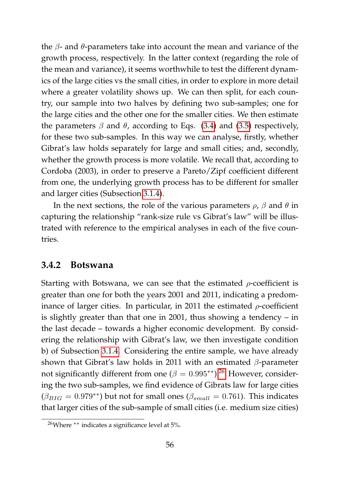the  $β$ - and  $θ$ -parameters take into account the mean and variance of the growth process, respectively. In the latter context (regarding the role of the mean and variance), it seems worthwhile to test the different dynamics of the large cities vs the small cities, in order to explore in more detail where a greater volatility shows up. We can then split, for each country, our sample into two halves by defining two sub-samples; one for the large cities and the other one for the smaller cities. We then estimate the parameters  $\beta$  and  $\theta$ , according to Eqs. [\(3.4\)](#page-64-0) and [\(3.5\)](#page-64-1) respectively, for these two sub-samples. In this way we can analyse, firstly, whether Gibrat's law holds separately for large and small cities; and, secondly, whether the growth process is more volatile. We recall that, according to Cordoba (2003), in order to preserve a Pareto/Zipf coefficient different from one, the underlying growth process has to be different for smaller and larger cities (Subsection [3.1.4\)](#page-55-0).

In the next sections, the role of the various parameters  $\rho$ ,  $\beta$  and  $\theta$  in capturing the relationship "rank-size rule vs Gibrat's law" will be illustrated with reference to the empirical analyses in each of the five countries.

### **3.4.2 Botswana**

Starting with Botswana, we can see that the estimated  $\rho$ -coefficient is greater than one for both the years 2001 and 2011, indicating a predominance of larger cities. In particular, in 2011 the estimated  $\rho$ -coefficient is slightly greater than that one in 2001, thus showing a tendency – in the last decade – towards a higher economic development. By considering the relationship with Gibrat's law, we then investigate condition b) of Subsection [3.1.4.](#page-55-0) Considering the entire sample, we have already shown that Gibrat's law holds in 2011 with an estimated  $\beta$ -parameter not significantly different from one ( $\beta = 0.995$ <sup>\*\*</sup>).<sup>[26](#page-73-0)</sup> However, considering the two sub-samples, we find evidence of Gibrats law for large cities  $(\beta_{BIG} = 0.979^{**})$  but not for small ones  $(\beta_{small} = 0.761)$ . This indicates that larger cities of the sub-sample of small cities (i.e. medium size cities)

<span id="page-73-0"></span><sup>&</sup>lt;sup>26</sup>Where <sup>∗∗</sup> indicates a significance level at 5%.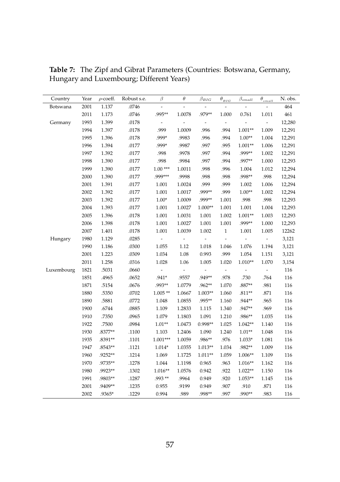| Country    | Year | $\rho$ -coeff. | Robust s.e. | $\beta$    | $\theta$      | $\beta_{BIG}$            | $\theta_{_{BIG}}$        | $\beta_{small}$          | $\theta_{\scriptscriptstyle small}$ | N. obs. |
|------------|------|----------------|-------------|------------|---------------|--------------------------|--------------------------|--------------------------|-------------------------------------|---------|
| Botswana   | 2001 | 1.137          | .0746       | L,         | L,            | ä,                       | ÷,                       | ÷,                       | ÷,                                  | 464     |
|            | 2011 | 1.173          | .0746       | .995**     | 1.0078        | .979**                   | 1.000                    | 0.761                    | 1.011                               | 461     |
| Germany    | 1993 | 1.399          | .0178       | ÷          | $\frac{1}{2}$ | $\overline{\phantom{a}}$ | ÷,                       | $\overline{a}$           | $\overline{\phantom{a}}$            | 12,280  |
|            | 1994 | 1.397          | .0178       | .999       | 1.0009        | .996                     | .994                     | $1.001**$                | 1.009                               | 12,291  |
|            | 1995 | 1.396          | .0178       | .999*      | .9983         | .996                     | .994                     | $1.00**$                 | 1.004                               | 12,291  |
|            | 1996 | 1.394          | .0177       | .999*      | .9987         | .997                     | .995                     | $1.001**$                | 1.006                               | 12,291  |
|            | 1997 | 1.392          | .0177       | .998       | .9978         | .997                     | .994                     | .999**                   | 1.002                               | 12,291  |
|            | 1998 | 1.390          | .0177       | .998       | .9984         | .997                     | .994                     | .997**                   | 1.000                               | 12,293  |
|            | 1999 | 1.390          | .0177       | $1.00***$  | 1.0011        | .998                     | .996                     | 1.004                    | 1.012                               | 12,294  |
|            | 2000 | 1.390          | .0177       | .999***    | .9998         | .998                     | .998                     | .998**                   | .998                                | 12,294  |
|            | 2001 | 1.391          | .0177       | 1.001      | 1.0024        | .999                     | .999                     | 1.002                    | 1.006                               | 12,294  |
|            | 2002 | 1.392          | .0177       | 1.001      | 1.0017        | .999**                   | .999                     | $1.00**$                 | 1.002                               | 12,294  |
|            | 2003 | 1.392          | .0177       | $1.00*$    | 1.0009        | .999**                   | 1.001                    | .998                     | .998                                | 12,293  |
|            | 2004 | 1.393          | .0177       | 1.001      | 1.0027        | $1.000**$                | 1.001                    | 1.001                    | 1.004                               | 12,293  |
|            | 2005 | 1.396          | .0178       | 1.001      | 1.0031        | 1.001                    | 1.002                    | $1.001**$                | 1.003                               | 12,293  |
|            | 2006 | 1.398          | .0178       | 1.001      | 1.0027        | 1.001                    | 1.001                    | .999**                   | 1.000                               | 12,293  |
|            | 2007 | 1.401          | .0178       | 1.001      | 1.0039        | 1.002                    | $\,1$                    | 1.001                    | 1.005                               | 12262   |
| Hungary    | 1980 | 1.129          | .0285       | ÷,         |               | $\overline{a}$           | $\overline{\phantom{a}}$ | $\overline{\phantom{a}}$ |                                     | 3,121   |
|            | 1990 | 1.186          | .0300       | 1.055      | 1.12          | 1.018                    | 1.046                    | 1.076                    | 1.194                               | 3,121   |
|            | 2001 | 1.223          | .0309       | 1.034      | 1.08          | 0.993                    | .999                     | 1.054                    | 1.151                               | 3,121   |
|            | 2011 | 1.258          | .0316       | 1.028      | 1.06          | 1.005                    | 1.020                    | $1.010**$                | 1.070                               | 3,154   |
| Luxembourg | 1821 | .5031          | .0660       | ÷,         | ÷,            | ä,                       | ÷,                       |                          | ÷,                                  | 116     |
|            | 1851 | .4965          | .0652       | $.941*$    | .9557         | .949**                   | .978                     | .730                     | .764                                | 116     |
|            | 1871 | .5154          | .0676       | .993**     | 1.0779        | .962**                   | 1.070                    | $.887**$                 | .981                                | 116     |
|            | 1880 | .5350          | .0702       | $1.005**$  | 1.0667        | $1.003**$                | 1.060                    | $.811**$                 | .871                                | 116     |
|            | 1890 | .5881          | .0772       | 1.048      | 1.0855        | .995**                   | 1.160                    | .944**                   | .965                                | 116     |
|            | 1900 | .6744          | .0885       | 1.109      | 1.2833        | 1.115                    | 1.340                    | .947**                   | .969                                | 116     |
|            | 1910 | .7350          | .0965       | 1.079      | 1.1803        | 1.091                    | 1.210                    | .986**                   | 1.035                               | 116     |
|            | 1922 | .7500          | .0984       | $1.01**$   | 1.0473        | 0.998**                  | 1.025                    | $1.042**$                | 1.140                               | 116     |
|            | 1930 | .8377**        | .1100       | 1.103      | 1.2406        | 1.090                    | 1.240                    | $1.01**$                 | 1.048                               | 116     |
|            | 1935 | .8391**        | .1101       | $1.001***$ | 1.0059        | .986**                   | .976                     | $1.033*$                 | 1.081                               | 116     |
|            | 1947 | .8543**        | .1121       | $1.014*$   | 1.0355        | $1.013**$                | 1.034                    | .982**                   | 1.009                               | 116     |
|            | 1960 | .9252**        | .1214       | 1.069      | 1.1725        | $1.011**$                | 1.059                    | 1.006**                  | 1.109                               | 116     |
|            | 1970 | .9735**        | .1278       | 1.044      | 1.1198        | 0.965                    | .963                     | 1.016**                  | 1.162                               | 116     |
|            | 1980 | .9923**        | .1302       | $1.016**$  | 1.0576        | 0.942                    | .922                     | $1.022**$                | 1.150                               | 116     |
|            | 1991 | .9803**        | .1287       | .993**     | .9964         | 0.949                    | .920                     | 1.053**                  | 1.145                               | 116     |
|            | 2001 | .9409**        | .1235       | 0.955      | .9199         | 0.949                    | .907                     | .910                     | .871                                | 116     |
|            | 2002 | .9365*         | .1229       | 0.994      | .989          | .998**                   | .997                     | .990**                   | .983                                | 116     |

<span id="page-74-0"></span>**Table 7:** The Zipf and Gibrat Parameters (Countries: Botswana, Germany, Hungary and Luxembourg; Different Years)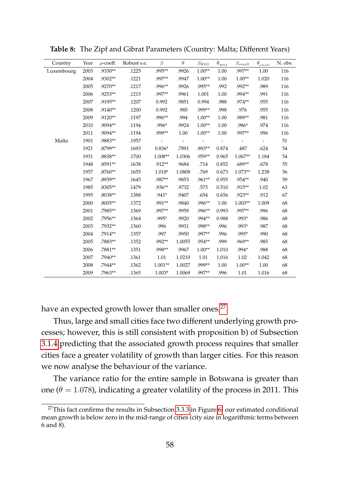| Country    | Year | $\rho$ -coeff. | Robust s.e. | $\beta$   | $\theta$                 | $\beta_{BIG}$            | $\theta_{_{BIG}}$        | $\beta_{small}$          | $\theta_{{small}}$       | N. obs. |
|------------|------|----------------|-------------|-----------|--------------------------|--------------------------|--------------------------|--------------------------|--------------------------|---------|
| Luxembourg | 2003 | .9330**        | .1225       | .995**    | .9926                    | $1.00**$                 | 1.00                     | .997**                   | 1.00                     | 116     |
|            | 2004 | .9302**        | .1221       | .997**    | .9947                    | $1.00**$                 | 1.00                     | $1.00**$                 | 1.020                    | 116     |
|            | 2005 | .9270**        | .1217       | .996**    | .9926                    | .995**                   | .992                     | .992**                   | .989                     | 116     |
|            | 2006 | .9253**        | .1215       | .997**    | .9961                    | 1.001                    | 1.00                     | .994**                   | .991                     | 116     |
|            | 2007 | .9195**        | .1207       | 0.992     | .9851                    | 0.994                    | .988                     | .974**                   | .955                     | 116     |
|            | 2008 | .9140**        | .1200       | 0.992     | .985                     | .999**                   | .998                     | .976                     | .955                     | 116     |
|            | 2009 | .9120**        | .1197       | .996**    | .994                     | $1.00**$                 | 1.00                     | .989**                   | .981                     | 116     |
|            | 2010 | .9094**        | .1194       | .996*     | .9924                    | $1.00**$                 | 1.00                     | .986*                    | .974                     | 116     |
|            | 2011 | .9094**        | .1194       | .999**    | 1.00                     | $1.00**$                 | 1.00                     | .997**                   | .996                     | 116     |
| Malta      | 1901 | .9883**        | .1957       |           | $\overline{\phantom{m}}$ | $\overline{\phantom{a}}$ | $\overline{\phantom{a}}$ | $\overline{\phantom{m}}$ | $\overline{\phantom{a}}$ | 51      |
|            | 1921 | .8799**        | .1693       | $0.836*$  | .7891                    | .893**                   | 0.874                    | .487                     | .624                     | 54      |
|            | 1931 | .8838**        | .1700       | 1.008**   | 1.0306                   | .959**                   | 0.965                    | $1.067**$                | 1.184                    | 54      |
|            | 1948 | .8591**        | .1638       | .912**    | .9684                    | .714                     | 0.852                    | $.689**$                 | .678                     | 55      |
|            | 1957 | .8760**        | .1655       | $1.018*$  | 1.0808                   | .769                     | 0.673                    | $1.073**$                | 1.238                    | 56      |
|            | 1967 | .8939**        | .1645       | .987**    | .9853                    | .961**                   | 0.955                    | .954**                   | .940                     | 59      |
|            | 1985 | .8305**        | .1479       | .936**    | .9732                    | .573                     | 0.510                    | .915**                   | 1.02                     | 63      |
|            | 1995 | .8038**        | .1388       | $.941*$   | .9407                    | .654                     | 0.656                    | .923**                   | .912                     | 67      |
|            | 2000 | .8005**        | .1372       | .991**    | .9840                    | .996**                   | 1.00                     | $1.003**$                | 1.009                    | 68      |
|            | 2001 | .7985**        | .1369       | .997**    | .9959                    | .996**                   | 0.993                    | .997**                   | .996                     | 68      |
|            | 2002 | .7956**        | .1364       | .995*     | .9920                    | .994**                   | 0.988                    | .993*                    | .986                     | 68      |
|            | 2003 | .7932**        | .1360       | .996      | .9931                    | .998**                   | .996                     | .993*                    | .987                     | 68      |
|            | 2004 | .7914**        | .1357       | .997      | .9950                    | .997**                   | .996                     | .995*                    | .990                     | 68      |
|            | 2005 | .7883**        | .1352       | .992**    | 1.0055                   | .954**                   | .999                     | .969**                   | .985                     | 68      |
|            | 2006 | .7881**        | .1351       | .998**    | .9967                    | $1.00**$                 | 1.010                    | .994*                    | .988                     | 68      |
|            | 2007 | .7940**        | .1361       | 1.01      | 1.0210                   | 1.01                     | 1.016                    | 1.02                     | 1.042                    | 68      |
|            | 2008 | .7944**        | .1362       | $1.001**$ | 1.0027                   | .999**                   | 1.00                     | $1.00**$                 | 1.00                     | 68      |
|            | 2009 | .7963**        | .1365       | $1.003*$  | 1.0069                   | .997**                   | .996                     | 1.01                     | 1.016                    | 68      |

<span id="page-75-0"></span>**Table 8:** The Zipf and Gibrat Parameters (Country: Malta; Different Years)

have an expected growth lower than smaller ones.<sup>[27](#page-75-1)</sup>

Thus, large and small cities face two different underlying growth processes; however, this is still consistent with proposition b) of Subsection [3.1.4](#page-55-0) predicting that the associated growth process requires that smaller cities face a greater volatility of growth than larger cities. For this reason we now analyse the behaviour of the variance.

The variance ratio for the entire sample in Botswana is greater than one ( $\theta = 1.078$ ), indicating a greater volatility of the process in 2011. This

<span id="page-75-1"></span> $27$ This fact confirms the results in Subsection [3.3.3](#page-69-0) in Figure [6:](#page-70-0) our estimated conditional mean growth is below zero in the mid-range of cities (city size in logarithmic terms between 6 and 8).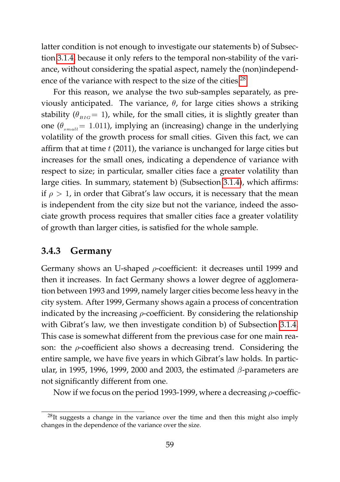latter condition is not enough to investigate our statements b) of Subsection [3.1.4,](#page-55-0) because it only refers to the temporal non-stability of the variance, without considering the spatial aspect, namely the (non)independ-ence of the variance with respect to the size of the cities.<sup>[28](#page-76-0)</sup>

For this reason, we analyse the two sub-samples separately, as previously anticipated. The variance, θ, for large cities shows a striking stability ( $\theta_{BIG} = 1$ ), while, for the small cities, it is slightly greater than one ( $\theta_{small} = 1.011$ ), implying an (increasing) change in the underlying volatility of the growth process for small cities. Given this fact, we can affirm that at time  $t$  (2011), the variance is unchanged for large cities but increases for the small ones, indicating a dependence of variance with respect to size; in particular, smaller cities face a greater volatility than large cities. In summary, statement b) (Subsection [3.1.4\)](#page-55-0), which affirms: if  $\rho > 1$ , in order that Gibrat's law occurs, it is necessary that the mean is independent from the city size but not the variance, indeed the associate growth process requires that smaller cities face a greater volatility of growth than larger cities, is satisfied for the whole sample.

### **3.4.3 Germany**

Germany shows an U-shaped ρ-coefficient: it decreases until 1999 and then it increases. In fact Germany shows a lower degree of agglomeration between 1993 and 1999, namely larger cities become less heavy in the city system. After 1999, Germany shows again a process of concentration indicated by the increasing  $\rho$ -coefficient. By considering the relationship with Gibrat's law, we then investigate condition b) of Subsection [3.1.4.](#page-55-0) This case is somewhat different from the previous case for one main reason: the  $\rho$ -coefficient also shows a decreasing trend. Considering the entire sample, we have five years in which Gibrat's law holds. In particular, in 1995, 1996, 1999, 2000 and 2003, the estimated  $\beta$ -parameters are not significantly different from one.

Now if we focus on the period 1993-1999, where a decreasing  $\rho$ -coeffic-

<span id="page-76-0"></span><sup>&</sup>lt;sup>28</sup>It suggests a change in the variance over the time and then this might also imply changes in the dependence of the variance over the size.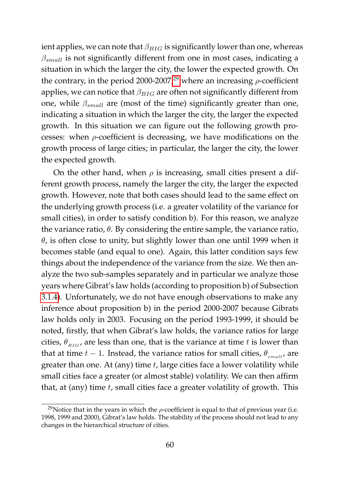ient applies, we can note that  $\beta_{BIG}$  is significantly lower than one, whereas  $\beta_{small}$  is not significantly different from one in most cases, indicating a situation in which the larger the city, the lower the expected growth. On the contrary, in the period 2000-2007,<sup>[29](#page-77-0)</sup> where an increasing  $\rho$ -coefficient applies, we can notice that  $\beta_{BIG}$  are often not significantly different from one, while  $\beta_{small}$  are (most of the time) significantly greater than one, indicating a situation in which the larger the city, the larger the expected growth. In this situation we can figure out the following growth processes: when  $\rho$ -coefficient is decreasing, we have modifications on the growth process of large cities; in particular, the larger the city, the lower the expected growth.

On the other hand, when  $\rho$  is increasing, small cities present a different growth process, namely the larger the city, the larger the expected growth. However, note that both cases should lead to the same effect on the underlying growth process (i.e. a greater volatility of the variance for small cities), in order to satisfy condition b). For this reason, we analyze the variance ratio,  $\theta$ . By considering the entire sample, the variance ratio,  $\theta$ , is often close to unity, but slightly lower than one until 1999 when it becomes stable (and equal to one). Again, this latter condition says few things about the independence of the variance from the size. We then analyze the two sub-samples separately and in particular we analyze those years where Gibrat's law holds (according to proposition b) of Subsection [3.1.4\)](#page-55-0). Unfortunately, we do not have enough observations to make any inference about proposition b) in the period 2000-2007 because Gibrats law holds only in 2003. Focusing on the period 1993-1999, it should be noted, firstly, that when Gibrat's law holds, the variance ratios for large cities,  $\theta_{BIG}$ , are less than one, that is the variance at time t is lower than that at time  $t - 1$ . Instead, the variance ratios for small cities,  $\theta_{small}$ , are greater than one. At (any) time  $t$ , large cities face a lower volatility while small cities face a greater (or almost stable) volatility. We can then affirm that, at (any) time  $t$ , small cities face a greater volatility of growth. This

<span id="page-77-0"></span><sup>&</sup>lt;sup>29</sup>Notice that in the years in which the  $\rho$ -coefficient is equal to that of previous year (i.e. 1998, 1999 and 2000), Gibrat's law holds. The stability of the process should not lead to any changes in the hierarchical structure of cities.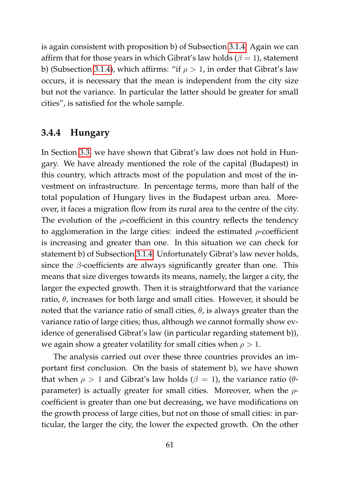is again consistent with proposition b) of Subsection [3.1.4.](#page-55-0) Again we can affirm that for those years in which Gibrat's law holds ( $\beta = 1$ ), statement b) (Subsection [3.1.4\)](#page-55-0), which affirms: "if  $\rho > 1$ , in order that Gibrat's law occurs, it is necessary that the mean is independent from the city size but not the variance. In particular the latter should be greater for small cities", is satisfied for the whole sample.

## **3.4.4 Hungary**

In Section [3.3,](#page-63-0) we have shown that Gibrat's law does not hold in Hungary. We have already mentioned the role of the capital (Budapest) in this country, which attracts most of the population and most of the investment on infrastructure. In percentage terms, more than half of the total population of Hungary lives in the Budapest urban area. Moreover, it faces a migration flow from its rural area to the centre of the city. The evolution of the  $\rho$ -coefficient in this country reflects the tendency to agglomeration in the large cities: indeed the estimated  $\rho$ -coefficient is increasing and greater than one. In this situation we can check for statement b) of Subsection [3.1.4.](#page-55-0) Unfortunately Gibrat's law never holds, since the  $\beta$ -coefficients are always significantly greater than one. This means that size diverges towards its means, namely, the larger a city, the larger the expected growth. Then it is straightforward that the variance ratio,  $\theta$ , increases for both large and small cities. However, it should be noted that the variance ratio of small cities,  $θ$ , is always greater than the variance ratio of large cities; thus, although we cannot formally show evidence of generalised Gibrat's law (in particular regarding statement b)), we again show a greater volatility for small cities when  $\rho > 1$ .

The analysis carried out over these three countries provides an important first conclusion. On the basis of statement b), we have shown that when  $\rho > 1$  and Gibrat's law holds ( $\beta = 1$ ), the variance ratio ( $\theta$ parameter) is actually greater for small cities. Moreover, when the  $\rho$ coefficient is greater than one but decreasing, we have modifications on the growth process of large cities, but not on those of small cities: in particular, the larger the city, the lower the expected growth. On the other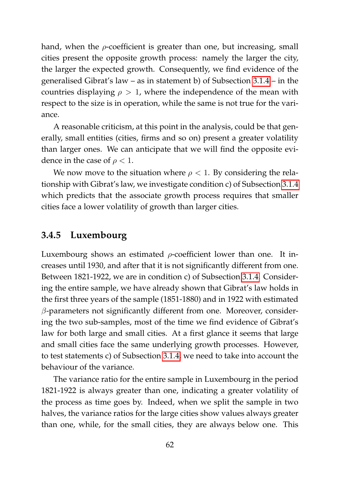hand, when the  $\rho$ -coefficient is greater than one, but increasing, small cities present the opposite growth process: namely the larger the city, the larger the expected growth. Consequently, we find evidence of the generalised Gibrat's law – as in statement b) of Subsection [3.1.4](#page-55-0) – in the countries displaying  $\rho > 1$ , where the independence of the mean with respect to the size is in operation, while the same is not true for the variance.

A reasonable criticism, at this point in the analysis, could be that generally, small entities (cities, firms and so on) present a greater volatility than larger ones. We can anticipate that we will find the opposite evidence in the case of  $\rho < 1$ .

We now move to the situation where  $\rho < 1$ . By considering the relationship with Gibrat's law, we investigate condition c) of Subsection [3.1.4](#page-55-0) which predicts that the associate growth process requires that smaller cities face a lower volatility of growth than larger cities.

### **3.4.5 Luxembourg**

Luxembourg shows an estimated  $\rho$ -coefficient lower than one. It increases until 1930, and after that it is not significantly different from one. Between 1821-1922, we are in condition c) of Subsection [3.1.4.](#page-55-0) Considering the entire sample, we have already shown that Gibrat's law holds in the first three years of the sample (1851-1880) and in 1922 with estimated  $\beta$ -parameters not significantly different from one. Moreover, considering the two sub-samples, most of the time we find evidence of Gibrat's law for both large and small cities. At a first glance it seems that large and small cities face the same underlying growth processes. However, to test statements c) of Subsection [3.1.4,](#page-55-0) we need to take into account the behaviour of the variance.

The variance ratio for the entire sample in Luxembourg in the period 1821-1922 is always greater than one, indicating a greater volatility of the process as time goes by. Indeed, when we split the sample in two halves, the variance ratios for the large cities show values always greater than one, while, for the small cities, they are always below one. This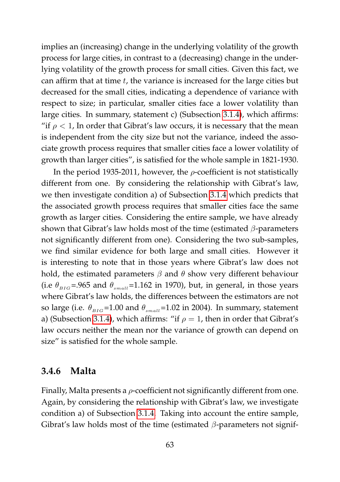implies an (increasing) change in the underlying volatility of the growth process for large cities, in contrast to a (decreasing) change in the underlying volatility of the growth process for small cities. Given this fact, we can affirm that at time  $t$ , the variance is increased for the large cities but decreased for the small cities, indicating a dependence of variance with respect to size; in particular, smaller cities face a lower volatility than large cities. In summary, statement c) (Subsection [3.1.4\)](#page-55-0), which affirms: "if  $\rho$  < 1, In order that Gibrat's law occurs, it is necessary that the mean is independent from the city size but not the variance, indeed the associate growth process requires that smaller cities face a lower volatility of growth than larger cities", is satisfied for the whole sample in 1821-1930.

In the period 1935-2011, however, the  $\rho$ -coefficient is not statistically different from one. By considering the relationship with Gibrat's law, we then investigate condition a) of Subsection [3.1.4](#page-55-0) which predicts that the associated growth process requires that smaller cities face the same growth as larger cities. Considering the entire sample, we have already shown that Gibrat's law holds most of the time (estimated  $\beta$ -parameters not significantly different from one). Considering the two sub-samples, we find similar evidence for both large and small cities. However it is interesting to note that in those years where Gibrat's law does not hold, the estimated parameters  $\beta$  and  $\theta$  show very different behaviour (i.e  $\theta_{BIG}$  = 965 and  $\theta_{small}$ =1.162 in 1970), but, in general, in those years where Gibrat's law holds, the differences between the estimators are not so large (i.e.  $\theta_{BIG} = 1.00$  and  $\theta_{small} = 1.02$  in 2004). In summary, statement a) (Subsection [3.1.4\)](#page-55-0), which affirms: "if  $\rho = 1$ , then in order that Gibrat's law occurs neither the mean nor the variance of growth can depend on size" is satisfied for the whole sample.

### **3.4.6 Malta**

Finally, Malta presents a  $\rho$ -coefficient not significantly different from one. Again, by considering the relationship with Gibrat's law, we investigate condition a) of Subsection [3.1.4.](#page-55-0) Taking into account the entire sample, Gibrat's law holds most of the time (estimated  $\beta$ -parameters not signif-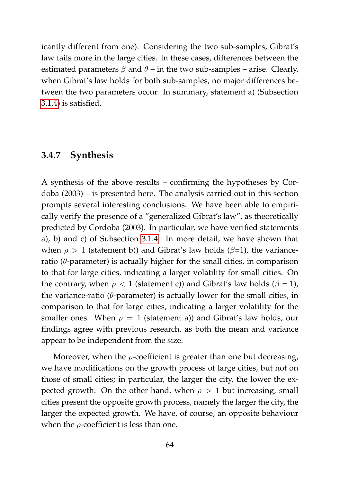icantly different from one). Considering the two sub-samples, Gibrat's law fails more in the large cities. In these cases, differences between the estimated parameters  $\beta$  and  $\theta$  – in the two sub-samples – arise. Clearly, when Gibrat's law holds for both sub-samples, no major differences between the two parameters occur. In summary, statement a) (Subsection [3.1.4\)](#page-55-0) is satisfied.

### **3.4.7 Synthesis**

A synthesis of the above results – confirming the hypotheses by Cordoba (2003) – is presented here. The analysis carried out in this section prompts several interesting conclusions. We have been able to empirically verify the presence of a "generalized Gibrat's law", as theoretically predicted by Cordoba (2003). In particular, we have verified statements a), b) and c) of Subsection [3.1.4.](#page-55-0) In more detail, we have shown that when  $\rho > 1$  (statement b)) and Gibrat's law holds ( $\beta$ =1), the varianceratio ( $\theta$ -parameter) is actually higher for the small cities, in comparison to that for large cities, indicating a larger volatility for small cities. On the contrary, when  $\rho < 1$  (statement c)) and Gibrat's law holds ( $\beta = 1$ ), the variance-ratio ( $\theta$ -parameter) is actually lower for the small cities, in comparison to that for large cities, indicating a larger volatility for the smaller ones. When  $\rho = 1$  (statement a)) and Gibrat's law holds, our findings agree with previous research, as both the mean and variance appear to be independent from the size.

Moreover, when the  $\rho$ -coefficient is greater than one but decreasing, we have modifications on the growth process of large cities, but not on those of small cities; in particular, the larger the city, the lower the expected growth. On the other hand, when  $\rho > 1$  but increasing, small cities present the opposite growth process, namely the larger the city, the larger the expected growth. We have, of course, an opposite behaviour when the  $\rho$ -coefficient is less than one.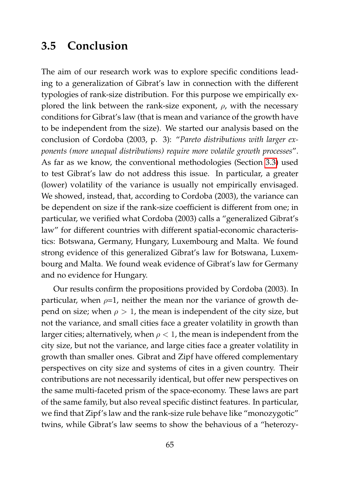# **3.5 Conclusion**

The aim of our research work was to explore specific conditions leading to a generalization of Gibrat's law in connection with the different typologies of rank-size distribution. For this purpose we empirically explored the link between the rank-size exponent,  $\rho$ , with the necessary conditions for Gibrat's law (that is mean and variance of the growth have to be independent from the size). We started our analysis based on the conclusion of Cordoba (2003, p. 3): "*Pareto distributions with larger exponents (more unequal distributions) require more volatile growth processes*". As far as we know, the conventional methodologies (Section [3.3\)](#page-63-0) used to test Gibrat's law do not address this issue. In particular, a greater (lower) volatility of the variance is usually not empirically envisaged. We showed, instead, that, according to Cordoba (2003), the variance can be dependent on size if the rank-size coefficient is different from one; in particular, we verified what Cordoba (2003) calls a "generalized Gibrat's law" for different countries with different spatial-economic characteristics: Botswana, Germany, Hungary, Luxembourg and Malta. We found strong evidence of this generalized Gibrat's law for Botswana, Luxembourg and Malta. We found weak evidence of Gibrat's law for Germany and no evidence for Hungary.

Our results confirm the propositions provided by Cordoba (2003). In particular, when  $\rho=1$ , neither the mean nor the variance of growth depend on size; when  $\rho > 1$ , the mean is independent of the city size, but not the variance, and small cities face a greater volatility in growth than larger cities; alternatively, when  $\rho < 1$ , the mean is independent from the city size, but not the variance, and large cities face a greater volatility in growth than smaller ones. Gibrat and Zipf have offered complementary perspectives on city size and systems of cites in a given country. Their contributions are not necessarily identical, but offer new perspectives on the same multi-faceted prism of the space-economy. These laws are part of the same family, but also reveal specific distinct features. In particular, we find that Zipf's law and the rank-size rule behave like "monozygotic" twins, while Gibrat's law seems to show the behavious of a "heterozy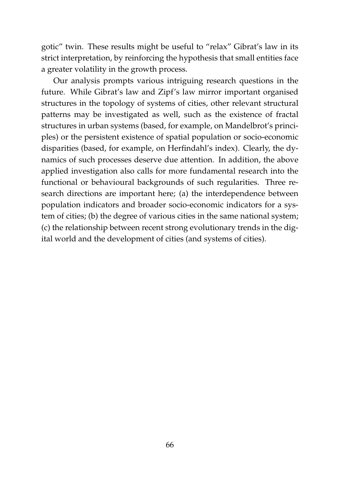gotic" twin. These results might be useful to "relax" Gibrat's law in its strict interpretation, by reinforcing the hypothesis that small entities face a greater volatility in the growth process.

Our analysis prompts various intriguing research questions in the future. While Gibrat's law and Zipf's law mirror important organised structures in the topology of systems of cities, other relevant structural patterns may be investigated as well, such as the existence of fractal structures in urban systems (based, for example, on Mandelbrot's principles) or the persistent existence of spatial population or socio-economic disparities (based, for example, on Herfindahl's index). Clearly, the dynamics of such processes deserve due attention. In addition, the above applied investigation also calls for more fundamental research into the functional or behavioural backgrounds of such regularities. Three research directions are important here; (a) the interdependence between population indicators and broader socio-economic indicators for a system of cities; (b) the degree of various cities in the same national system; (c) the relationship between recent strong evolutionary trends in the digital world and the development of cities (and systems of cities).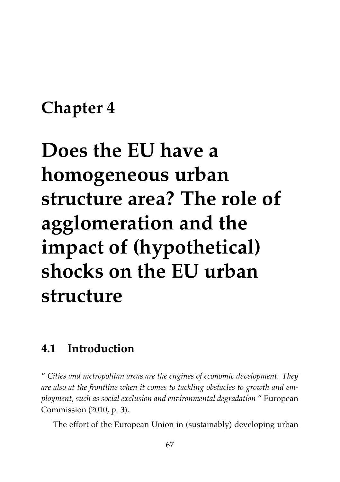# **Chapter 4**

# **Does the EU have a homogeneous urban structure area? The role of agglomeration and the impact of (hypothetical) shocks on the EU urban structure**

# **4.1 Introduction**

" *Cities and metropolitan areas are the engines of economic development. They are also at the frontline when it comes to tackling obstacles to growth and employment, such as social exclusion and environmental degradation* " European Commission (2010, p. 3).

The effort of the European Union in (sustainably) developing urban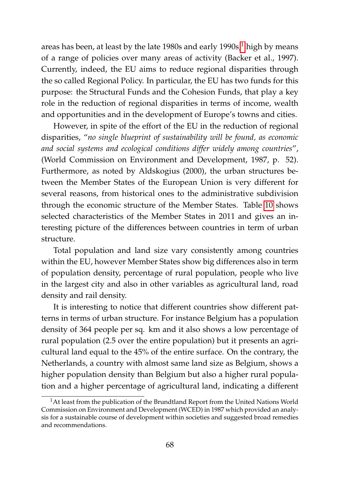areas has been, at least by the late [1](#page-85-0)980s and early  $1990s$ ,<sup>1</sup> high by means of a range of policies over many areas of activity (Backer et al., 1997). Currently, indeed, the EU aims to reduce regional disparities through the so called Regional Policy. In particular, the EU has two funds for this purpose: the Structural Funds and the Cohesion Funds, that play a key role in the reduction of regional disparities in terms of income, wealth and opportunities and in the development of Europe's towns and cities.

However, in spite of the effort of the EU in the reduction of regional disparities, "*no single blueprint of sustainability will be found, as economic and social systems and ecological conditions differ widely among countries*", (World Commission on Environment and Development, 1987, p. 52). Furthermore, as noted by Aldskogius (2000), the urban structures between the Member States of the European Union is very different for several reasons, from historical ones to the administrative subdivision through the economic structure of the Member States. Table [10](#page-88-0) shows selected characteristics of the Member States in 2011 and gives an interesting picture of the differences between countries in term of urban structure.

Total population and land size vary consistently among countries within the EU, however Member States show big differences also in term of population density, percentage of rural population, people who live in the largest city and also in other variables as agricultural land, road density and rail density.

It is interesting to notice that different countries show different patterns in terms of urban structure. For instance Belgium has a population density of 364 people per sq. km and it also shows a low percentage of rural population (2.5 over the entire population) but it presents an agricultural land equal to the 45% of the entire surface. On the contrary, the Netherlands, a country with almost same land size as Belgium, shows a higher population density than Belgium but also a higher rural population and a higher percentage of agricultural land, indicating a different

<span id="page-85-0"></span><sup>&</sup>lt;sup>1</sup>At least from the publication of the Brundtland Report from the United Nations World Commission on Environment and Development (WCED) in 1987 which provided an analysis for a sustainable course of development within societies and suggested broad remedies and recommendations.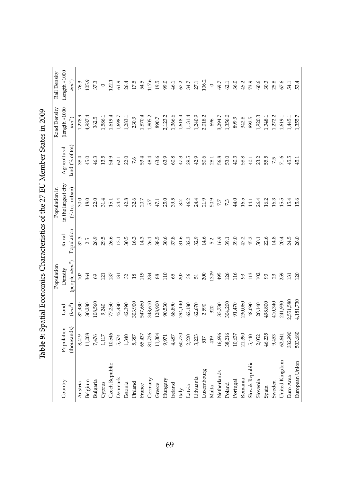|                 |             |           | Population        |            | Population in       |                 | Road Density     | Rail Density     |
|-----------------|-------------|-----------|-------------------|------------|---------------------|-----------------|------------------|------------------|
| Country         | Population  | Land      | Density           | Rural      | in the largest city | Agricultural    | $(length * 1000$ | $(length *1000)$ |
|                 | (thousands) | $(km^2)$  | (people $*km^2$ ) | Population | % tot. urban)       | land (% of tot) | $km^2$           | $km^2$           |
| Austria         | 8,419       | 82,430    | 102               | 32.3       | 30.0                | 38.4            | 1,278.9          | 76.3             |
| Belgium         | 11,008      | 30,280    | 364               | 2.5        | 18.0                | 45.0            | 4,987.4          | 105.9            |
| Bulgaria        | 7,476       | 108,560   | 69                | 26.9       | 22.0                | 46.3            | 362.5            | 37.3             |
| Cyprus          | 117         | 9,240     | $\overline{21}$   | 29.5       | 31.4                | 13.5            | ,586.1           | $\circ$          |
| Czech Republic  | 10,546      | 77,250    | $\mathcal{L}$     | 26.6       | 151                 | 54.9            | 1,619.4          | 122.1            |
| Denmark         | 5,574       | 42,430    | $\overline{31}$   | 13.1       | 24.4                | 62.1            | 1,698.7          | 61.9             |
| Estonia         | 1,340       | 42,390    | 32                | 30.5       | 42.8                | 22.0            | 1,283.1          | 26.4             |
| Finland         | 5,387       | 303,900   | 18                | 16.3       | 32.6                | 7.6             | 230.9            | 17.5             |
| France          | 65,437      | 547,660   | 119               | 14.3       | 20.7                | 53.4            | 1,870.4          | 54.5             |
| Germany         | 81,726      | 348,610   | 234               | 26.1       | 5.7                 | 48.4            | 1,805.2          | 117.6            |
| Greece          | 11,304      | 128,900   | 88                | 38.5       | 47.1                | 63.6            | 890.7            | 19.5             |
| Hungary         | 9,971       | 90,530    | 110               | 30.6       | 25.0                | 63.9            | 2,123.2          | 99.0             |
| Ireland         | 4,487       | 68,890    | 65                | 37.8       | 39.5                | 60.8            | 1,366.6          | 46.1             |
| taly            | 60,770      | 294,140   | 207               | 31.6       | 8.2                 | 47.3            | 1,618.4          | 67.2             |
| Latvia          | 2,220       | 62,180    | 36                | 32.3       | 46.2                | 29.5            | 1,131.4          | 34.7             |
| ithuania        | 3,203       | 62,670    | 51                | 32.9       | 24.4                | 42.9            | 1,240.9          | 27.1             |
| Luxembourg      | 517         | 2,590     | 200               | 14.6       | 21.9                | 50.6            | 2,018.2          | 106.2            |
| Malta           | 419         | 320       | 1309              | 5.2        | 50.9                | 28.1            | 696              | $\circ$          |
| Netherlands     | 16,696      | 33,730    | 495               | 16.9       | 77                  | 56.8            | 3,294.7          | 69.7             |
| Poland          | 38,216      | 304,200   | 126               | 39.1       | 73                  | 53.0            | 1,356.0          | 62.1             |
| Portugal        | 10,637      | 91,470    | 116               | 39.0       | 44.0                | 40.3            | 899.9            | 36.0             |
| Romania         | 21,390      | 230,060   | 93                | 47.2       | 16.5                | 58.8            | 342.8            | 45.2             |
| Slovak Republic | 5,440       | 48,090    | 113               | 45.2       | 14.1                | 40.1            | 892.5            | 73.9             |
| Slovenia        | 2,052       | 20,140    | 102               | 50.1       | 26.4                | 23.2            | 1,920.3          | 60.6             |
| Spain           | 46,235      | 498,800   | 93                | 22.6       | 16.2                | 55.5            | 1,348.1          | 30.3             |
| Sweden          | 9,453       | 410,340   | 23                | 14.8       | 16.3                | 7.5             | 1,272.2          | 25.8             |
| United Kingdom  | 62,641      | 241,930   | 259               | 20.4       | 15.5                | 71.6            | 1,619.1          | 67.6             |
| Euro Area       | 332,990     | ,551,580  | $\overline{5}$    | 24.5       | 15.4                | 45.5            | 1,445.1          | 54.1             |
| European Union  | 503,680     | 4,181,730 | 120               | 26.0       | 15.6                | 45.1            | 1,355.7          | 53.4             |

| - 12 11 11 11 11 |
|------------------|
|                  |
|                  |
|                  |
|                  |
|                  |
| į                |
|                  |
|                  |
|                  |
|                  |
| i                |
|                  |
|                  |
|                  |
| is a search      |
|                  |
|                  |
| ļ                |
|                  |
|                  |
| l                |
|                  |
|                  |
|                  |
|                  |
|                  |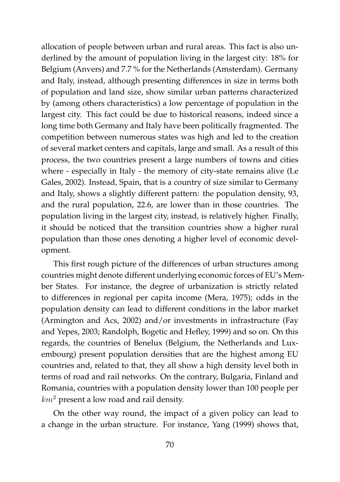allocation of people between urban and rural areas. This fact is also underlined by the amount of population living in the largest city: 18% for Belgium (Anvers) and 7.7 % for the Netherlands (Amsterdam). Germany and Italy, instead, although presenting differences in size in terms both of population and land size, show similar urban patterns characterized by (among others characteristics) a low percentage of population in the largest city. This fact could be due to historical reasons, indeed since a long time both Germany and Italy have been politically fragmented. The competition between numerous states was high and led to the creation of several market centers and capitals, large and small. As a result of this process, the two countries present a large numbers of towns and cities where - especially in Italy - the memory of city-state remains alive (Le Gales, 2002). Instead, Spain, that is a country of size similar to Germany and Italy, shows a slightly different pattern: the population density, 93, and the rural population, 22.6, are lower than in those countries. The population living in the largest city, instead, is relatively higher. Finally, it should be noticed that the transition countries show a higher rural population than those ones denoting a higher level of economic development.

This first rough picture of the differences of urban structures among countries might denote different underlying economic forces of EU's Member States. For instance, the degree of urbanization is strictly related to differences in regional per capita income (Mera, 1975); odds in the population density can lead to different conditions in the labor market (Armington and Acs, 2002) and/or investments in infrastructure (Fay and Yepes, 2003; Randolph, Bogetic and Hefley, 1999) and so on. On this regards, the countries of Benelux (Belgium, the Netherlands and Luxembourg) present population densities that are the highest among EU countries and, related to that, they all show a high density level both in terms of road and rail networks. On the contrary, Bulgaria, Finland and Romania, countries with a population density lower than 100 people per  $km^2$  present a low road and rail density.

On the other way round, the impact of a given policy can lead to a change in the urban structure. For instance, Yang (1999) shows that,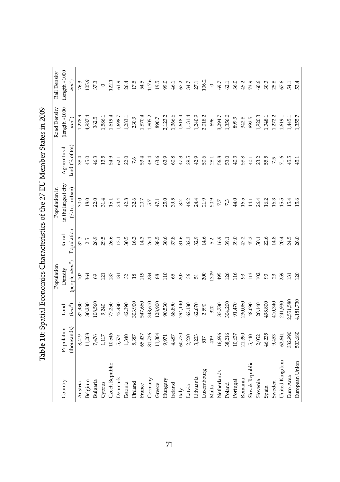<span id="page-88-0"></span>

|                 |             |           | Population                 |            | Population in       |                 | Road Density     | Rail Density      |
|-----------------|-------------|-----------|----------------------------|------------|---------------------|-----------------|------------------|-------------------|
| Country         | Population  | Land      | Density                    | Rural      | in the largest city | Agricultural    | $(length * 1000$ | $(length * 1000)$ |
|                 | (thousands) | $(km^2)$  | (people *km <sup>2</sup> ) | Population | (% tot. urban)      | land (% of tot) | $km^2$           | $km^2$            |
| Austria         | 8,419       | 82,430    | 102                        | 32.3       | 30.0                | 38.4            | 1,278.9          | 76.3              |
| Belgium         | 11,008      | 30,280    | 364                        | 2.5        | 18.0                | 45.0            | 4,987.4          | 105.9             |
| Bulgaria        | 7,476       | 108,560   | 69                         | 26.9       | 22.0                | 46.3            | 362.5            | 37.3              |
| Cyprus          | 117         | 9,240     | 121                        | 29.5       | 31.4                | 13.5            | 1,586.1          | $\circ$           |
| Czech Republic  | 10,546      | 77,250    | 137                        | 26.6       | 15.1                | 54.9            | 1,619.4          | 122.1             |
| Denmark         | 5,574       | 42,430    | $\Xi$                      | 13.1       | 24.4                | 62.1            | 1,698.7          | 61.9              |
| Estonia         | 1,340       | 42,390    | 32                         | 30.5       | 42.8                | 22.0            | 1,283.1          | 26.4              |
| Finland         | 5,387       | 303,900   | $^{18}$                    | 16.3       | 32.6                | 7.6             | 230.9            | 17.5              |
| France          | 65,437      | 547,660   | 119                        | 14.3       | 20.7                | 53.4            | 1,870.4          | 54.5              |
| Germany         | 81,726      | 348,610   | 234                        | 26.1       | 5.7                 | 48.4            | 1,805.2          | 117.6             |
| Greece          | 11,304      | 128,900   | 88                         | 38.5       | 47.1                | 63.6            | 890.7            | 19.5              |
| Hungary         | 9,971       | 90,530    | 110                        | 30.6       | 25.0                | 63.9            | 2,123.2          | 99.0              |
| Ireland         | 4,487       | 68,890    | 65                         | 37.8       | 39.5                | 60.8            | 1,366.6          | 46.1              |
| taly            | 60,770      | 294,140   | 207                        | 31.6       | 8.2                 | 47.3            | 1,618.4          | 67.2              |
| Latvia          | 2,220       | 62,180    | 36                         | 32.3       | 46.2                | 29.5            | 1,131.4          | 34.7              |
| Lithuania       | 3,203       | 62,670    | 51                         | 32.9       | 24.4                | 42.9            | 1,240.9          | 27.1              |
| Luxembourg      | 517         | 2,590     | 200                        | 14.6       | 21.9                | 50.6            | 2,018.2          | 106.2             |
| Malta           | 419         | 320       | 1309                       | 5.2        | 50.9                | 28.1            | 696              | $\circ$           |
| Netherlands     | 16,696      | 33,730    | 495                        | 16.9       | 77                  | 56.8            | 3,294.7          | 69.7              |
| Poland          | 38,216      | 304,200   | 126                        | 39.1       | 73                  | 53.0            | 1,356.0          | 62.1              |
| Portugal        | 10,637      | 91,470    | 116                        | 39.0       | 44.0                | 40.3            | 899.9            | 36.0              |
| Romania         | 21,390      | 230,060   | 93                         | 47.2       | 16.5                | 58.8            | 342.8            | 45.2              |
| Slovak Republic | 5,440       | 48,090    | 113                        | 45.2       | 14.1                | 40.1            | 892.5            | 73.9              |
| Slovenia        | 2,052       | 20,140    | 102                        | 50.1       | 26.4                | 23.2            | 1,920.3          | 60.6              |
| Spain           | 46,235      | 498,800   | 93                         | 22.6       | 16.2                | 55.5            | 1,348.1          | 30.3              |
| Sweden          | 9,453       | 410,340   | 23                         | 14.8       | 16.3                | 7.5             | 1,272.2          | 25.8              |
| United Kingdom  | 62,641      | 241,930   | 259                        | 20.4       | 15.5                | 71.6            | 1,619.1          | 67.6              |
| Euro Area       | 332,990     | 2,551,580 | $\overline{5}$             | 24.5       | 15.4                | 45.5            | 1,445.1          | 54.1              |
| European Union  | 503,680     | 4,181,730 | 120                        | 26.0       | 15.6                | 45.1            | 1,355.7          | 53.4              |

Table 10: Spatial Economics Characteristics of the 27 EU Member States in 2009 **Table 10:** Spatial Economics Characteristics of the 27 EU Member States in 2009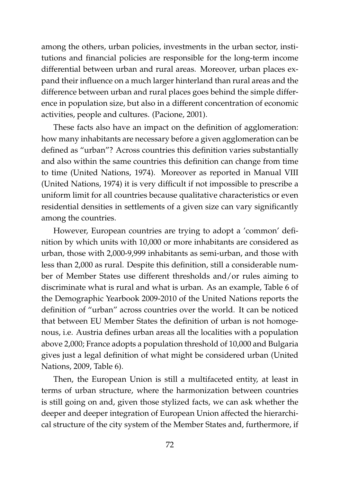among the others, urban policies, investments in the urban sector, institutions and financial policies are responsible for the long-term income differential between urban and rural areas. Moreover, urban places expand their influence on a much larger hinterland than rural areas and the difference between urban and rural places goes behind the simple difference in population size, but also in a different concentration of economic activities, people and cultures. (Pacione, 2001).

These facts also have an impact on the definition of agglomeration: how many inhabitants are necessary before a given agglomeration can be defined as "urban"? Across countries this definition varies substantially and also within the same countries this definition can change from time to time (United Nations, 1974). Moreover as reported in Manual VIII (United Nations, 1974) it is very difficult if not impossible to prescribe a uniform limit for all countries because qualitative characteristics or even residential densities in settlements of a given size can vary significantly among the countries.

However, European countries are trying to adopt a 'common' definition by which units with 10,000 or more inhabitants are considered as urban, those with 2,000-9,999 inhabitants as semi-urban, and those with less than 2,000 as rural. Despite this definition, still a considerable number of Member States use different thresholds and/or rules aiming to discriminate what is rural and what is urban. As an example, Table 6 of the Demographic Yearbook 2009-2010 of the United Nations reports the definition of "urban" across countries over the world. It can be noticed that between EU Member States the definition of urban is not homogenous, i.e. Austria defines urban areas all the localities with a population above 2,000; France adopts a population threshold of 10,000 and Bulgaria gives just a legal definition of what might be considered urban (United Nations, 2009, Table 6).

Then, the European Union is still a multifaceted entity, at least in terms of urban structure, where the harmonization between countries is still going on and, given those stylized facts, we can ask whether the deeper and deeper integration of European Union affected the hierarchical structure of the city system of the Member States and, furthermore, if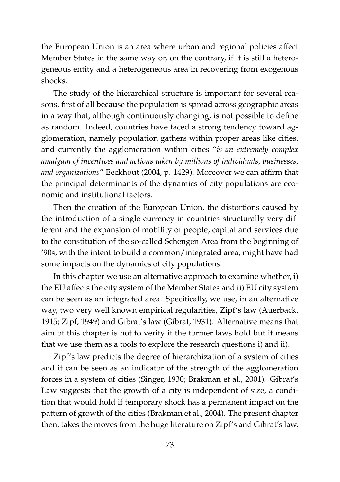the European Union is an area where urban and regional policies affect Member States in the same way or, on the contrary, if it is still a heterogeneous entity and a heterogeneous area in recovering from exogenous shocks.

The study of the hierarchical structure is important for several reasons, first of all because the population is spread across geographic areas in a way that, although continuously changing, is not possible to define as random. Indeed, countries have faced a strong tendency toward agglomeration, namely population gathers within proper areas like cities, and currently the agglomeration within cities "*is an extremely complex amalgam of incentives and actions taken by millions of individuals, businesses, and organizations*" Eeckhout (2004, p. 1429). Moreover we can affirm that the principal determinants of the dynamics of city populations are economic and institutional factors.

Then the creation of the European Union, the distortions caused by the introduction of a single currency in countries structurally very different and the expansion of mobility of people, capital and services due to the constitution of the so-called Schengen Area from the beginning of '90s, with the intent to build a common/integrated area, might have had some impacts on the dynamics of city populations.

In this chapter we use an alternative approach to examine whether, i) the EU affects the city system of the Member States and ii) EU city system can be seen as an integrated area. Specifically, we use, in an alternative way, two very well known empirical regularities, Zipf's law (Auerback, 1915; Zipf, 1949) and Gibrat's law (Gibrat, 1931). Alternative means that aim of this chapter is not to verify if the former laws hold but it means that we use them as a tools to explore the research questions i) and ii).

Zipf's law predicts the degree of hierarchization of a system of cities and it can be seen as an indicator of the strength of the agglomeration forces in a system of cities (Singer, 1930; Brakman et al., 2001). Gibrat's Law suggests that the growth of a city is independent of size, a condition that would hold if temporary shock has a permanent impact on the pattern of growth of the cities (Brakman et al., 2004). The present chapter then, takes the moves from the huge literature on Zipf's and Gibrat's law.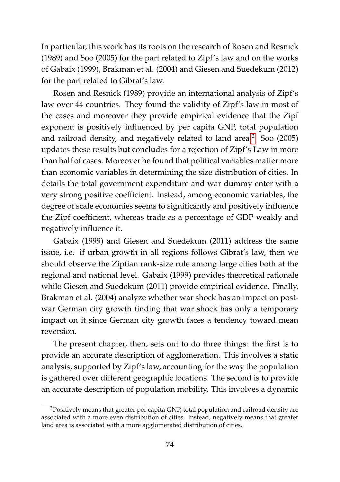In particular, this work has its roots on the research of Rosen and Resnick (1989) and Soo (2005) for the part related to Zipf's law and on the works of Gabaix (1999), Brakman et al. (2004) and Giesen and Suedekum (2012) for the part related to Gibrat's law.

Rosen and Resnick (1989) provide an international analysis of Zipf's law over 44 countries. They found the validity of Zipf's law in most of the cases and moreover they provide empirical evidence that the Zipf exponent is positively influenced by per capita GNP, total population and railroad density, and negatively related to land area.<sup>[2](#page-91-0)</sup> Soo (2005) updates these results but concludes for a rejection of Zipf's Law in more than half of cases. Moreover he found that political variables matter more than economic variables in determining the size distribution of cities. In details the total government expenditure and war dummy enter with a very strong positive coefficient. Instead, among economic variables, the degree of scale economies seems to significantly and positively influence the Zipf coefficient, whereas trade as a percentage of GDP weakly and negatively influence it.

Gabaix (1999) and Giesen and Suedekum (2011) address the same issue, i.e. if urban growth in all regions follows Gibrat's law, then we should observe the Zipfian rank-size rule among large cities both at the regional and national level. Gabaix (1999) provides theoretical rationale while Giesen and Suedekum (2011) provide empirical evidence. Finally, Brakman et al. (2004) analyze whether war shock has an impact on postwar German city growth finding that war shock has only a temporary impact on it since German city growth faces a tendency toward mean reversion.

The present chapter, then, sets out to do three things: the first is to provide an accurate description of agglomeration. This involves a static analysis, supported by Zipf's law, accounting for the way the population is gathered over different geographic locations. The second is to provide an accurate description of population mobility. This involves a dynamic

<span id="page-91-0"></span><sup>&</sup>lt;sup>2</sup>Positively means that greater per capita GNP, total population and railroad density are associated with a more even distribution of cities. Instead, negatively means that greater land area is associated with a more agglomerated distribution of cities.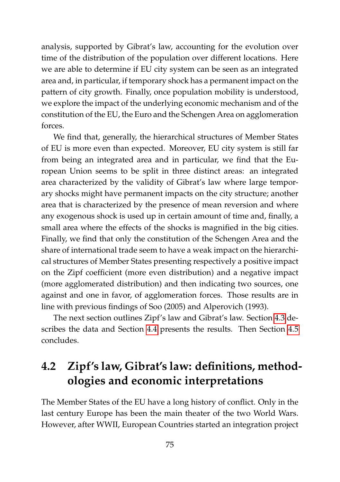analysis, supported by Gibrat's law, accounting for the evolution over time of the distribution of the population over different locations. Here we are able to determine if EU city system can be seen as an integrated area and, in particular, if temporary shock has a permanent impact on the pattern of city growth. Finally, once population mobility is understood, we explore the impact of the underlying economic mechanism and of the constitution of the EU, the Euro and the Schengen Area on agglomeration forces.

We find that, generally, the hierarchical structures of Member States of EU is more even than expected. Moreover, EU city system is still far from being an integrated area and in particular, we find that the European Union seems to be split in three distinct areas: an integrated area characterized by the validity of Gibrat's law where large temporary shocks might have permanent impacts on the city structure; another area that is characterized by the presence of mean reversion and where any exogenous shock is used up in certain amount of time and, finally, a small area where the effects of the shocks is magnified in the big cities. Finally, we find that only the constitution of the Schengen Area and the share of international trade seem to have a weak impact on the hierarchical structures of Member States presenting respectively a positive impact on the Zipf coefficient (more even distribution) and a negative impact (more agglomerated distribution) and then indicating two sources, one against and one in favor, of agglomeration forces. Those results are in line with previous findings of Soo (2005) and Alperovich (1993).

The next section outlines Zipf's law and Gibrat's law. Section [4.3](#page-96-0) describes the data and Section [4.4](#page-99-0) presents the results. Then Section [4.5](#page-113-0) concludes.

# **4.2 Zipf's law, Gibrat's law: definitions, methodologies and economic interpretations**

The Member States of the EU have a long history of conflict. Only in the last century Europe has been the main theater of the two World Wars. However, after WWII, European Countries started an integration project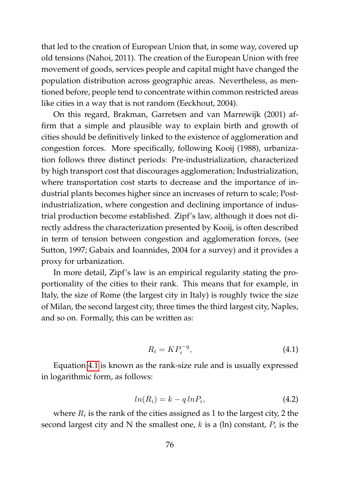that led to the creation of European Union that, in some way, covered up old tensions (Nahoi, 2011). The creation of the European Union with free movement of goods, services people and capital might have changed the population distribution across geographic areas. Nevertheless, as mentioned before, people tend to concentrate within common restricted areas like cities in a way that is not random (Eeckhout, 2004).

On this regard, Brakman, Garretsen and van Marrewijk (2001) affirm that a simple and plausible way to explain birth and growth of cities should be definitively linked to the existence of agglomeration and congestion forces. More specifically, following Kooij (1988), urbanization follows three distinct periods: Pre-industrialization, characterized by high transport cost that discourages agglomeration; Industrialization, where transportation cost starts to decrease and the importance of industrial plants becomes higher since an increases of return to scale; Postindustrialization, where congestion and declining importance of industrial production become established. Zipf's law, although it does not directly address the characterization presented by Kooij, is often described in term of tension between congestion and agglomeration forces, (see Sutton, 1997; Gabaix and Ioannides, 2004 for a survey) and it provides a proxy for urbanization.

In more detail, Zipf's law is an empirical regularity stating the proportionality of the cities to their rank. This means that for example, in Italy, the size of Rome (the largest city in Italy) is roughly twice the size of Milan, the second largest city, three times the third largest city, Naples, and so on. Formally, this can be written as:

<span id="page-93-0"></span>
$$
R_i = K P_i^{-q},\tag{4.1}
$$

Equation [4.1](#page-93-0) is known as the rank-size rule and is usually expressed in logarithmic form, as follows:

$$
ln(R_i) = k - q ln P_i,
$$
\n(4.2)

where  $R_i$  is the rank of the cities assigned as 1 to the largest city, 2 the second largest city and N the smallest one,  $k$  is a (ln) constant,  $P_i$  is the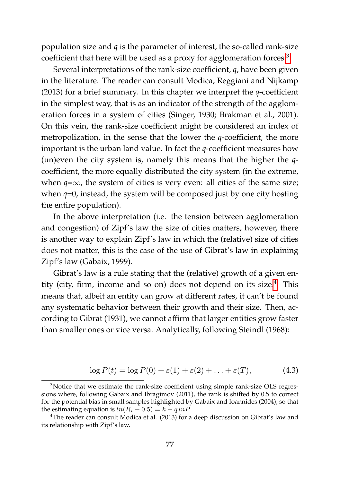population size and *q* is the parameter of interest, the so-called rank-size coefficient that here will be used as a proxy for agglomeration forces.<sup>[3](#page-94-0)</sup>

Several interpretations of the rank-size coefficient, *q*, have been given in the literature. The reader can consult Modica, Reggiani and Nijkamp (2013) for a brief summary. In this chapter we interpret the *q*-coefficient in the simplest way, that is as an indicator of the strength of the agglomeration forces in a system of cities (Singer, 1930; Brakman et al., 2001). On this vein, the rank-size coefficient might be considered an index of metropolization, in the sense that the lower the *q*-coefficient, the more important is the urban land value. In fact the *q*-coefficient measures how (un)even the city system is, namely this means that the higher the *q*coefficient, the more equally distributed the city system (in the extreme, when  $q = \infty$ , the system of cities is very even: all cities of the same size; when *q*=0, instead, the system will be composed just by one city hosting the entire population).

In the above interpretation (i.e. the tension between agglomeration and congestion) of Zipf's law the size of cities matters, however, there is another way to explain Zipf's law in which the (relative) size of cities does not matter, this is the case of the use of Gibrat's law in explaining Zipf's law (Gabaix, 1999).

Gibrat's law is a rule stating that the (relative) growth of a given entity (city, firm, income and so on) does not depend on its size.[4](#page-94-1) This means that, albeit an entity can grow at different rates, it can't be found any systematic behavior between their growth and their size. Then, according to Gibrat (1931), we cannot affirm that larger entities grow faster than smaller ones or vice versa. Analytically, following Steindl (1968):

<span id="page-94-2"></span>
$$
\log P(t) = \log P(0) + \varepsilon(1) + \varepsilon(2) + \ldots + \varepsilon(T), \tag{4.3}
$$

<span id="page-94-0"></span><sup>3</sup>Notice that we estimate the rank-size coefficient using simple rank-size OLS regressions where, following Gabaix and Ibragimov (2011), the rank is shifted by 0.5 to correct for the potential bias in small samples highlighted by Gabaix and Ioannides (2004), so that the estimating equation is  $ln(R_i - 0.5) = k - q ln P$ .

<span id="page-94-1"></span><sup>&</sup>lt;sup>4</sup>The reader can consult Modica et al. (2013) for a deep discussion on Gibrat's law and its relationship with Zipf's law.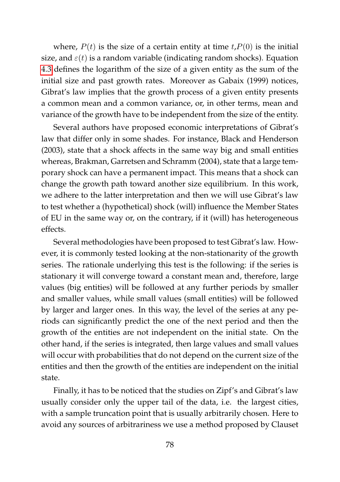where,  $P(t)$  is the size of a certain entity at time  $t$ ,  $P(0)$  is the initial size, and  $\varepsilon(t)$  is a random variable (indicating random shocks). Equation [4.3](#page-94-2) defines the logarithm of the size of a given entity as the sum of the initial size and past growth rates. Moreover as Gabaix (1999) notices, Gibrat's law implies that the growth process of a given entity presents a common mean and a common variance, or, in other terms, mean and variance of the growth have to be independent from the size of the entity.

Several authors have proposed economic interpretations of Gibrat's law that differ only in some shades. For instance, Black and Henderson (2003), state that a shock affects in the same way big and small entities whereas, Brakman, Garretsen and Schramm (2004), state that a large temporary shock can have a permanent impact. This means that a shock can change the growth path toward another size equilibrium. In this work, we adhere to the latter interpretation and then we will use Gibrat's law to test whether a (hypothetical) shock (will) influence the Member States of EU in the same way or, on the contrary, if it (will) has heterogeneous effects.

Several methodologies have been proposed to test Gibrat's law. However, it is commonly tested looking at the non-stationarity of the growth series. The rationale underlying this test is the following: if the series is stationary it will converge toward a constant mean and, therefore, large values (big entities) will be followed at any further periods by smaller and smaller values, while small values (small entities) will be followed by larger and larger ones. In this way, the level of the series at any periods can significantly predict the one of the next period and then the growth of the entities are not independent on the initial state. On the other hand, if the series is integrated, then large values and small values will occur with probabilities that do not depend on the current size of the entities and then the growth of the entities are independent on the initial state.

Finally, it has to be noticed that the studies on Zipf's and Gibrat's law usually consider only the upper tail of the data, i.e. the largest cities, with a sample truncation point that is usually arbitrarily chosen. Here to avoid any sources of arbitrariness we use a method proposed by Clauset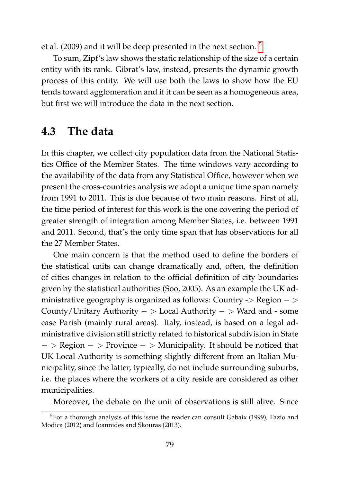et al. (2009) and it will be deep presented in the next section. [5](#page-96-1)

To sum, Zipf's law shows the static relationship of the size of a certain entity with its rank. Gibrat's law, instead, presents the dynamic growth process of this entity. We will use both the laws to show how the EU tends toward agglomeration and if it can be seen as a homogeneous area, but first we will introduce the data in the next section.

# <span id="page-96-0"></span>**4.3 The data**

In this chapter, we collect city population data from the National Statistics Office of the Member States. The time windows vary according to the availability of the data from any Statistical Office, however when we present the cross-countries analysis we adopt a unique time span namely from 1991 to 2011. This is due because of two main reasons. First of all, the time period of interest for this work is the one covering the period of greater strength of integration among Member States, i.e. between 1991 and 2011. Second, that's the only time span that has observations for all the 27 Member States.

One main concern is that the method used to define the borders of the statistical units can change dramatically and, often, the definition of cities changes in relation to the official definition of city boundaries given by the statistical authorities (Soo, 2005). As an example the UK administrative geography is organized as follows: Country -> Region − > County/Unitary Authority − > Local Authority − > Ward and - some case Parish (mainly rural areas). Italy, instead, is based on a legal administrative division still strictly related to historical subdivision in State − > Region − > Province − > Municipality. It should be noticed that UK Local Authority is something slightly different from an Italian Municipality, since the latter, typically, do not include surrounding suburbs, i.e. the places where the workers of a city reside are considered as other municipalities.

Moreover, the debate on the unit of observations is still alive. Since

<span id="page-96-1"></span><sup>5</sup>For a thorough analysis of this issue the reader can consult Gabaix (1999), Fazio and Modica (2012) and Ioannides and Skouras (2013).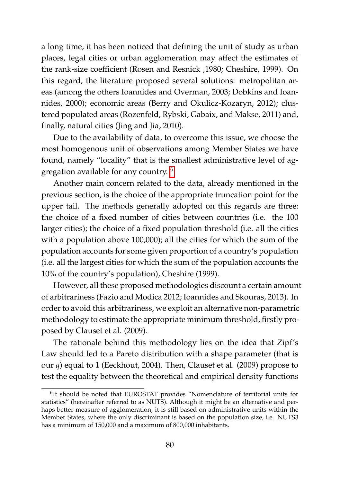a long time, it has been noticed that defining the unit of study as urban places, legal cities or urban agglomeration may affect the estimates of the rank-size coefficient (Rosen and Resnick ,1980; Cheshire, 1999). On this regard, the literature proposed several solutions: metropolitan areas (among the others Ioannides and Overman, 2003; Dobkins and Ioannides, 2000); economic areas (Berry and Okulicz-Kozaryn, 2012); clustered populated areas (Rozenfeld, Rybski, Gabaix, and Makse, 2011) and, finally, natural cities (Jing and Jia, 2010).

Due to the availability of data, to overcome this issue, we choose the most homogenous unit of observations among Member States we have found, namely "locality" that is the smallest administrative level of aggregation available for any country. [6](#page-97-0)

Another main concern related to the data, already mentioned in the previous section, is the choice of the appropriate truncation point for the upper tail. The methods generally adopted on this regards are three: the choice of a fixed number of cities between countries (i.e. the 100 larger cities); the choice of a fixed population threshold (i.e. all the cities with a population above 100,000); all the cities for which the sum of the population accounts for some given proportion of a country's population (i.e. all the largest cities for which the sum of the population accounts the 10% of the country's population), Cheshire (1999).

However, all these proposed methodologies discount a certain amount of arbitrariness (Fazio and Modica 2012; Ioannides and Skouras, 2013). In order to avoid this arbitrariness, we exploit an alternative non-parametric methodology to estimate the appropriate minimum threshold, firstly proposed by Clauset et al. (2009).

The rationale behind this methodology lies on the idea that Zipf's Law should led to a Pareto distribution with a shape parameter (that is our *q*) equal to 1 (Eeckhout, 2004). Then, Clauset et al. (2009) propose to test the equality between the theoretical and empirical density functions

<span id="page-97-0"></span><sup>&</sup>lt;sup>6</sup>It should be noted that EUROSTAT provides "Nomenclature of territorial units for statistics" (hereinafter referred to as NUTS). Although it might be an alternative and perhaps better measure of agglomeration, it is still based on administrative units within the Member States, where the only discriminant is based on the population size, i.e. NUTS3 has a minimum of 150,000 and a maximum of 800,000 inhabitants.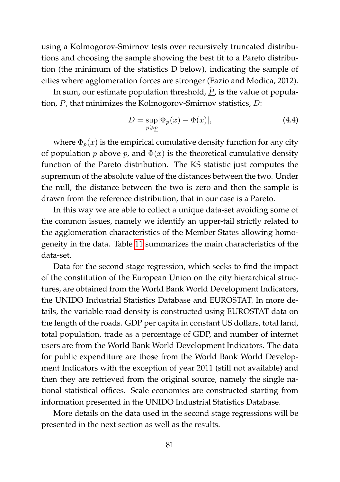using a Kolmogorov-Smirnov tests over recursively truncated distributions and choosing the sample showing the best fit to a Pareto distribution (the minimum of the statistics D below), indicating the sample of cities where agglomeration forces are stronger (Fazio and Modica, 2012).

In sum, our estimate population threshold,  $\hat{P}$ , is the value of population, P, that minimizes the Kolmogorov-Smirnov statistics, D:

$$
D = \sup_{p \ge p} |\Phi_p(x) - \Phi(x)|,\tag{4.4}
$$

where  $\Phi_p(x)$  is the empirical cumulative density function for any city of population p above p, and  $\Phi(x)$  is the theoretical cumulative density function of the Pareto distribution. The KS statistic just computes the supremum of the absolute value of the distances between the two. Under the null, the distance between the two is zero and then the sample is drawn from the reference distribution, that in our case is a Pareto.

In this way we are able to collect a unique data-set avoiding some of the common issues, namely we identify an upper-tail strictly related to the agglomeration characteristics of the Member States allowing homogeneity in the data. Table [11](#page-99-1) summarizes the main characteristics of the data-set.

Data for the second stage regression, which seeks to find the impact of the constitution of the European Union on the city hierarchical structures, are obtained from the World Bank World Development Indicators, the UNIDO Industrial Statistics Database and EUROSTAT. In more details, the variable road density is constructed using EUROSTAT data on the length of the roads. GDP per capita in constant US dollars, total land, total population, trade as a percentage of GDP, and number of internet users are from the World Bank World Development Indicators. The data for public expenditure are those from the World Bank World Development Indicators with the exception of year 2011 (still not available) and then they are retrieved from the original source, namely the single national statistical offices. Scale economies are constructed starting from information presented in the UNIDO Industrial Statistics Database.

More details on the data used in the second stage regressions will be presented in the next section as well as the results.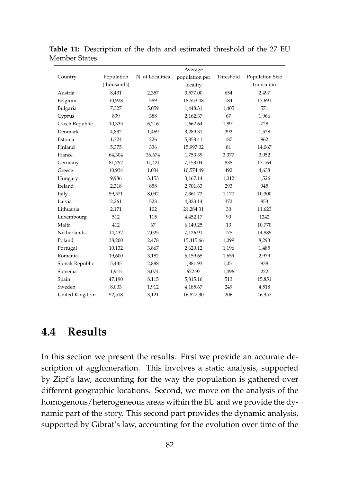|                 |             |                  | Average        |           |                 |
|-----------------|-------------|------------------|----------------|-----------|-----------------|
| Country         | Population  | N. of Localities | population per | Threshold | Population Size |
|                 | (thousands) |                  | locality       |           | truncation      |
| Austria         | 8,431       | 2,357            | 3,577.00       | 654       | 2,497           |
| Belgium         | 10,928      | 589              | 18,553.48      | 184       | 17,691          |
| Bulgaria        | 7,327       | 5,059            | 1,448.31       | 1,405     | 571             |
| Cyprus          | 839         | 388              | 2,162.37       | 67        | 1,966           |
| Czech Republic  | 10,335      | 6,216            | 1,662.64       | 1,891     | 728             |
| Denmark         | 4,832       | 1,469            | 3,289.31       | 392       | 1,528           |
| Estonia         | 1,324       | 226              | 5,858.41       | 187       | 962             |
| Finland         | 5,375       | 336              | 15,997.02      | 81        | 14,067          |
| France          | 64,304      | 36,674           | 1,753.39       | 3,377     | 3,052           |
| Germany         | 81,752      | 11,421           | 7,158.04       | 838       | 17,164          |
| Greece          | 10,934      | 1,034            | 10,574.49      | 492       | 4,638           |
| Hungary         | 9,986       | 3,153            | 3,167.14       | 1,012     | 1,526           |
| Ireland         | 2,318       | 858              | 2,701.63       | 293       | 945             |
| Italy           | 59,571      | 8,092            | 7,361.72       | 1,170     | 10,300          |
| Latvia          | 2,261       | 523              | 4,323.14       | 372       | 853             |
| Lithuania       | 2,171       | 102              | 21,284.31      | 30        | 11,623          |
| Luxembourg      | 512         | 115              | 4,452.17       | 90        | 1242            |
| Malta           | 412         | 67               | 6,149.25       | 13        | 10,770          |
| Netherlands     | 14,432      | 2,025            | 7,126.91       | 175       | 14,885          |
| Poland          | 38,200      | 2,478            | 15,415.66      | 1,099     | 8,293           |
| Portugal        | 10,132      | 3,867            | 2,620.12       | 1,196     | 1,485           |
| Romania         | 19,600      | 3,182            | 6,159.65       | 1,659     | 2,979           |
| Slovak Republic | 5,435       | 2,888            | 1,881.93       | 1,051     | 938             |
| Slovenia        | 1,915       | 3,074            | 622.97         | 1,496     | 222             |
| Spain           | 47,190      | 8,115            | 5,815.16       | 513       | 15,851          |
| Sweden          | 8,003       | 1,912            | 4,185.67       | 249       | 4,518           |
| United Kingdom  | 52,518      | 3,121            | 16,827.30      | 206       | 46,357          |

<span id="page-99-1"></span>**Table 11:** Description of the data and estimated threshold of the 27 EU Member States

# <span id="page-99-0"></span>**4.4 Results**

In this section we present the results. First we provide an accurate description of agglomeration. This involves a static analysis, supported by Zipf's law, accounting for the way the population is gathered over different geographic locations. Second, we move on the analysis of the homogenous/heterogeneous areas within the EU and we provide the dynamic part of the story. This second part provides the dynamic analysis, supported by Gibrat's law, accounting for the evolution over time of the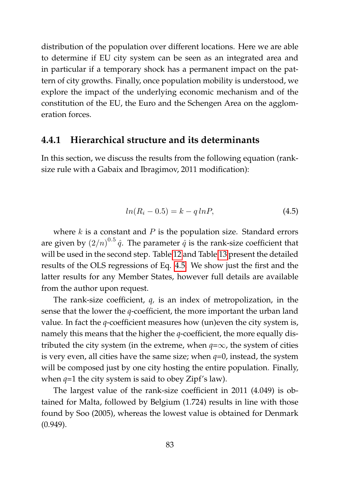distribution of the population over different locations. Here we are able to determine if EU city system can be seen as an integrated area and in particular if a temporary shock has a permanent impact on the pattern of city growths. Finally, once population mobility is understood, we explore the impact of the underlying economic mechanism and of the constitution of the EU, the Euro and the Schengen Area on the agglomeration forces.

### **4.4.1 Hierarchical structure and its determinants**

In this section, we discuss the results from the following equation (ranksize rule with a Gabaix and Ibragimov, 2011 modification):

<span id="page-100-0"></span>
$$
ln(R_i - 0.5) = k - q \ln P,\t\t(4.5)
$$

where  $k$  is a constant and  $P$  is the population size. Standard errors are given by  $(2/n)^{0.5}$   $\hat{q}$ . The parameter  $\hat{q}$  is the rank-size coefficient that will be used in the second step. Table [12](#page-101-0) and Table [13](#page-102-0) present the detailed results of the OLS regressions of Eq. [4.5.](#page-100-0) We show just the first and the latter results for any Member States, however full details are available from the author upon request.

The rank-size coefficient, *q,* is an index of metropolization, in the sense that the lower the *q*-coefficient, the more important the urban land value. In fact the *q*-coefficient measures how (un)even the city system is, namely this means that the higher the *q*-coefficient, the more equally distributed the city system (in the extreme, when  $q = \infty$ , the system of cities is very even, all cities have the same size; when *q*=0, instead, the system will be composed just by one city hosting the entire population. Finally, when  $q=1$  the city system is said to obey Zipf's law).

The largest value of the rank-size coefficient in 2011 (4.049) is obtained for Malta, followed by Belgium (1.724) results in line with those found by Soo (2005), whereas the lowest value is obtained for Denmark (0.949).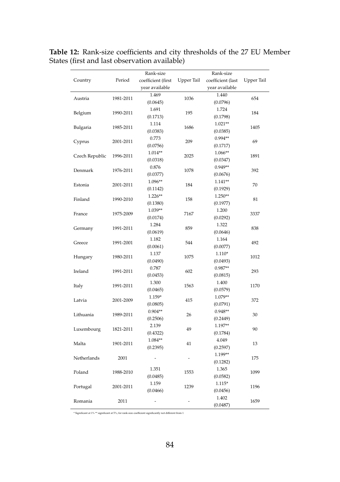<span id="page-101-0"></span>

| Country        | Period    | Rank-size<br>coefficient (first<br>year available | Upper Tail | Rank-size<br>coefficient (last<br>year available | <b>Upper Tail</b> |
|----------------|-----------|---------------------------------------------------|------------|--------------------------------------------------|-------------------|
| Austria        | 1981-2011 | 1.469<br>(0.0645)                                 | 1036       | 1.440<br>(0.0796)                                | 654               |
| Belgium        | 1990-2011 | 1.691<br>(0.1713)                                 | 195        | 1.724<br>(0.1798)                                | 184               |
| Bulgaria       | 1985-2011 | 1.114<br>(0.0383)                                 | 1686       | $1.021**$<br>(0.0385)                            | 1405              |
| Cyprus         | 2001-2011 | 0.773<br>(0.0756)                                 | 209        | $0.994**$<br>(0.1717)                            | 69                |
| Czech Republic | 1996-2011 | 1.014**<br>(0.0318)                               | 2025       | 1.066**<br>(0.0347)                              | 1891              |
| Denmark        | 1976-2011 | 0.876<br>(0.0377)                                 | 1078       | $0.949**$<br>(0.0676)                            | 392               |
| Estonia        | 2001-2011 | 1.096**<br>(0.1142)                               | 184        | $1.141**$<br>(0.1929)                            | 70                |
| Finland        | 1990-2010 | $1.226**$<br>(0.1380)                             | 158        | 1.250**<br>(0.1977)                              | 81                |
| France         | 1975-2009 | 1.039**<br>(0.0174)                               | 7167       | 1.200<br>(0.0292)                                | 3337              |
| Germany        | 1991-2011 | 1.284<br>(0.0619)                                 | 859        | 1.322<br>(0.0646)                                | 838               |
| Greece         | 1991-2001 | 1.182<br>(0.0061)                                 | 544        | 1.164<br>(0.0077)                                | 492               |
| Hungary        | 1980-2011 | 1.137<br>(0.0490)                                 | 1075       | 1.110*<br>(0.0493)                               | 1012              |
| Ireland        | 1991-2011 | 0.787<br>(0.0453)                                 | 602        | $0.987**$<br>(0.0815)                            | 293               |
| Italy          | 1991-2011 | 1.300<br>(0.0465)                                 | 1563       | 1.400<br>(0.0579)                                | 1170              |
| Latvia         | 2001-2009 | 1.159*<br>(0.0805)                                | 415        | 1.079**<br>(0.0791)                              | 372               |
| Lithuania      | 1989-2011 | $0.904**$<br>(0.2506)                             | 26         | $0.948**$<br>(0.2449)                            | 30                |
| Luxembourg     | 1821-2011 | 2.139<br>(0.4322)                                 | 49         | 1.197**<br>(0.1784)                              | 90                |
| Malta          | 1901-2011 | 1.084**<br>(0.2395)                               | 41         | 4.049<br>(0.2597)                                | 13                |
| Netherlands    | 2001      | ÷,                                                |            | 1.199**<br>(0.1282)                              | 175               |
| Poland         | 1988-2010 | 1.351<br>(0.0485)                                 | 1553       | 1.365<br>(0.0582)                                | 1099              |
| Portugal       | 2001-2011 | 1.159<br>(0.0466)                                 | 1239       | $1.115*$<br>(0.0456)                             | 1196              |
| Romania        | 2011      | -                                                 |            | 1.402<br>(0.0487)                                | 1659              |

**Table 12:** Rank-size coefficients and city thresholds of the 27 EU Member States (first and last observation available)

\* Significant at 1% \*\* significant at 5%; for rank-size coefficient significantly not different from 1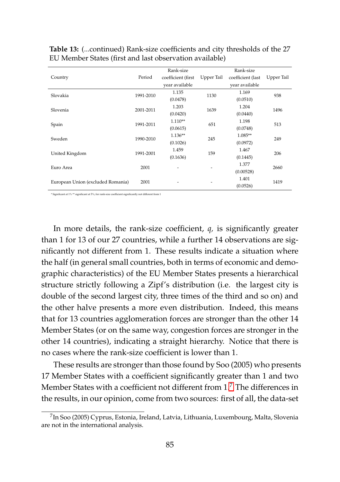|                                   |           | Rank-size          |            | Rank-size         |            |
|-----------------------------------|-----------|--------------------|------------|-------------------|------------|
| Country                           | Period    | coefficient (first | Upper Tail | coefficient (last | Upper Tail |
|                                   |           | vear available     |            | year available    |            |
| Slovakia                          | 1991-2010 | 1.135              | 1130       | 1.169             | 938        |
|                                   |           | (0.0478)           |            | (0.0510)          |            |
| Slovenia                          | 2001-2011 | 1.203              | 1639       | 1.204             | 1496       |
|                                   |           | (0.0420)           |            | (0.0440)          |            |
|                                   | 1991-2011 | $1.110**$          | 651        | 1.198             | 513        |
| Spain                             |           | (0.0615)           |            | (0.0748)          |            |
|                                   | 1990-2010 | $1.136**$          | 245        | 1.085**           | 249        |
| Sweden                            |           | (0.1026)           |            | (0.0972)          |            |
|                                   | 1991-2001 | 1.459              |            | 1.467             |            |
| United Kingdom                    |           | (0.1636)           | 159        | (0.1445)          | 206        |
|                                   |           |                    |            | 1.377             |            |
| Euro Area                         | 2001      |                    | ٠          | (0.00528)         | 2660       |
|                                   |           |                    |            | 1.401             |            |
| European Union (excluded Romania) | 2001      |                    | ٠          | (0.0526)          | 1419       |

<span id="page-102-0"></span>**Table 13:** (...continued) Rank-size coefficients and city thresholds of the 27 EU Member States (first and last observation available)

nt at 1% \*\* significant at 5%; for rank-size coefficient significantly not different from 1

In more details, the rank-size coefficient, *q,* is significantly greater than 1 for 13 of our 27 countries, while a further 14 observations are significantly not different from 1. These results indicate a situation where the half (in general small countries, both in terms of economic and demographic characteristics) of the EU Member States presents a hierarchical structure strictly following a Zipf's distribution (i.e. the largest city is double of the second largest city, three times of the third and so on) and the other halve presents a more even distribution. Indeed, this means that for 13 countries agglomeration forces are stronger than the other 14 Member States (or on the same way, congestion forces are stronger in the other 14 countries), indicating a straight hierarchy. Notice that there is no cases where the rank-size coefficient is lower than 1.

These results are stronger than those found by Soo (2005) who presents 17 Member States with a coefficient significantly greater than 1 and two Member States with a coefficient not different from  $1<sup>7</sup>$  $1<sup>7</sup>$  $1<sup>7</sup>$  The differences in the results, in our opinion, come from two sources: first of all, the data-set

<span id="page-102-1"></span><sup>7</sup> In Soo (2005) Cyprus, Estonia, Ireland, Latvia, Lithuania, Luxembourg, Malta, Slovenia are not in the international analysis.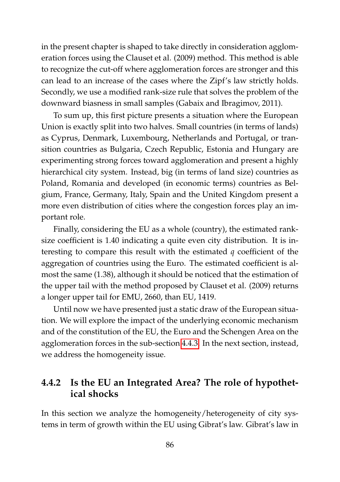in the present chapter is shaped to take directly in consideration agglomeration forces using the Clauset et al. (2009) method. This method is able to recognize the cut-off where agglomeration forces are stronger and this can lead to an increase of the cases where the Zipf's law strictly holds. Secondly, we use a modified rank-size rule that solves the problem of the downward biasness in small samples (Gabaix and Ibragimov, 2011).

To sum up, this first picture presents a situation where the European Union is exactly split into two halves. Small countries (in terms of lands) as Cyprus, Denmark, Luxembourg, Netherlands and Portugal, or transition countries as Bulgaria, Czech Republic, Estonia and Hungary are experimenting strong forces toward agglomeration and present a highly hierarchical city system. Instead, big (in terms of land size) countries as Poland, Romania and developed (in economic terms) countries as Belgium, France, Germany, Italy, Spain and the United Kingdom present a more even distribution of cities where the congestion forces play an important role.

Finally, considering the EU as a whole (country), the estimated ranksize coefficient is 1.40 indicating a quite even city distribution. It is interesting to compare this result with the estimated *q* coefficient of the aggregation of countries using the Euro. The estimated coefficient is almost the same (1.38), although it should be noticed that the estimation of the upper tail with the method proposed by Clauset et al. (2009) returns a longer upper tail for EMU, 2660, than EU, 1419.

Until now we have presented just a static draw of the European situation. We will explore the impact of the underlying economic mechanism and of the constitution of the EU, the Euro and the Schengen Area on the agglomeration forces in the sub-section [4.4.3.](#page-109-0) In the next section, instead, we address the homogeneity issue.

# **4.4.2 Is the EU an Integrated Area? The role of hypothetical shocks**

In this section we analyze the homogeneity/heterogeneity of city systems in term of growth within the EU using Gibrat's law. Gibrat's law in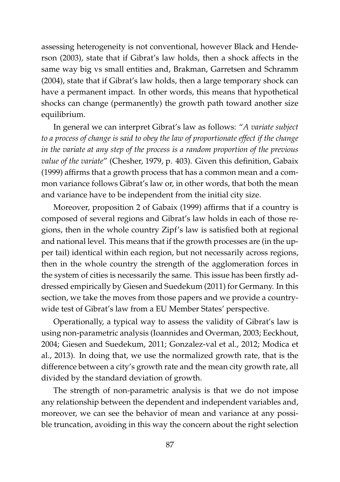assessing heterogeneity is not conventional, however Black and Henderson (2003), state that if Gibrat's law holds, then a shock affects in the same way big vs small entities and, Brakman, Garretsen and Schramm (2004), state that if Gibrat's law holds, then a large temporary shock can have a permanent impact. In other words, this means that hypothetical shocks can change (permanently) the growth path toward another size equilibrium.

In general we can interpret Gibrat's law as follows: "*A variate subject to a process of change is said to obey the law of proportionate effect if the change in the variate at any step of the process is a random proportion of the previous value of the variate*" (Chesher, 1979, p. 403). Given this definition, Gabaix (1999) affirms that a growth process that has a common mean and a common variance follows Gibrat's law or, in other words, that both the mean and variance have to be independent from the initial city size.

Moreover, proposition 2 of Gabaix (1999) affirms that if a country is composed of several regions and Gibrat's law holds in each of those regions, then in the whole country Zipf's law is satisfied both at regional and national level. This means that if the growth processes are (in the upper tail) identical within each region, but not necessarily across regions, then in the whole country the strength of the agglomeration forces in the system of cities is necessarily the same. This issue has been firstly addressed empirically by Giesen and Suedekum (2011) for Germany. In this section, we take the moves from those papers and we provide a countrywide test of Gibrat's law from a EU Member States' perspective.

Operationally, a typical way to assess the validity of Gibrat's law is using non-parametric analysis (Ioannides and Overman, 2003; Eeckhout, 2004; Giesen and Suedekum, 2011; Gonzalez-val et al., 2012; Modica et al., 2013). In doing that, we use the normalized growth rate, that is the difference between a city's growth rate and the mean city growth rate, all divided by the standard deviation of growth.

The strength of non-parametric analysis is that we do not impose any relationship between the dependent and independent variables and, moreover, we can see the behavior of mean and variance at any possible truncation, avoiding in this way the concern about the right selection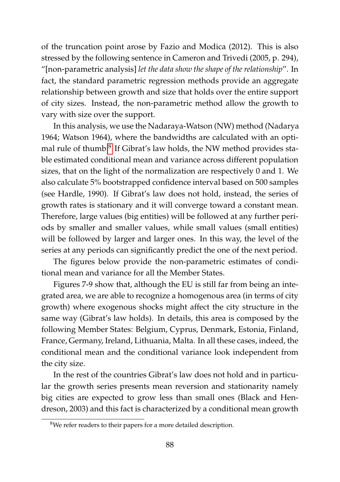of the truncation point arose by Fazio and Modica (2012). This is also stressed by the following sentence in Cameron and Trivedi (2005, p. 294), "[non-parametric analysis] *let the data show the shape of the relationship*". In fact, the standard parametric regression methods provide an aggregate relationship between growth and size that holds over the entire support of city sizes. Instead, the non-parametric method allow the growth to vary with size over the support.

In this analysis, we use the Nadaraya-Watson (NW) method (Nadarya 1964; Watson 1964), where the bandwidths are calculated with an opti-mal rule of thumb.<sup>[8](#page-105-0)</sup> If Gibrat's law holds, the NW method provides stable estimated conditional mean and variance across different population sizes, that on the light of the normalization are respectively 0 and 1. We also calculate 5% bootstrapped confidence interval based on 500 samples (see Hardle, 1990). If Gibrat's law does not hold, instead, the series of growth rates is stationary and it will converge toward a constant mean. Therefore, large values (big entities) will be followed at any further periods by smaller and smaller values, while small values (small entities) will be followed by larger and larger ones. In this way, the level of the series at any periods can significantly predict the one of the next period.

The figures below provide the non-parametric estimates of conditional mean and variance for all the Member States.

Figures 7-9 show that, although the EU is still far from being an integrated area, we are able to recognize a homogenous area (in terms of city growth) where exogenous shocks might affect the city structure in the same way (Gibrat's law holds). In details, this area is composed by the following Member States: Belgium, Cyprus, Denmark, Estonia, Finland, France, Germany, Ireland, Lithuania, Malta. In all these cases, indeed, the conditional mean and the conditional variance look independent from the city size.

In the rest of the countries Gibrat's law does not hold and in particular the growth series presents mean reversion and stationarity namely big cities are expected to grow less than small ones (Black and Hendreson, 2003) and this fact is characterized by a conditional mean growth

<span id="page-105-0"></span><sup>8</sup>We refer readers to their papers for a more detailed description.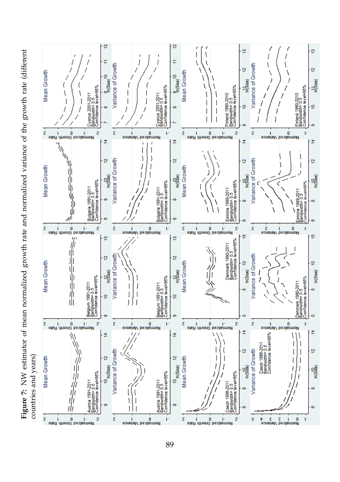Figure 7: NW estimator of mean normalized growth rate and normalized variance of the growth rate (different **Figure 7:** NW estimator of mean normalized growth rate and normalized variance of the growth rate (different countries and years) countries and years)

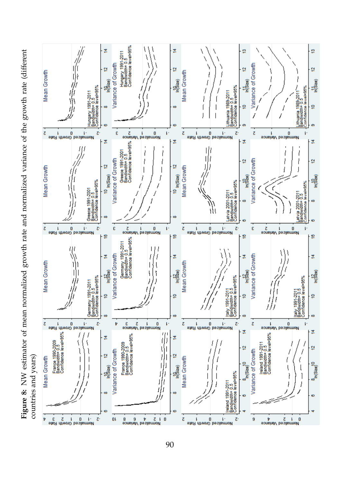Figure 8: NW estimator of mean normalized growth rate and normalized variance of the growth rate (different **Figure 8:** NW estimator of mean normalized growth rate and normalized variance of the growth rate (different countries and years) countries and years)

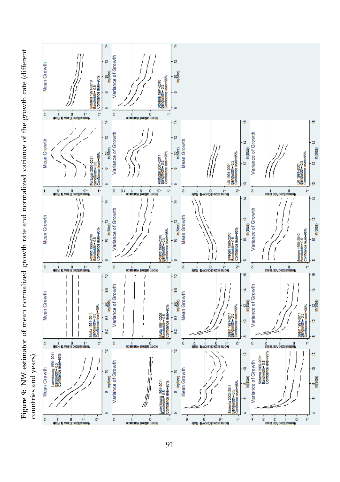

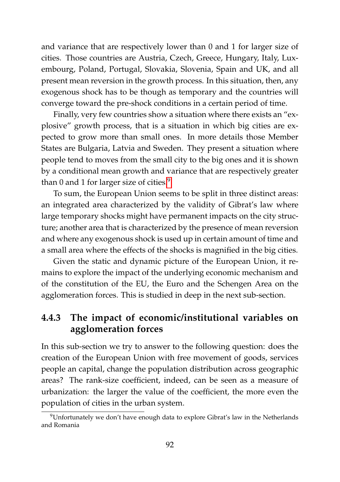and variance that are respectively lower than 0 and 1 for larger size of cities. Those countries are Austria, Czech, Greece, Hungary, Italy, Luxembourg, Poland, Portugal, Slovakia, Slovenia, Spain and UK, and all present mean reversion in the growth process. In this situation, then, any exogenous shock has to be though as temporary and the countries will converge toward the pre-shock conditions in a certain period of time.

Finally, very few countries show a situation where there exists an "explosive" growth process, that is a situation in which big cities are expected to grow more than small ones. In more details those Member States are Bulgaria, Latvia and Sweden. They present a situation where people tend to moves from the small city to the big ones and it is shown by a conditional mean growth and variance that are respectively greater than 0 and 1 for larger size of cities.<sup>[9](#page-109-0)</sup>

To sum, the European Union seems to be split in three distinct areas: an integrated area characterized by the validity of Gibrat's law where large temporary shocks might have permanent impacts on the city structure; another area that is characterized by the presence of mean reversion and where any exogenous shock is used up in certain amount of time and a small area where the effects of the shocks is magnified in the big cities.

Given the static and dynamic picture of the European Union, it remains to explore the impact of the underlying economic mechanism and of the constitution of the EU, the Euro and the Schengen Area on the agglomeration forces. This is studied in deep in the next sub-section.

### **4.4.3 The impact of economic/institutional variables on agglomeration forces**

In this sub-section we try to answer to the following question: does the creation of the European Union with free movement of goods, services people an capital, change the population distribution across geographic areas? The rank-size coefficient, indeed, can be seen as a measure of urbanization: the larger the value of the coefficient, the more even the population of cities in the urban system.

<span id="page-109-0"></span><sup>9</sup>Unfortunately we don't have enough data to explore Gibrat's law in the Netherlands and Romania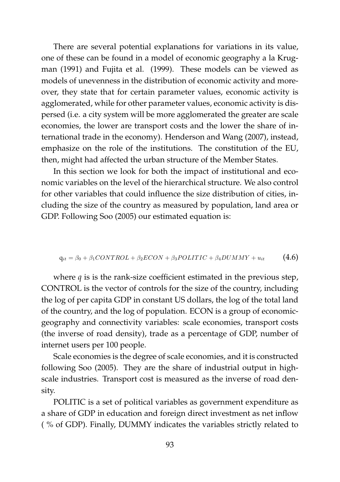There are several potential explanations for variations in its value, one of these can be found in a model of economic geography a la Krugman (1991) and Fujita et al. (1999). These models can be viewed as models of unevenness in the distribution of economic activity and moreover, they state that for certain parameter values, economic activity is agglomerated, while for other parameter values, economic activity is dispersed (i.e. a city system will be more agglomerated the greater are scale economies, the lower are transport costs and the lower the share of international trade in the economy). Henderson and Wang (2007), instead, emphasize on the role of the institutions. The constitution of the EU, then, might had affected the urban structure of the Member States.

In this section we look for both the impact of institutional and economic variables on the level of the hierarchical structure. We also control for other variables that could influence the size distribution of cities, including the size of the country as measured by population, land area or GDP. Following Soo (2005) our estimated equation is:

$$
q_{it} = \beta_0 + \beta_1 CONTROL + \beta_2 ECON + \beta_3 POLITIC + \beta_4 DUMMY + u_{it}
$$
 (4.6)

where  $q$  is is the rank-size coefficient estimated in the previous step, CONTROL is the vector of controls for the size of the country, including the log of per capita GDP in constant US dollars, the log of the total land of the country, and the log of population. ECON is a group of economicgeography and connectivity variables: scale economies, transport costs (the inverse of road density), trade as a percentage of GDP, number of internet users per 100 people.

Scale economies is the degree of scale economies, and it is constructed following Soo (2005). They are the share of industrial output in highscale industries. Transport cost is measured as the inverse of road density.

POLITIC is a set of political variables as government expenditure as a share of GDP in education and foreign direct investment as net inflow ( % of GDP). Finally, DUMMY indicates the variables strictly related to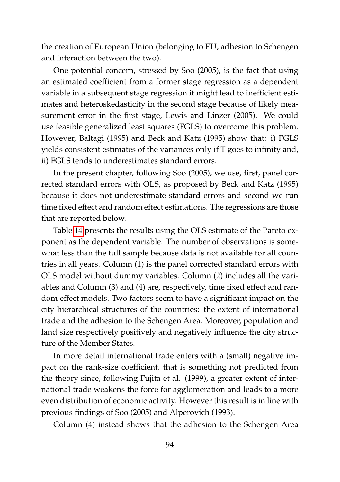the creation of European Union (belonging to EU, adhesion to Schengen and interaction between the two).

One potential concern, stressed by Soo (2005), is the fact that using an estimated coefficient from a former stage regression as a dependent variable in a subsequent stage regression it might lead to inefficient estimates and heteroskedasticity in the second stage because of likely measurement error in the first stage, Lewis and Linzer (2005). We could use feasible generalized least squares (FGLS) to overcome this problem. However, Baltagi (1995) and Beck and Katz (1995) show that: i) FGLS yields consistent estimates of the variances only if T goes to infinity and, ii) FGLS tends to underestimates standard errors.

In the present chapter, following Soo (2005), we use, first, panel corrected standard errors with OLS, as proposed by Beck and Katz (1995) because it does not underestimate standard errors and second we run time fixed effect and random effect estimations. The regressions are those that are reported below.

Table [14](#page-112-0) presents the results using the OLS estimate of the Pareto exponent as the dependent variable. The number of observations is somewhat less than the full sample because data is not available for all countries in all years. Column (1) is the panel corrected standard errors with OLS model without dummy variables. Column (2) includes all the variables and Column (3) and (4) are, respectively, time fixed effect and random effect models. Two factors seem to have a significant impact on the city hierarchical structures of the countries: the extent of international trade and the adhesion to the Schengen Area. Moreover, population and land size respectively positively and negatively influence the city structure of the Member States.

In more detail international trade enters with a (small) negative impact on the rank-size coefficient, that is something not predicted from the theory since, following Fujita et al. (1999), a greater extent of international trade weakens the force for agglomeration and leads to a more even distribution of economic activity. However this result is in line with previous findings of Soo (2005) and Alperovich (1993).

Column (4) instead shows that the adhesion to the Schengen Area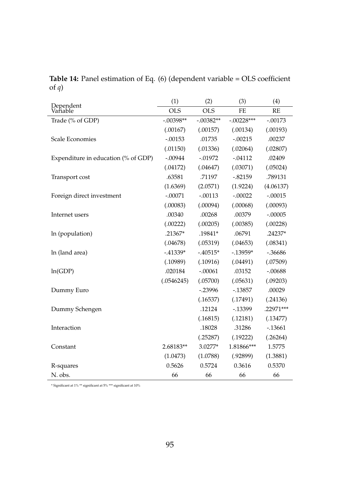|                                     | (1)         | (2)         | (3)          | (4)       |
|-------------------------------------|-------------|-------------|--------------|-----------|
| Dependent<br>Variable               | <b>OLS</b>  | <b>OLS</b>  | FE           | <b>RE</b> |
| Trade (% of GDP)                    | $-.00398**$ | $-.00382**$ | $-.00228***$ | $-.00173$ |
|                                     | (.00167)    | (.00157)    | (.00134)     | (.00193)  |
| <b>Scale Economies</b>              | $-.00153$   | .01735      | $-.00215$    | .00237    |
|                                     | (.01150)    | (.01336)    | (.02064)     | (.02807)  |
| Expenditure in education (% of GDP) | $-.00944$   | $-0.01972$  | $-.04112$    | .02409    |
|                                     | (.04172)    | (.04647)    | (.03071)     | (.05024)  |
| Transport cost                      | .63581      | .71197      | $-.82159$    | .789131   |
|                                     | (1.6369)    | (2.0571)    | (1.9224)     | (4.06137) |
| Foreign direct investment           | $-.00071$   | $-.00113$   | $-.00022$    | $-.00015$ |
|                                     | (.00083)    | (.00094)    | (.00068)     | (.00093)  |
| Internet users                      | .00340      | .00268      | .00379       | $-.00005$ |
|                                     | (.00222)    | (.00205)    | (.00385)     | (.00228)  |
| In (population)                     | .21367*     | .19841*     | .06791       | .24237*   |
|                                     | (.04678)    | (.05319)    | (.04653)     | (.08341)  |
| In (land area)                      | $-41339*$   | $-40515*$   | $-13959*$    | $-36686$  |
|                                     | (.10989)    | (.10916)    | (.04491)     | (.07509)  |
| ln(GDP)                             | .020184     | $-.00061$   | .03152       | $-.00688$ |
|                                     | (.0546245)  | (.05700)    | (.05631)     | (.09203)  |
| Dummy Euro                          |             | $-23996$    | $-13857$     | .00029    |
|                                     |             | (.16537)    | (.17491)     | (.24136)  |
| Dummy Schengen                      |             | .12124      | $-13399$     | .22971*** |
|                                     |             | (.16815)    | (.12181)     | (.13477)  |
| Interaction                         |             | .18028      | .31286       | $-13661$  |
|                                     |             | (.25287)    | (.19222)     | (.26264)  |
| Constant                            | 2.68183**   | 3.0277*     | 1.81866***   | 1.5775    |
|                                     | (1.0473)    | (1.0788)    | (.92899)     | (1.3881)  |
| R-squares                           | 0.5626      | 0.5724      | 0.3616       | 0.5370    |
| N. obs.                             | 66          | 66          | 66           | 66        |

<span id="page-112-0"></span>**Table 14:** Panel estimation of Eq. (6) (dependent variable = OLS coefficient of *q*)

 $^\ast$  Significant at 1%  $^{\ast\ast}$  significant at 10%  $^\ast$  significant at 10%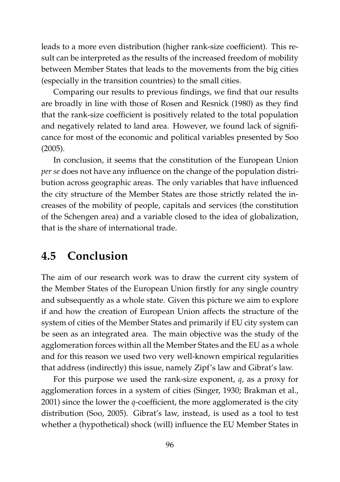leads to a more even distribution (higher rank-size coefficient). This result can be interpreted as the results of the increased freedom of mobility between Member States that leads to the movements from the big cities (especially in the transition countries) to the small cities.

Comparing our results to previous findings, we find that our results are broadly in line with those of Rosen and Resnick (1980) as they find that the rank-size coefficient is positively related to the total population and negatively related to land area. However, we found lack of significance for most of the economic and political variables presented by Soo (2005).

In conclusion, it seems that the constitution of the European Union *per se* does not have any influence on the change of the population distribution across geographic areas. The only variables that have influenced the city structure of the Member States are those strictly related the increases of the mobility of people, capitals and services (the constitution of the Schengen area) and a variable closed to the idea of globalization, that is the share of international trade.

## **4.5 Conclusion**

The aim of our research work was to draw the current city system of the Member States of the European Union firstly for any single country and subsequently as a whole state. Given this picture we aim to explore if and how the creation of European Union affects the structure of the system of cities of the Member States and primarily if EU city system can be seen as an integrated area. The main objective was the study of the agglomeration forces within all the Member States and the EU as a whole and for this reason we used two very well-known empirical regularities that address (indirectly) this issue, namely Zipf's law and Gibrat's law.

For this purpose we used the rank-size exponent, *q*, as a proxy for agglomeration forces in a system of cities (Singer, 1930; Brakman et al., 2001) since the lower the *q*-coefficient, the more agglomerated is the city distribution (Soo, 2005). Gibrat's law, instead, is used as a tool to test whether a (hypothetical) shock (will) influence the EU Member States in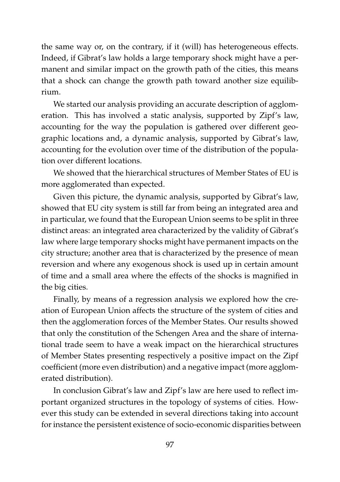the same way or, on the contrary, if it (will) has heterogeneous effects. Indeed, if Gibrat's law holds a large temporary shock might have a permanent and similar impact on the growth path of the cities, this means that a shock can change the growth path toward another size equilibrium.

We started our analysis providing an accurate description of agglomeration. This has involved a static analysis, supported by Zipf's law, accounting for the way the population is gathered over different geographic locations and, a dynamic analysis, supported by Gibrat's law, accounting for the evolution over time of the distribution of the population over different locations.

We showed that the hierarchical structures of Member States of EU is more agglomerated than expected.

Given this picture, the dynamic analysis, supported by Gibrat's law, showed that EU city system is still far from being an integrated area and in particular, we found that the European Union seems to be split in three distinct areas: an integrated area characterized by the validity of Gibrat's law where large temporary shocks might have permanent impacts on the city structure; another area that is characterized by the presence of mean reversion and where any exogenous shock is used up in certain amount of time and a small area where the effects of the shocks is magnified in the big cities.

Finally, by means of a regression analysis we explored how the creation of European Union affects the structure of the system of cities and then the agglomeration forces of the Member States. Our results showed that only the constitution of the Schengen Area and the share of international trade seem to have a weak impact on the hierarchical structures of Member States presenting respectively a positive impact on the Zipf coefficient (more even distribution) and a negative impact (more agglomerated distribution).

In conclusion Gibrat's law and Zipf's law are here used to reflect important organized structures in the topology of systems of cities. However this study can be extended in several directions taking into account for instance the persistent existence of socio-economic disparities between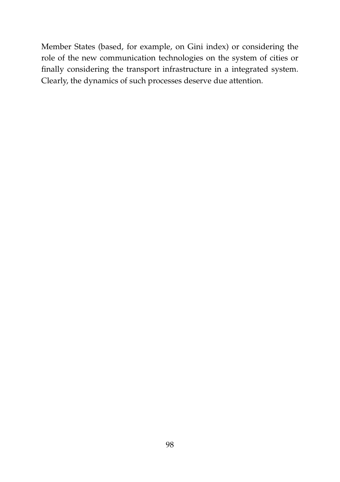Member States (based, for example, on Gini index) or considering the role of the new communication technologies on the system of cities or finally considering the transport infrastructure in a integrated system. Clearly, the dynamics of such processes deserve due attention.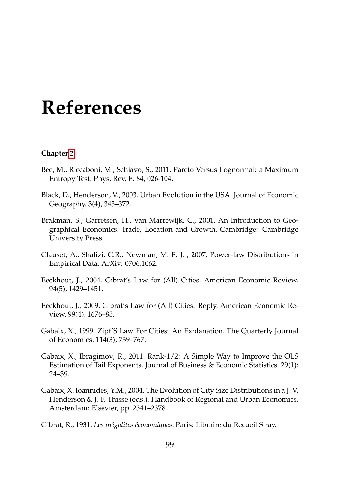# **References**

#### **Chapter [2](#page-25-0)**

- Bee, M., Riccaboni, M., Schiavo, S., 2011. Pareto Versus Lognormal: a Maximum Entropy Test. Phys. Rev. E. 84, 026-104.
- Black, D., Henderson, V., 2003. Urban Evolution in the USA. Journal of Economic Geography. 3(4), 343–372.
- Brakman, S., Garretsen, H., van Marrewijk, C., 2001. An Introduction to Geographical Economics. Trade, Location and Growth. Cambridge: Cambridge University Press.
- Clauset, A., Shalizi, C.R., Newman, M. E. J. , 2007. Power-law Distributions in Empirical Data. ArXiv: 0706.1062.
- Eeckhout, J., 2004. Gibrat's Law for (All) Cities. American Economic Review. 94(5), 1429–1451.
- Eeckhout, J., 2009. Gibrat's Law for (All) Cities: Reply. American Economic Review. 99(4), 1676–83.
- Gabaix, X., 1999. Zipf'S Law For Cities: An Explanation. The Quarterly Journal of Economics. 114(3), 739–767.
- Gabaix, X., Ibragimov, R., 2011. Rank-1/2: A Simple Way to Improve the OLS Estimation of Tail Exponents. Journal of Business & Economic Statistics. 29(1): 24–39.
- Gabaix, X. Ioannides, Y.M., 2004. The Evolution of City Size Distributions in a J. V. Henderson & J. F. Thisse (eds.), Handbook of Regional and Urban Economics. Amsterdam: Elsevier, pp. 2341–2378.
- Gibrat, R., 1931. *Les in´egalit´es ´economiques*. Paris: Libraire du Recueil Siray.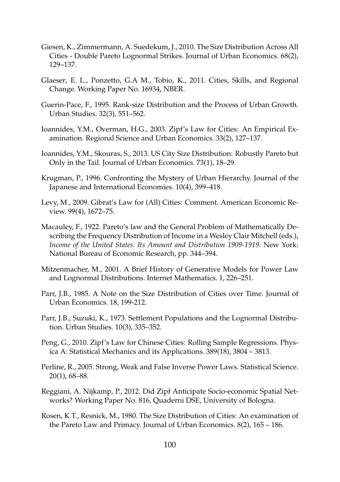- Giesen, K., Zimmermann, A. Suedekum, J., 2010. The Size Distribution Across All Cities - Double Pareto Lognormal Strikes. Journal of Urban Economics. 68(2), 129–137.
- Glaeser, E. L., Ponzetto, G.A M., Tobio, K., 2011. Cities, Skills, and Regional Change. Working Paper No. 16934, NBER.
- Guerin-Pace, F., 1995. Rank-size Distribution and the Process of Urban Growth. Urban Studies. 32(3), 551–562.
- Ioannides, Y.M., Overman, H.G., 2003. Zipf's Law for Cities: An Empirical Examination. Regional Science and Urban Economics. 33(2), 127–137.
- Ioannides, Y.M., Skouras, S., 2013. US City Size Distribution: Robustly Pareto but Only in the Tail. Journal of Urban Economics. 73(1), 18–29.
- Krugman, P., 1996. Confronting the Mystery of Urban Hierarchy. Journal of the Japanese and International Economies. 10(4), 399–418.
- Levy, M., 2009. Gibrat's Law for (All) Cities: Comment. American Economic Review. 99(4), 1672–75.
- Macauley, F., 1922. Pareto's law and the General Problem of Mathematically Describing the Frequency Distribution of Income in a Wesley Clair Mitchell (eds.), *Income of the United States. Its Amount and Distribution 1909-1919*. New York: National Bureau of Economic Research, pp. 344–394.
- Mitzenmacher, M., 2001. A Brief History of Generative Models for Power Law and Lognormal Distributions. Internet Mathematics. 1, 226–251.
- Parr, J.B., 1985. A Note on the Size Distribution of Cities over Time. Journal of Urban Economics. 18, 199-212.
- Parr, J.B., Suzuki, K., 1973. Settlement Populations and the Lognormal Distribution. Urban Studies. 10(3), 335–352.
- Peng, G., 2010. Zipf's Law for Chinese Cities: Rolling Sample Regressions. Physica A: Statistical Mechanics and its Applications. 389(18), 3804 – 3813.
- Perline, R., 2005. Strong, Weak and False Inverse Power Laws. Statistical Science. 20(1), 68–88.
- Reggiani, A. Nijkamp, P., 2012. Did Zipf Anticipate Socio-economic Spatial Networks? Working Paper No. 816, Quaderni DSE, University of Bologna.
- Rosen, K.T., Resnick, M., 1980. The Size Distribution of Cities: An examination of the Pareto Law and Primacy. Journal of Urban Economics. 8(2), 165 – 186.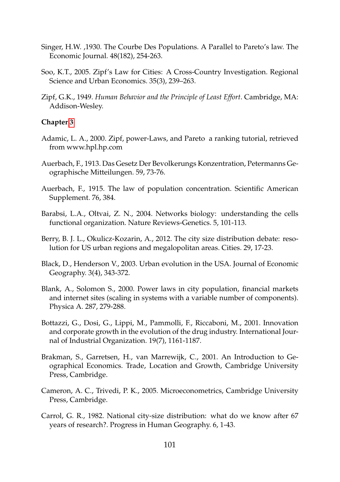- Singer, H.W. ,1930. The Courbe Des Populations. A Parallel to Pareto's law. The Economic Journal. 48(182), 254-263.
- Soo, K.T., 2005. Zipf's Law for Cities: A Cross-Country Investigation. Regional Science and Urban Economics. 35(3), 239–263.
- Zipf, G.K., 1949. *Human Behavior and the Principle of Least Effort*. Cambridge, MA: Addison-Wesley.

#### **Chapter [3](#page-47-0)**

- Adamic, L. A., 2000. Zipf, power-Laws, and Pareto a ranking tutorial, retrieved from www.hpl.hp.com
- Auerbach, F., 1913. Das Gesetz Der Bevolkerungs Konzentration, Petermanns Geographische Mitteilungen. 59, 73-76.
- Auerbach, F., 1915. The law of population concentration. Scientific American Supplement. 76, 384.
- Barabsi, L.A., Oltvai, Z. N., 2004. Networks biology: understanding the cells functional organization. Nature Reviews-Genetics. 5, 101-113.
- Berry, B. J. L., Okulicz-Kozarin, A., 2012. The city size distribution debate: resolution for US urban regions and megalopolitan areas. Cities. 29, 17-23.
- Black, D., Henderson V., 2003. Urban evolution in the USA. Journal of Economic Geography. 3(4), 343-372.
- Blank, A., Solomon S., 2000. Power laws in city population, financial markets and internet sites (scaling in systems with a variable number of components). Physica A. 287, 279-288.
- Bottazzi, G., Dosi, G., Lippi, M., Pammolli, F., Riccaboni, M., 2001. Innovation and corporate growth in the evolution of the drug industry. International Journal of Industrial Organization. 19(7), 1161-1187.
- Brakman, S., Garretsen, H., van Marrewijk, C., 2001. An Introduction to Geographical Economics. Trade, Location and Growth, Cambridge University Press, Cambridge.
- Cameron, A. C., Trivedi, P. K., 2005. Microeconometrics, Cambridge University Press, Cambridge.
- Carrol, G. R., 1982. National city-size distribution: what do we know after 67 years of research?. Progress in Human Geography. 6, 1-43.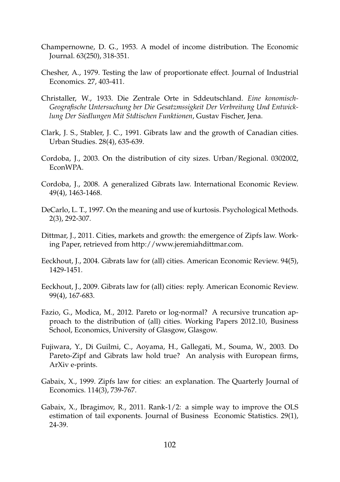- Champernowne, D. G., 1953. A model of income distribution. The Economic Journal. 63(250), 318-351.
- Chesher, A., 1979. Testing the law of proportionate effect. Journal of Industrial Economics. 27, 403-411.
- Christaller, W., 1933. Die Zentrale Orte in Sddeutschland. *Eine konomisch-Geografische Untersuchung ber Die Gesatzmssigkeit Der Verbreitung Und Entwicklung Der Siedlungen Mit Stdtischen Funktionen*, Gustav Fischer, Jena.
- Clark, J. S., Stabler, J. C., 1991. Gibrats law and the growth of Canadian cities. Urban Studies. 28(4), 635-639.
- Cordoba, J., 2003. On the distribution of city sizes. Urban/Regional. 0302002, EconWPA.
- Cordoba, J., 2008. A generalized Gibrats law. International Economic Review. 49(4), 1463-1468.
- DeCarlo, L. T., 1997. On the meaning and use of kurtosis. Psychological Methods. 2(3), 292-307.
- Dittmar, J., 2011. Cities, markets and growth: the emergence of Zipfs law. Working Paper, retrieved from http://www.jeremiahdittmar.com.
- Eeckhout, J., 2004. Gibrats law for (all) cities. American Economic Review. 94(5), 1429-1451.
- Eeckhout, J., 2009. Gibrats law for (all) cities: reply. American Economic Review. 99(4), 167-683.
- Fazio, G., Modica, M., 2012. Pareto or log-normal? A recursive truncation approach to the distribution of (all) cities. Working Papers 2012 10, Business School, Economics, University of Glasgow, Glasgow.
- Fujiwara, Y., Di Guilmi, C., Aoyama, H., Gallegati, M., Souma, W., 2003. Do Pareto-Zipf and Gibrats law hold true? An analysis with European firms, ArXiv e-prints.
- Gabaix, X., 1999. Zipfs law for cities: an explanation. The Quarterly Journal of Economics. 114(3), 739-767.
- Gabaix, X., Ibragimov, R., 2011. Rank-1/2: a simple way to improve the OLS estimation of tail exponents. Journal of Business Economic Statistics. 29(1), 24-39.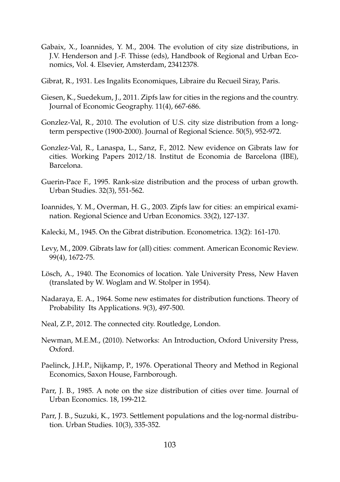- Gabaix, X., Ioannides, Y. M., 2004. The evolution of city size distributions, in J.V. Henderson and J.-F. Thisse (eds), Handbook of Regional and Urban Economics, Vol. 4. Elsevier, Amsterdam, 23412378.
- Gibrat, R., 1931. Les Ingalits Economiques, Libraire du Recueil Siray, Paris.
- Giesen, K., Suedekum, J., 2011. Zipfs law for cities in the regions and the country. Journal of Economic Geography. 11(4), 667-686.
- Gonzlez-Val, R., 2010. The evolution of U.S. city size distribution from a longterm perspective (1900-2000). Journal of Regional Science. 50(5), 952-972.
- Gonzlez-Val, R., Lanaspa, L., Sanz, F., 2012. New evidence on Gibrats law for cities. Working Papers 2012/18. Institut de Economia de Barcelona (IBE), Barcelona.
- Guerin-Pace F., 1995. Rank-size distribution and the process of urban growth. Urban Studies. 32(3), 551-562.
- Ioannides, Y. M., Overman, H. G., 2003. Zipfs law for cities: an empirical examination. Regional Science and Urban Economics. 33(2), 127-137.
- Kalecki, M., 1945. On the Gibrat distribution. Econometrica. 13(2): 161-170.
- Levy, M., 2009. Gibrats law for (all) cities: comment. American Economic Review. 99(4), 1672-75.
- Lösch, A., 1940. The Economics of location. Yale University Press, New Haven (translated by W. Woglam and W. Stolper in 1954).
- Nadaraya, E. A., 1964. Some new estimates for distribution functions. Theory of Probability Its Applications. 9(3), 497-500.
- Neal, Z.P., 2012. The connected city. Routledge, London.
- Newman, M.E.M., (2010). Networks: An Introduction, Oxford University Press, Oxford.
- Paelinck, J.H.P., Nijkamp, P., 1976. Operational Theory and Method in Regional Economics, Saxon House, Farnborough.
- Parr, J. B., 1985. A note on the size distribution of cities over time. Journal of Urban Economics. 18, 199-212.
- Parr, J. B., Suzuki, K., 1973. Settlement populations and the log-normal distribution. Urban Studies. 10(3), 335-352.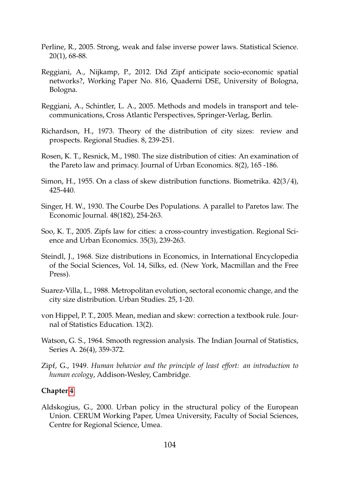- Perline, R., 2005. Strong, weak and false inverse power laws. Statistical Science. 20(1), 68-88.
- Reggiani, A., Nijkamp, P., 2012. Did Zipf anticipate socio-economic spatial networks?, Working Paper No. 816, Quaderni DSE, University of Bologna, Bologna.
- Reggiani, A., Schintler, L. A., 2005. Methods and models in transport and telecommunications, Cross Atlantic Perspectives, Springer-Verlag, Berlin.
- Richardson, H., 1973. Theory of the distribution of city sizes: review and prospects. Regional Studies. 8, 239-251.
- Rosen, K. T., Resnick, M., 1980. The size distribution of cities: An examination of the Pareto law and primacy. Journal of Urban Economics. 8(2), 165 -186.
- Simon, H., 1955. On a class of skew distribution functions. Biometrika. 42(3/4), 425-440.
- Singer, H. W., 1930. The Courbe Des Populations. A parallel to Paretos law. The Economic Journal. 48(182), 254-263.
- Soo, K. T., 2005. Zipfs law for cities: a cross-country investigation. Regional Science and Urban Economics. 35(3), 239-263.
- Steindl, J., 1968. Size distributions in Economics, in International Encyclopedia of the Social Sciences, Vol. 14, Silks, ed. (New York, Macmillan and the Free Press).
- Suarez-Villa, L., 1988. Metropolitan evolution, sectoral economic change, and the city size distribution. Urban Studies. 25, 1-20.
- von Hippel, P. T., 2005. Mean, median and skew: correction a textbook rule. Journal of Statistics Education. 13(2).
- Watson, G. S., 1964. Smooth regression analysis. The Indian Journal of Statistics, Series A. 26(4), 359-372.
- Zipf, G., 1949. *Human behavior and the principle of least effort: an introduction to human ecology*, Addison-Wesley, Cambridge.

#### **Chapter [4](#page-84-0)**

Aldskogius, G., 2000. Urban policy in the structural policy of the European Union. CERUM Working Paper, Umea University, Faculty of Social Sciences, Centre for Regional Science, Umea.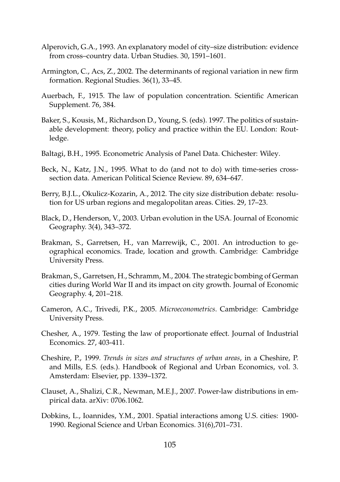- Alperovich, G.A., 1993. An explanatory model of city–size distribution: evidence from cross–country data. Urban Studies. 30, 1591–1601.
- Armington, C., Acs, Z., 2002. The determinants of regional variation in new firm formation. Regional Studies. 36(1), 33–45.
- Auerbach, F., 1915. The law of population concentration. Scientific American Supplement. 76, 384.
- Baker, S., Kousis, M., Richardson D., Young, S. (eds). 1997. The politics of sustainable development: theory, policy and practice within the EU. London: Routledge.
- Baltagi, B.H., 1995. Econometric Analysis of Panel Data. Chichester: Wiley.
- Beck, N., Katz, J.N., 1995. What to do (and not to do) with time-series crosssection data. American Political Science Review. 89, 634–647.
- Berry, B.J.L., Okulicz-Kozarin, A., 2012. The city size distribution debate: resolution for US urban regions and megalopolitan areas. Cities. 29, 17–23.
- Black, D., Henderson, V., 2003. Urban evolution in the USA. Journal of Economic Geography. 3(4), 343–372.
- Brakman, S., Garretsen, H., van Marrewijk, C., 2001. An introduction to geographical economics. Trade, location and growth. Cambridge: Cambridge University Press.
- Brakman, S., Garretsen, H., Schramm, M., 2004. The strategic bombing of German cities during World War II and its impact on city growth. Journal of Economic Geography. 4, 201–218.
- Cameron, A.C., Trivedi, P.K., 2005. *Microeconometrics*. Cambridge: Cambridge University Press.
- Chesher, A., 1979. Testing the law of proportionate effect. Journal of Industrial Economics. 27, 403-411.
- Cheshire, P., 1999. *Trends in sizes and structures of urban areas*, in a Cheshire, P. and Mills, E.S. (eds.). Handbook of Regional and Urban Economics, vol. 3. Amsterdam: Elsevier, pp. 1339–1372.
- Clauset, A., Shalizi, C.R., Newman, M.E.J., 2007. Power-law distributions in empirical data. arXiv: 0706.1062.
- Dobkins, L., Ioannides, Y.M., 2001. Spatial interactions among U.S. cities: 1900- 1990. Regional Science and Urban Economics. 31(6),701–731.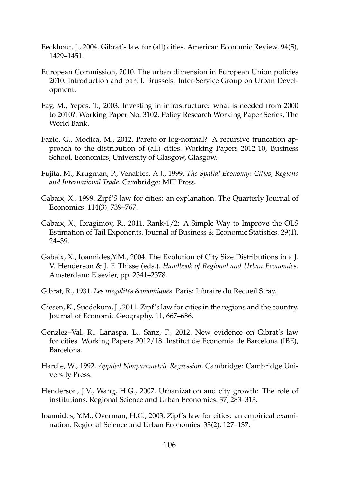- Eeckhout, J., 2004. Gibrat's law for (all) cities. American Economic Review. 94(5), 1429–1451.
- European Commission, 2010. The urban dimension in European Union policies 2010. Introduction and part I. Brussels: Inter-Service Group on Urban Development.
- Fay, M., Yepes, T., 2003. Investing in infrastructure: what is needed from 2000 to 2010?. Working Paper No. 3102, Policy Research Working Paper Series, The World Bank.
- Fazio, G., Modica, M., 2012. Pareto or log-normal? A recursive truncation approach to the distribution of (all) cities. Working Papers 2012 10, Business School, Economics, University of Glasgow, Glasgow.
- Fujita, M., Krugman, P., Venables, A.J., 1999. *The Spatial Economy: Cities, Regions and International Trade*. Cambridge: MIT Press.
- Gabaix, X., 1999. Zipf'S law for cities: an explanation. The Quarterly Journal of Economics. 114(3), 739–767.
- Gabaix, X., Ibragimov, R., 2011. Rank-1/2: A Simple Way to Improve the OLS Estimation of Tail Exponents. Journal of Business & Economic Statistics. 29(1), 24–39.
- Gabaix, X., Ioannides,Y.M., 2004. The Evolution of City Size Distributions in a J. V. Henderson & J. F. Thisse (eds.). *Handbook of Regional and Urban Economics*. Amsterdam: Elsevier, pp. 2341–2378.
- Gibrat, R., 1931. *Les inégalités économiques*. Paris: Libraire du Recueil Siray.
- Giesen, K., Suedekum, J., 2011. Zipf's law for cities in the regions and the country. Journal of Economic Geography. 11, 667–686.
- Gonzlez–Val, R., Lanaspa, L., Sanz, F., 2012. New evidence on Gibrat's law for cities. Working Papers 2012/18. Institut de Economia de Barcelona (IBE), Barcelona.
- Hardle, W., 1992. *Applied Nonparametric Regression*. Cambridge: Cambridge University Press.
- Henderson, J.V., Wang, H.G., 2007. Urbanization and city growth: The role of institutions. Regional Science and Urban Economics. 37, 283–313.
- Ioannides, Y.M., Overman, H.G., 2003. Zipf's law for cities: an empirical examination. Regional Science and Urban Economics. 33(2), 127–137.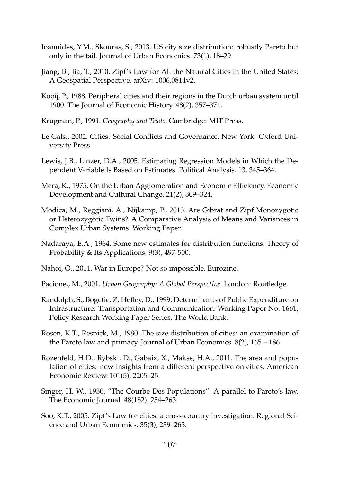- Ioannides, Y.M., Skouras, S., 2013. US city size distribution: robustly Pareto but only in the tail. Journal of Urban Economics. 73(1), 18–29.
- Jiang, B., Jia, T., 2010. Zipf's Law for All the Natural Cities in the United States: A Geospatial Perspective. arXiv: 1006.0814v2.
- Kooij, P., 1988. Peripheral cities and their regions in the Dutch urban system until 1900. The Journal of Economic History. 48(2), 357–371.
- Krugman, P., 1991. *Geography and Trade*. Cambridge: MIT Press.
- Le Gals., 2002. Cities: Social Conflicts and Governance. New York: Oxford University Press.
- Lewis, J.B., Linzer, D.A., 2005. Estimating Regression Models in Which the Dependent Variable Is Based on Estimates. Political Analysis. 13, 345–364.
- Mera, K., 1975. On the Urban Agglomeration and Economic Efficiency. Economic Development and Cultural Change. 21(2), 309–324.
- Modica, M., Reggiani, A., Nijkamp, P., 2013. Are Gibrat and Zipf Monozygotic or Heterozygotic Twins? A Comparative Analysis of Means and Variances in Complex Urban Systems. Working Paper.
- Nadaraya, E.A., 1964. Some new estimates for distribution functions. Theory of Probability & Its Applications. 9(3), 497-500.
- Nahoi, O., 2011. War in Europe? Not so impossible. Eurozine.
- Pacione,, M., 2001. *Urban Geography: A Global Perspective*. London: Routledge.
- Randolph, S., Bogetic, Z. Hefley, D., 1999. Determinants of Public Expenditure on Infrastructure: Transportation and Communication. Working Paper No. 1661, Policy Research Working Paper Series, The World Bank.
- Rosen, K.T., Resnick, M., 1980. The size distribution of cities: an examination of the Pareto law and primacy. Journal of Urban Economics. 8(2), 165 – 186.
- Rozenfeld, H.D., Rybski, D., Gabaix, X., Makse, H.A., 2011. The area and population of cities: new insights from a different perspective on cities. American Economic Review. 101(5), 2205–25.
- Singer, H. W., 1930. "The Courbe Des Populations". A parallel to Pareto's law. The Economic Journal. 48(182), 254–263.
- Soo, K.T., 2005. Zipf's Law for cities: a cross-country investigation. Regional Science and Urban Economics. 35(3), 239–263.